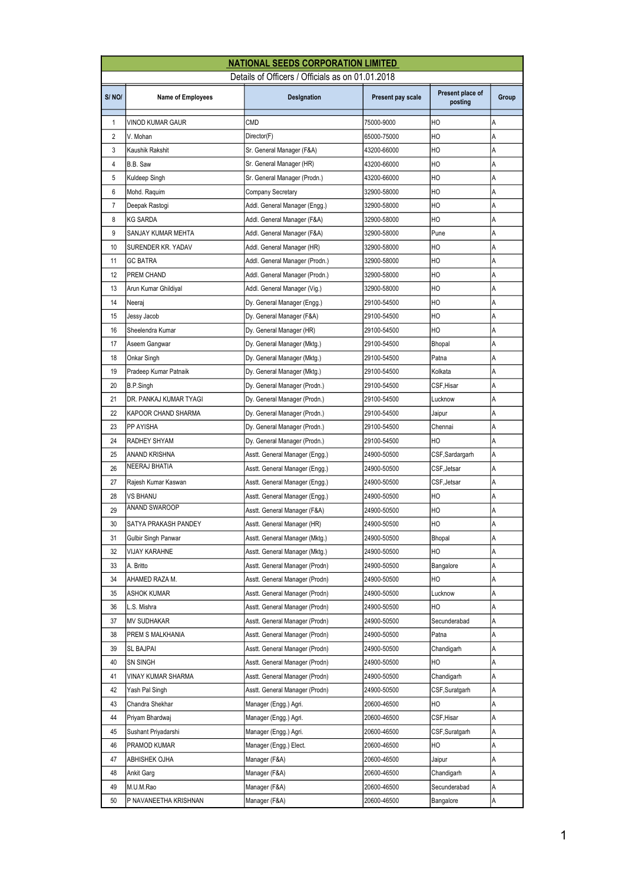|                |                          | <b>NATIONAL SEEDS CORPORATION LIMITED</b>        |                   |                             |       |
|----------------|--------------------------|--------------------------------------------------|-------------------|-----------------------------|-------|
|                |                          | Details of Officers / Officials as on 01.01.2018 |                   |                             |       |
| S/NO/          | <b>Name of Employees</b> | Designation                                      | Present pay scale | Present place of<br>posting | Group |
| $\mathbf{1}$   | VINOD KUMAR GAUR         | CMD                                              | 75000-9000        | HO                          | А     |
| $\overline{2}$ | V. Mohan                 | Director(F)                                      | 65000-75000       | HO                          | A     |
| 3              | Kaushik Rakshit          | Sr. General Manager (F&A)                        | 43200-66000       | HO                          | A     |
| 4              | B.B. Saw                 | Sr. General Manager (HR)                         | 43200-66000       | HO                          | А     |
| 5              | Kuldeep Singh            | Sr. General Manager (Prodn.)                     | 43200-66000       | НO                          | Α     |
| 6              | Mohd. Raquim             | Company Secretary                                | 32900-58000       | HO                          | A     |
| $\overline{7}$ | Deepak Rastogi           | Addl. General Manager (Engg.)                    | 32900-58000       | HO                          | A     |
| 8              | KG SARDA                 | Addl. General Manager (F&A)                      | 32900-58000       | HO                          | A     |
| 9              | SANJAY KUMAR MEHTA       | Addl. General Manager (F&A)                      | 32900-58000       | Pune                        | А     |
| 10             | SURENDER KR. YADAV       | Addl. General Manager (HR)                       | 32900-58000       | HO                          | Α     |
| 11             | <b>GC BATRA</b>          | Addl. General Manager (Prodn.)                   | 32900-58000       | HO                          | A     |
| 12             | PREM CHAND               | Addl. General Manager (Prodn.)                   | 32900-58000       | HO                          | A     |
| 13             | Arun Kumar Ghildiyal     | Addl. General Manager (Vig.)                     | 32900-58000       | HO                          | A     |
| 14             | Neeraj                   | Dy. General Manager (Engg.)                      | 29100-54500       | HO                          | А     |
| 15             | Jessy Jacob              | Dy. General Manager (F&A)                        | 29100-54500       | HO                          | Α     |
| 16             | Sheelendra Kumar         | Dy. General Manager (HR)                         | 29100-54500       | HO                          | A     |
| 17             | Aseem Gangwar            | Dy. General Manager (Mktg.)                      | 29100-54500       | Bhopal                      | Α     |
| 18             | Onkar Singh              | Dy. General Manager (Mktg.)                      | 29100-54500       | Patna                       | A     |
| 19             | Pradeep Kumar Patnaik    | Dy. General Manager (Mktg.)                      | 29100-54500       | Kolkata                     | Α     |
| 20             | B.P.Singh                | Dy. General Manager (Prodn.)                     | 29100-54500       | CSF, Hisar                  | Α     |
| 21             | DR. PANKAJ KUMAR TYAGI   | Dy. General Manager (Prodn.)                     | 29100-54500       | Lucknow                     | A     |
| 22             | KAPOOR CHAND SHARMA      | Dy. General Manager (Prodn.)                     | 29100-54500       | Jaipur                      | Α     |
| 23             | PP AYISHA                | Dy. General Manager (Prodn.)                     | 29100-54500       | Chennai                     | A     |
| 24             | RADHEY SHYAM             | Dy. General Manager (Prodn.)                     | 29100-54500       | НO                          | А     |
| 25             | ANAND KRISHNA            | Asstt. General Manager (Engg.)                   | 24900-50500       | CSF,Sardargarh              | Α     |
| 26             | NEERAJ BHATIA            | Asstt. General Manager (Engg.)                   | 24900-50500       | CSF, Jetsar                 | A     |
| 27             | Rajesh Kumar Kaswan      | Asstt. General Manager (Engg.)                   | 24900-50500       | CSF, Jetsar                 | Α     |
| 28             | VS BHANU                 | Asstt. General Manager (Engg.)                   | 24900-50500       | HO                          | A     |
| 29             | ANAND SWAROOP            | Asstt. General Manager (F&A)                     | 24900-50500       | HO                          | Α     |
| 30             | SATYA PRAKASH PANDEY     | Asstt. General Manager (HR)                      | 24900-50500       | HO                          | Α     |
| 31             | Gulbir Singh Panwar      | Asstt. General Manager (Mktg.)                   | 24900-50500       | Bhopal                      | Α     |
| 32             | VIJAY KARAHNE            | Asstt. General Manager (Mktg.)                   | 24900-50500       | HO                          | А     |
| 33             | A. Britto                | Asstt. General Manager (Prodn)                   | 24900-50500       | Bangalore                   | Α     |
| 34             | AHAMED RAZA M.           | Asstt. General Manager (Prodn)                   | 24900-50500       | HО                          | А     |
| 35             | ASHOK KUMAR              | Asstt. General Manager (Prodn)                   | 24900-50500       | Lucknow                     | Α     |
| 36             | L.S. Mishra              | Asstt. General Manager (Prodn)                   | 24900-50500       | HO                          | Α     |
| 37             | MV SUDHAKAR              | Asstt. General Manager (Prodn)                   | 24900-50500       | Secunderabad                | А     |
| 38             | PREM S MALKHANIA         | Asstt. General Manager (Prodn)                   | 24900-50500       | Patna                       | Α     |
| 39             | SL BAJPAI                | Asstt. General Manager (Prodn)                   | 24900-50500       | Chandigarh                  | Α     |
| 40             | SN SINGH                 | Asstt. General Manager (Prodn)                   | 24900-50500       | НO                          | А     |
| 41             | VINAY KUMAR SHARMA       | Asstt. General Manager (Prodn)                   | 24900-50500       | Chandigarh                  | Α     |
| 42             | Yash Pal Singh           | Asstt. General Manager (Prodn)                   | 24900-50500       | CSF,Suratgarh               | А     |
| 43             | Chandra Shekhar          | Manager (Engg.) Agri.                            | 20600-46500       | HО                          | Α     |
| 44             | Priyam Bhardwaj          | Manager (Engg.) Agri.                            | 20600-46500       | CSF,Hisar                   | А     |
| 45             | Sushant Priyadarshi      | Manager (Engg.) Agri.                            | 20600-46500       | CSF,Suratgarh               | А     |
| 46             | PRAMOD KUMAR             | Manager (Engg.) Elect.                           | 20600-46500       | HO                          | Α     |
| 47             | ABHISHEK OJHA            | Manager (F&A)                                    | 20600-46500       | Jaipur                      | Α     |
| 48             | Ankit Garg               | Manager (F&A)                                    | 20600-46500       | Chandigarh                  | Α     |
| 49             | M.U.M.Rao                | Manager (F&A)                                    | 20600-46500       | Secunderabad                | А     |
| 50             | P NAVANEETHA KRISHNAN    | Manager (F&A)                                    | 20600-46500       | Bangalore                   | Α     |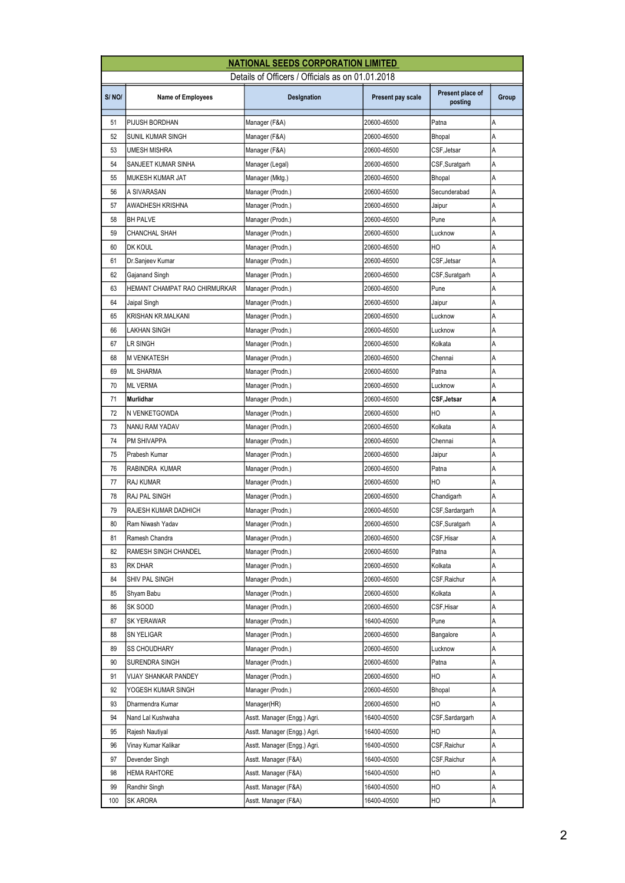|       |                               | <b>NATIONAL SEEDS CORPORATION LIMITED</b>        |                   |                             |       |
|-------|-------------------------------|--------------------------------------------------|-------------------|-----------------------------|-------|
|       |                               | Details of Officers / Officials as on 01.01.2018 |                   |                             |       |
| S/NO/ | <b>Name of Employees</b>      | Designation                                      | Present pay scale | Present place of<br>posting | Group |
| 51    | PIJUSH BORDHAN                | Manager (F&A)                                    | 20600-46500       | Patna                       | A     |
| 52    | SUNIL KUMAR SINGH             | Manager (F&A)                                    | 20600-46500       | Bhopal                      | A     |
| 53    | UMESH MISHRA                  | Manager (F&A)                                    | 20600-46500       | CSF, Jetsar                 | A     |
| 54    | SANJEET KUMAR SINHA           | Manager (Legal)                                  | 20600-46500       | CSF,Suratgarh               | А     |
| 55    | MUKESH KUMAR JAT              | Manager (Mktg.)                                  | 20600-46500       | Bhopal                      | Α     |
| 56    | A SIVARASAN                   | Manager (Prodn.)                                 | 20600-46500       | Secunderabad                | A     |
| 57    | <b>AWADHESH KRISHNA</b>       | Manager (Prodn.)                                 | 20600-46500       | Jaipur                      | A     |
| 58    | <b>BH PALVE</b>               | Manager (Prodn.)                                 | 20600-46500       | Pune                        | Α     |
| 59    | CHANCHAL SHAH                 | Manager (Prodn.)                                 | 20600-46500       | Lucknow                     | Α     |
| 60    | <b>DK KOUL</b>                | Manager (Prodn.)                                 | 20600-46500       | HO                          | Α     |
| 61    | Dr.Sanjeev Kumar              | Manager (Prodn.)                                 | 20600-46500       | CSF, Jetsar                 | A     |
| 62    | Gajanand Singh                | Manager (Prodn.)                                 | 20600-46500       | CSF,Suratgarh               | А     |
| 63    | HEMANT CHAMPAT RAO CHIRMURKAR | Manager (Prodn.)                                 | 20600-46500       | Pune                        | A     |
| 64    | Jaipal Singh                  | Manager (Prodn.)                                 | 20600-46500       | Jaipur                      | Α     |
| 65    | KRISHAN KR.MALKANI            | Manager (Prodn.)                                 | 20600-46500       | Lucknow                     | Α     |
| 66    | LAKHAN SINGH                  | Manager (Prodn.)                                 | 20600-46500       | Lucknow                     | A     |
| 67    | LR SINGH                      | Manager (Prodn.)                                 | 20600-46500       | Kolkata                     | А     |
| 68    | <b>M VENKATESH</b>            | Manager (Prodn.)                                 | 20600-46500       | Chennai                     | Α     |
| 69    | <b>ML SHARMA</b>              | Manager (Prodn.)                                 | 20600-46500       | Patna                       | А     |
| 70    | <b>ML VERMA</b>               | Manager (Prodn.)                                 | 20600-46500       | Lucknow                     | Α     |
| 71    | Murlidhar                     | Manager (Prodn.)                                 | 20600-46500       | CSF, Jetsar                 | A     |
| 72    | N VENKETGOWDA                 | Manager (Prodn.)                                 | 20600-46500       | HO                          | А     |
| 73    | NANU RAM YADAV                | Manager (Prodn.)                                 | 20600-46500       | Kolkata                     | A     |
| 74    | PM SHIVAPPA                   | Manager (Prodn.)                                 | 20600-46500       | Chennai                     | А     |
| 75    | Prabesh Kumar                 | Manager (Prodn.)                                 | 20600-46500       | Jaipur                      | Α     |
| 76    | RABINDRA KUMAR                | Manager (Prodn.)                                 | 20600-46500       | Patna                       | Α     |
| 77    | RAJ KUMAR                     | Manager (Prodn.)                                 | 20600-46500       | HO                          | А     |
| 78    | RAJ PAL SINGH                 | Manager (Prodn.)                                 | 20600-46500       | Chandigarh                  | A     |
| 79    | RAJESH KUMAR DADHICH          | Manager (Prodn.)                                 | 20600-46500       | CSF,Sardargarh              | А     |
| 80    | Ram Niwash Yadav              | Manager (Prodn.)                                 | 20600-46500       | CSF, Suratgarh              | Α     |
| 81    | Ramesh Chandra                | Manager (Prodn.)                                 | 20600-46500       | CSF, Hisar                  | Α     |
| 82    | RAMESH SINGH CHANDEL          | Manager (Prodn.)                                 | 20600-46500       | Patna                       | Α     |
| 83    | RK DHAR                       | Manager (Prodn.)                                 | 20600-46500       | Kolkata                     | Α     |
| 84    | SHIV PAL SINGH                | Manager (Prodn.)                                 | 20600-46500       | CSF, Raichur                | Α     |
| 85    | Shyam Babu                    | Manager (Prodn.)                                 | 20600-46500       | Kolkata                     | Α     |
| 86    | SK SOOD                       | Manager (Prodn.)                                 | 20600-46500       | CSF, Hisar                  | Α     |
| 87    | SK YERAWAR                    | Manager (Prodn.)                                 | 16400-40500       | Pune                        | Α     |
| 88    | SN YELIGAR                    | Manager (Prodn.)                                 | 20600-46500       | Bangalore                   | Α     |
| 89    | SS CHOUDHARY                  | Manager (Prodn.)                                 | 20600-46500       | Lucknow                     | Α     |
| 90    | SURENDRA SINGH                | Manager (Prodn.)                                 | 20600-46500       | Patna                       | Α     |
| 91    | VIJAY SHANKAR PANDEY          | Manager (Prodn.)                                 | 20600-46500       | HO                          | А     |
| 92    | YOGESH KUMAR SINGH            | Manager (Prodn.)                                 | 20600-46500       | Bhopal                      | А     |
| 93    | Dharmendra Kumar              | Manager(HR)                                      | 20600-46500       | HO                          | А     |
| 94    | Nand Lal Kushwaha             | Asstt. Manager (Engg.) Agri.                     | 16400-40500       | CSF,Sardargarh              | Α     |
| 95    | Rajesh Nautiyal               | Asstt. Manager (Engg.) Agri.                     | 16400-40500       | HO                          | А     |
| 96    | Vinay Kumar Kalikar           | Asstt. Manager (Engg.) Agri.                     | 16400-40500       | CSF, Raichur                | А     |
| 97    | Devender Singh                | Asstt. Manager (F&A)                             | 16400-40500       | CSF, Raichur                | А     |
| 98    | HEMA RAHTORE                  | Asstt. Manager (F&A)                             | 16400-40500       | HО                          | Α     |
| 99    | Randhir Singh                 | Asstt. Manager (F&A)                             | 16400-40500       | HO                          | Α     |
| 100   | SK ARORA                      | Asstt. Manager (F&A)                             | 16400-40500       | HO                          | А     |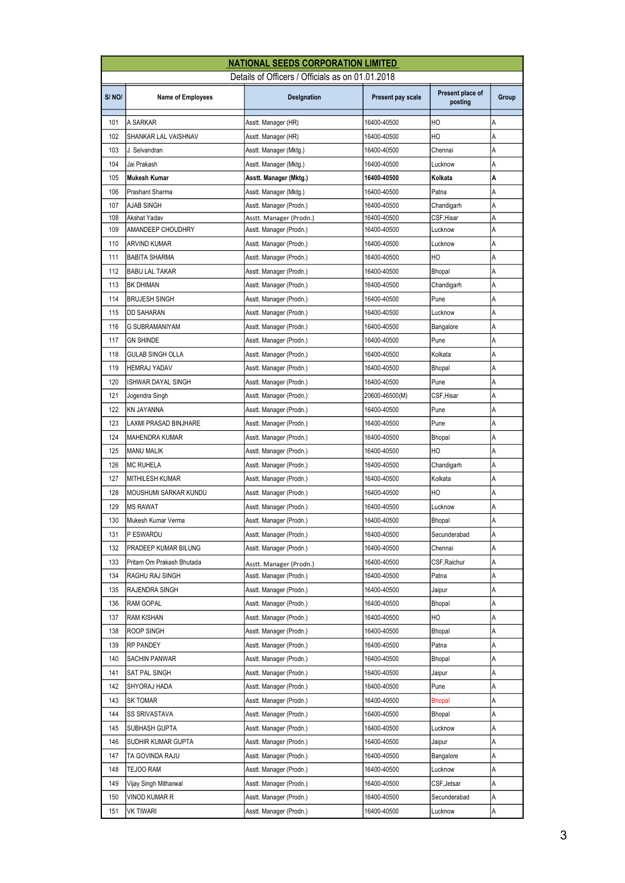|       |                              | <b>NATIONAL SEEDS CORPORATION LIMITED</b>        |                   |                             |       |
|-------|------------------------------|--------------------------------------------------|-------------------|-----------------------------|-------|
|       |                              | Details of Officers / Officials as on 01.01.2018 |                   |                             |       |
| S/NO/ | <b>Name of Employees</b>     | Designation                                      | Present pay scale | Present place of<br>posting | Group |
| 101   | A SARKAR                     | Asstt. Manager (HR)                              | 16400-40500       | НO                          | А     |
| 102   | SHANKAR LAL VAISHNAV         | Asstt. Manager (HR)                              | 16400-40500       | H <sub>O</sub>              | A     |
| 103   | J. Selvandran                | Asstt. Manager (Mktg.)                           | 16400-40500       | Chennai                     | Α     |
| 104   | Jai Prakash                  | Asstt. Manager (Mktg.)                           | 16400-40500       | Lucknow                     | Α     |
| 105   | Mukesh Kumar                 | Asstt. Manager (Mktg.)                           | 16400-40500       | Kolkata                     | Α     |
| 106   | Prashant Sharma              | Asstt. Manager (Mktg.)                           | 16400-40500       | Patna                       | A     |
| 107   | AJAB SINGH                   | Asstt. Manager (Prodn.)                          | 16400-40500       | Chandigarh                  | Α     |
| 108   | Akshat Yadav                 | Asstt. Manager (Prodn.)                          | 16400-40500       | CSF,Hisar                   | Α     |
| 109   | AMANDEEP CHOUDHRY            | Asstt. Manager (Prodn.)                          | 16400-40500       | Lucknow                     | Α     |
| 110   | ARVIND KUMAR                 | Asstt. Manager (Prodn.)                          | 16400-40500       | Lucknow                     | A     |
| 111   | <b>BABITA SHARMA</b>         | Asstt. Manager (Prodn.)                          | 16400-40500       | HO                          | A     |
| 112   | <b>BABU LAL TAKAR</b>        | Asstt. Manager (Prodn.)                          | 16400-40500       | Bhopal                      | Α     |
| 113   | <b>BK DHIMAN</b>             | Asstt. Manager (Prodn.)                          | 16400-40500       | Chandigarh                  | Α     |
| 114   | <b>BRUJESH SINGH</b>         | Asstt. Manager (Prodn.)                          | 16400-40500       | Pune                        | Α     |
| 115   | DD SAHARAN                   | Asstt. Manager (Prodn.)                          | 16400-40500       | Lucknow                     | Α     |
| 116   | <b>G SUBRAMANIYAM</b>        | Asstt. Manager (Prodn.)                          | 16400-40500       | Bangalore                   | Α     |
| 117   | <b>GN SHINDE</b>             | Asstt. Manager (Prodn.)                          | 16400-40500       | Pune                        | Α     |
| 118   | <b>GULAB SINGH OLLA</b>      | Asstt. Manager (Prodn.)                          | 16400-40500       | Kolkata                     | Α     |
| 119   | <b>HEMRAJ YADAV</b>          | Asstt. Manager (Prodn.)                          | 16400-40500       | Bhopal                      | Α     |
| 120   | ISHWAR DAYAL SINGH           | Asstt. Manager (Prodn.)                          | 16400-40500       | Pune                        | A     |
| 121   | Jogendra Singh               | Asstt. Manager (Prodn.)                          | 20600-46500(M)    | CSF,Hisar                   | A     |
| 122   | KN JAYANNA                   | Asstt. Manager (Prodn.)                          | 16400-40500       | Pune                        | Α     |
| 123   | LAXMI PRASAD BINJHARE        | Asstt. Manager (Prodn.)                          | 16400-40500       | Pune                        | Α     |
| 124   | MAHENDRA KUMAR               | Asstt. Manager (Prodn.)                          | 16400-40500       | <b>Bhopal</b>               | Α     |
| 125   | <b>MANU MALIK</b>            | Asstt. Manager (Prodn.)                          | 16400-40500       | HO                          | Α     |
| 126   | <b>MC RUHELA</b>             | Asstt. Manager (Prodn.)                          | 16400-40500       | Chandigarh                  | A     |
| 127   | <b>MITHILESH KUMAR</b>       | Asstt. Manager (Prodn.)                          | 16400-40500       | Kolkata                     | Α     |
| 128   | <b>MOUSHUMI SARKAR KUNDU</b> | Asstt. Manager (Prodn.)                          | 16400-40500       | HO                          | Α     |
| 129   | <b>MS RAWAT</b>              | Asstt. Manager (Prodn.)                          | 16400-40500       | Lucknow                     | Α     |
| 130   | Mukesh Kumar Verma           | Asstt. Manager (Prodn.)                          | 16400-40500       | Bhopal                      | Α     |
| 131   | P ESWARDU                    | Asstt. Manager (Prodn.)                          | 16400-40500       | Secunderabad                | А     |
| 132   | PRADEEP KUMAR BILUNG         | Asstt. Manager (Prodn.)                          | 16400-40500       | Chennai                     | А     |
| 133   | Pritam Om Prakash Bhutada    | Asstt. Manager (Prodn.)                          | 16400-40500       | CSF,Raichur                 | Α     |
| 134   | RAGHU RAJ SINGH              | Asstt. Manager (Prodn.)                          | 16400-40500       | Patna                       | Α     |
| 135   | RAJENDRA SINGH               | Asstt. Manager (Prodn.)                          | 16400-40500       | Jaipur                      | Α     |
| 136   | RAM GOPAL                    | Asstt. Manager (Prodn.)                          | 16400-40500       | Bhopal                      | Α     |
| 137   | RAM KISHAN                   | Asstt. Manager (Prodn.)                          | 16400-40500       | ΗО                          | Α     |
| 138   | ROOP SINGH                   | Asstt. Manager (Prodn.)                          | 16400-40500       | Bhopal                      | Α     |
| 139   | RP PANDEY                    | Asstt. Manager (Prodn.)                          | 16400-40500       | Patna                       | Α     |
| 140   | SACHIN PANWAR                | Asstt. Manager (Prodn.)                          | 16400-40500       | Bhopal                      | А     |
| 141   | SAT PAL SINGH                | Asstt. Manager (Prodn.)                          | 16400-40500       | Jaipur                      | Α     |
| 142   | SHYORAJ HADA                 | Asstt. Manager (Prodn.)                          | 16400-40500       | Pune                        | А     |
| 143   | sk tomar                     | Asstt. Manager (Prodn.)                          | 16400-40500       | Bhopal                      | Α     |
| 144   | SS SRIVASTAVA                | Asstt. Manager (Prodn.)                          | 16400-40500       | Bhopal                      | Α     |
| 145   | SUBHASH GUPTA                | Asstt. Manager (Prodn.)                          | 16400-40500       | Lucknow                     | А     |
| 146   | SUDHIR KUMAR GUPTA           | Asstt. Manager (Prodn.)                          | 16400-40500       | Jaipur                      | Α     |
| 147   | TA GOVINDA RAJU              | Asstt. Manager (Prodn.)                          | 16400-40500       | Bangalore                   | Α     |
| 148   | TEJOO RAM                    | Asstt. Manager (Prodn.)                          | 16400-40500       | Lucknow                     | Α     |
| 149   | Vijay Singh Mitharwal        | Asstt. Manager (Prodn.)                          | 16400-40500       | CSF,Jetsar                  | А     |
| 150   | VINOD KUMAR R                | Asstt. Manager (Prodn.)                          | 16400-40500       | Secunderabad                | Α     |
| 151   | vk tiwari                    | Asstt. Manager (Prodn.)                          | 16400-40500       | Lucknow                     | Α     |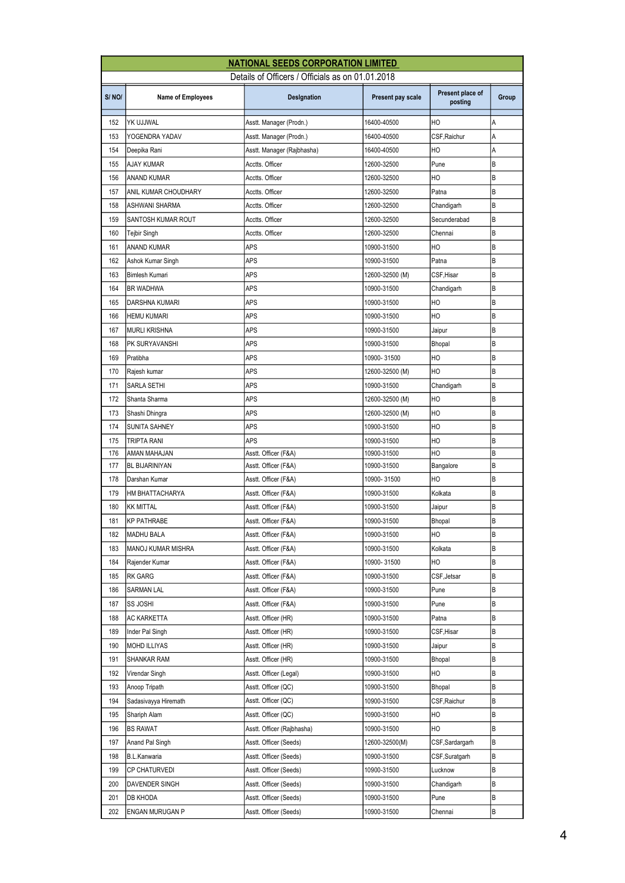|       |                          | <b>NATIONAL SEEDS CORPORATION LIMITED</b>        |                   |                             |       |
|-------|--------------------------|--------------------------------------------------|-------------------|-----------------------------|-------|
|       |                          | Details of Officers / Officials as on 01.01.2018 |                   |                             |       |
| S/NO/ | <b>Name of Employees</b> | Designation                                      | Present pay scale | Present place of<br>posting | Group |
| 152   | YK UJJWAL                | Asstt. Manager (Prodn.)                          | 16400-40500       | HO                          | А     |
| 153   | YOGENDRA YADAV           | Asstt. Manager (Prodn.)                          | 16400-40500       | CSF, Raichur                | A     |
| 154   | Deepika Rani             | Asstt. Manager (Rajbhasha)                       | 16400-40500       | HO                          | А     |
| 155   | AJAY KUMAR               | Acctts. Officer                                  | 12600-32500       | Pune                        | В     |
| 156   | ANAND KUMAR              | Acctts. Officer                                  | 12600-32500       | HO                          | B     |
| 157   | ANIL KUMAR CHOUDHARY     | Acctts. Officer                                  | 12600-32500       | Patna                       | B     |
| 158   | <b>ASHWANI SHARMA</b>    | Acctts. Officer                                  | 12600-32500       | Chandigarh                  | ΙB    |
| 159   | SANTOSH KUMAR ROUT       | Acctts. Officer                                  | 12600-32500       | Secunderabad                | B     |
| 160   | Tejbir Singh             | Acctts. Officer                                  | 12600-32500       | Chennai                     | B     |
| 161   | <b>ANAND KUMAR</b>       | APS                                              | 10900-31500       | HO                          | B     |
| 162   | Ashok Kumar Singh        | <b>APS</b>                                       | 10900-31500       | Patna                       | B     |
| 163   | Bimlesh Kumari           | APS                                              | 12600-32500 (M)   | CSF, Hisar                  | B     |
| 164   | <b>BR WADHWA</b>         | APS                                              | 10900-31500       | Chandigarh                  | B     |
| 165   | <b>DARSHNA KUMARI</b>    | APS                                              | 10900-31500       | HO                          | B     |
| 166   | <b>HEMU KUMARI</b>       | APS                                              | 10900-31500       | HO                          | B     |
| 167   | <b>MURLI KRISHNA</b>     | APS                                              | 10900-31500       | Jaipur                      | B     |
| 168   | PK SURYAVANSHI           | APS                                              | 10900-31500       | Bhopal                      | B     |
| 169   | Pratibha                 | APS                                              | 10900-31500       | HO                          | B     |
| 170   | Rajesh kumar             | APS                                              | 12600-32500 (M)   | HO                          | B     |
| 171   | SARLA SETHI              | APS                                              | 10900-31500       | Chandigarh                  | B     |
| 172   | Shanta Sharma            | <b>APS</b>                                       | 12600-32500 (M)   | HO                          | B     |
| 173   | Shashi Dhingra           | APS                                              | 12600-32500 (M)   | HO                          | B     |
| 174   | <b>SUNITA SAHNEY</b>     | APS                                              | 10900-31500       | HO                          | B     |
| 175   | TRIPTA RANI              | APS                                              | 10900-31500       | HO                          | B     |
| 176   | AMAN MAHAJAN             | Asstt. Officer (F&A)                             | 10900-31500       | HO                          | B     |
| 177   | <b>BL BIJARINIYAN</b>    | Asstt. Officer (F&A)                             | 10900-31500       | Bangalore                   | B     |
| 178   | Darshan Kumar            | Asstt. Officer (F&A)                             | 10900-31500       | НO                          | B     |
| 179   | HM BHATTACHARYA          | Asstt. Officer (F&A)                             | 10900-31500       | Kolkata                     | B     |
| 180   | <b>KK MITTAL</b>         | Asstt. Officer (F&A)                             | 10900-31500       | Jaipur                      | B     |
| 181   | <b>KP PATHRABE</b>       | Asstt. Officer (F&A)                             | 10900-31500       | <b>Bhopal</b>               | B     |
| 182   | MADHU BALA               | Asstt. Officer (F&A)                             | 10900-31500       | НO                          | B     |
| 183   | MANOJ KUMAR MISHRA       | Asstt. Officer (F&A)                             | 10900-31500       | Kolkata                     | B     |
| 184   | Rajender Kumar           | Asstt. Officer (F&A)                             | 10900-31500       | HO                          | B     |
| 185   | RK GARG                  | Asstt. Officer (F&A)                             | 10900-31500       | CSF, Jetsar                 | B     |
| 186   | <b>SARMAN LAL</b>        | Asstt. Officer (F&A)                             | 10900-31500       | Pune                        | B     |
| 187   | SS JOSHI                 | Asstt. Officer (F&A)                             | 10900-31500       | Pune                        | В     |
| 188   | AC KARKETTA              | Asstt. Officer (HR)                              | 10900-31500       | Patna                       | В     |
| 189   | Inder Pal Singh          | Asstt. Officer (HR)                              | 10900-31500       | CSF, Hisar                  | B     |
| 190   | <b>MOHD ILLIYAS</b>      | Asstt. Officer (HR)                              | 10900-31500       | Jaipur                      | B     |
| 191   | SHANKAR RAM              | Asstt. Officer (HR)                              | 10900-31500       | Bhopal                      | В     |
| 192   | Virendar Singh           | Asstt. Officer (Legal)                           | 10900-31500       | HО                          | В     |
| 193   | Anoop Tripath            | Asstt. Officer (QC)                              | 10900-31500       | <b>Bhopal</b>               | В     |
| 194   | Sadasivayya Hiremath     | Asstt. Officer (QC)                              | 10900-31500       | CSF, Raichur                | B     |
| 195   | Shariph Alam             | Asstt. Officer (QC)                              | 10900-31500       | HO                          | B     |
| 196   | BS RAWAT                 | Asstt. Officer (Rajbhasha)                       | 10900-31500       | HО                          | B     |
| 197   | Anand Pal Singh          | Asstt. Officer (Seeds)                           | 12600-32500(M)    | CSF,Sardargarh              | B     |
| 198   | <b>B.L.Kanwaria</b>      | Asstt. Officer (Seeds)                           | 10900-31500       | CSF, Suratgarh              | В     |
| 199   | <b>CP CHATURVEDI</b>     | Asstt. Officer (Seeds)                           | 10900-31500       | Lucknow                     | B     |
| 200   | DAVENDER SINGH           | Asstt. Officer (Seeds)                           | 10900-31500       | Chandigarh                  | B     |
| 201   | DB KHODA                 | Asstt. Officer (Seeds)                           | 10900-31500       | Pune                        | B     |
| 202   | ENGAN MURUGAN P          | Asstt. Officer (Seeds)                           | 10900-31500       | Chennai                     | B     |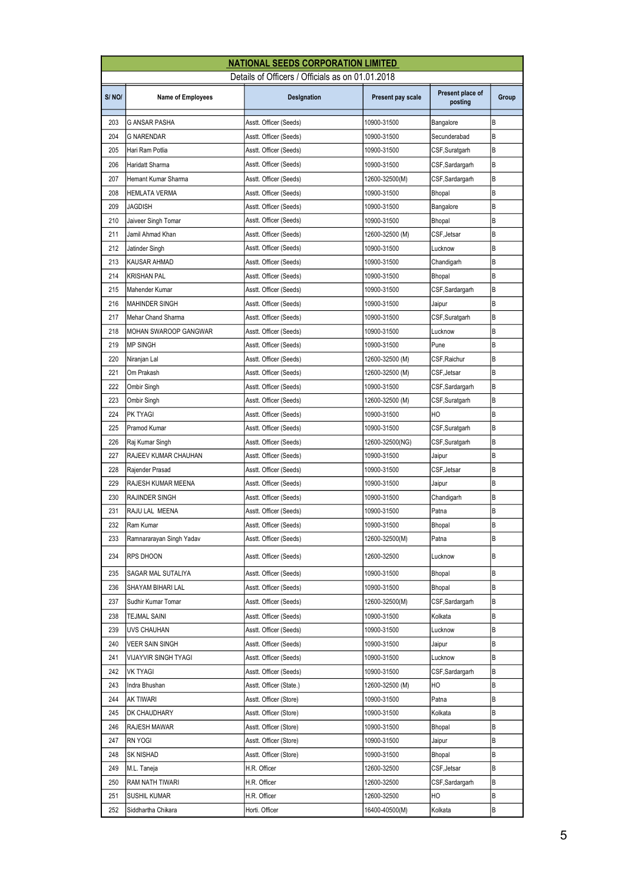|       |                              | <b>NATIONAL SEEDS CORPORATION LIMITED</b>        |                   |                             |       |
|-------|------------------------------|--------------------------------------------------|-------------------|-----------------------------|-------|
|       |                              | Details of Officers / Officials as on 01.01.2018 |                   |                             |       |
| S/NO/ | <b>Name of Employees</b>     | Designation                                      | Present pay scale | Present place of<br>posting | Group |
| 203   | <b>G ANSAR PASHA</b>         | Asstt. Officer (Seeds)                           | 10900-31500       | Bangalore                   | B     |
| 204   | G NARENDAR                   | Asstt. Officer (Seeds)                           | 10900-31500       | Secunderabad                | ΙB    |
| 205   | Hari Ram Potlia              | Asstt. Officer (Seeds)                           | 10900-31500       | CSF,Suratgarh               | B     |
| 206   | Haridatt Sharma              | Asstt. Officer (Seeds)                           | 10900-31500       | CSF, Sardargarh             | B     |
| 207   | Hemant Kumar Sharma          | Asstt. Officer (Seeds)                           | 12600-32500(M)    | CSF,Sardargarh              | B     |
| 208   | HEMLATA VERMA                | Asstt. Officer (Seeds)                           | 10900-31500       | <b>Bhopal</b>               | ΙB    |
| 209   | JAGDISH                      | Asstt. Officer (Seeds)                           | 10900-31500       | Bangalore                   | B     |
| 210   | Jaiveer Singh Tomar          | Asstt. Officer (Seeds)                           | 10900-31500       | <b>Bhopal</b>               | B     |
| 211   | Jamil Ahmad Khan             | Asstt. Officer (Seeds)                           | 12600-32500 (M)   | CSF, Jetsar                 | B     |
| 212   | Jatinder Singh               | Asstt. Officer (Seeds)                           | 10900-31500       | Lucknow                     | B     |
| 213   | KAUSAR AHMAD                 | Asstt. Officer (Seeds)                           | 10900-31500       | Chandigarh                  | ΙB    |
| 214   | KRISHAN PAL                  | Asstt. Officer (Seeds)                           | 10900-31500       | <b>Bhopal</b>               | B     |
| 215   | Mahender Kumar               | Asstt. Officer (Seeds)                           | 10900-31500       | CSF,Sardargarh              | В     |
| 216   | <b>MAHINDER SINGH</b>        | Asstt. Officer (Seeds)                           | 10900-31500       | Jaipur                      | B     |
| 217   | Mehar Chand Sharma           | Asstt. Officer (Seeds)                           | 10900-31500       | CSF,Suratgarh               | B     |
| 218   | <b>MOHAN SWAROOP GANGWAR</b> | Asstt. Officer (Seeds)                           | 10900-31500       | Lucknow                     | B     |
| 219   | <b>MP SINGH</b>              | Asstt. Officer (Seeds)                           | 10900-31500       | Pune                        | В     |
| 220   | Niranjan Lal                 | Asstt. Officer (Seeds)                           | 12600-32500 (M)   | CSF, Raichur                | B     |
| 221   | Om Prakash                   | Asstt. Officer (Seeds)                           | 12600-32500 (M)   | CSF, Jetsar                 | B     |
| 222   | Ombir Singh                  | Asstt. Officer (Seeds)                           | 10900-31500       | CSF,Sardargarh              | B     |
| 223   | Ombir Singh                  | Asstt. Officer (Seeds)                           | 12600-32500 (M)   | CSF, Suratgarh              | ΙB    |
| 224   | PK TYAGI                     | Asstt. Officer (Seeds)                           | 10900-31500       | HO                          | B     |
| 225   | Pramod Kumar                 | Asstt. Officer (Seeds)                           | 10900-31500       | CSF,Suratgarh               | В     |
| 226   | Raj Kumar Singh              | Asstt. Officer (Seeds)                           | 12600-32500(NG)   | CSF,Suratgarh               | B     |
| 227   | RAJEEV KUMAR CHAUHAN         | Asstt. Officer (Seeds)                           | 10900-31500       | Jaipur                      | В     |
| 228   | Rajender Prasad              | Asstt. Officer (Seeds)                           | 10900-31500       | CSF, Jetsar                 | B     |
| 229   | RAJESH KUMAR MEENA           | Asstt. Officer (Seeds)                           | 10900-31500       | Jaipur                      | B     |
| 230   | RAJINDER SINGH               | Asstt. Officer (Seeds)                           | 10900-31500       | Chandigarh                  | В     |
| 231   | RAJU LAL MEENA               | Asstt. Officer (Seeds)                           | 10900-31500       | Patna                       | B     |
| 232   | Ram Kumar                    | Asstt. Officer (Seeds)                           | 10900-31500       | Bhopal                      | B     |
| 233   | Ramnararayan Singh Yadav     | Asstt. Officer (Seeds)                           | 12600-32500(M)    | Patna                       | ΙB    |
| 234   | RPS DHOON                    | Asstt. Officer (Seeds)                           | 12600-32500       | Lucknow                     | B     |
| 235   | SAGAR MAL SUTALIYA           | Asstt. Officer (Seeds)                           | 10900-31500       | Bhopal                      | В     |
| 236   | SHAYAM BIHARI LAL            | Asstt. Officer (Seeds)                           | 10900-31500       | Bhopal                      | В     |
| 237   | Sudhir Kumar Tomar           | Asstt. Officer (Seeds)                           | 12600-32500(M)    | CSF,Sardargarh              | B     |
| 238   | TEJMAL SAINI                 | Asstt. Officer (Seeds)                           | 10900-31500       | Kolkata                     | B     |
| 239   | UVS CHAUHAN                  | Asstt. Officer (Seeds)                           | 10900-31500       | Lucknow                     | В     |
| 240   | VEER SAIN SINGH              | Asstt. Officer (Seeds)                           | 10900-31500       | Jaipur                      | В     |
| 241   | VIJAYVIR SINGH TYAGI         | Asstt. Officer (Seeds)                           | 10900-31500       | Lucknow                     | B     |
| 242   | VK TYAGI                     | Asstt. Officer (Seeds)                           | 10900-31500       | CSF,Sardargarh              | B     |
| 243   | Indra Bhushan                | Asstt. Officer (State.)                          | 12600-32500 (M)   | НO                          | В     |
| 244   | ak Tiwari                    | Asstt. Officer (Store)                           | 10900-31500       | Patna                       | В     |
| 245   | DK CHAUDHARY                 | Asstt. Officer (Store)                           | 10900-31500       | Kolkata                     | В     |
| 246   | RAJESH MAWAR                 | Asstt. Officer (Store)                           | 10900-31500       | Bhopal                      | В     |
| 247   | RN YOGI                      | Asstt. Officer (Store)                           | 10900-31500       | Jaipur                      | B     |
| 248   | SK NISHAD                    | Asstt. Officer (Store)                           | 10900-31500       | Bhopal                      | В     |
| 249   | M.L. Taneja                  | H.R. Officer                                     | 12600-32500       | CSF, Jetsar                 | В     |
| 250   | RAM NATH TIWARI              | H.R. Officer                                     | 12600-32500       | CSF,Sardargarh              | В     |
| 251   | SUSHIL KUMAR                 | H.R. Officer                                     | 12600-32500       | HO                          | В     |
| 252   | Siddhartha Chikara           | Horti. Officer                                   | 16400-40500(M)    | Kolkata                     | B     |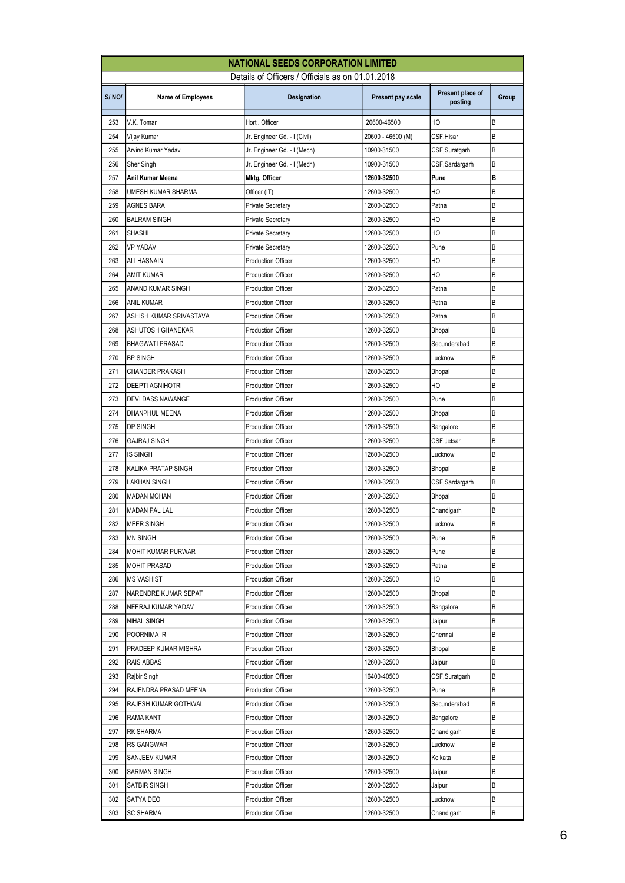|       |                           | <b>NATIONAL SEEDS CORPORATION LIMITED</b>        |                   |                             |       |
|-------|---------------------------|--------------------------------------------------|-------------------|-----------------------------|-------|
|       |                           | Details of Officers / Officials as on 01.01.2018 |                   |                             |       |
| S/NO/ | Name of Employees         | Designation                                      | Present pay scale | Present place of<br>posting | Group |
| 253   | V.K. Tomar                | Horti. Officer                                   | 20600-46500       | HO                          | B     |
| 254   | Vijay Kumar               | Jr. Engineer Gd. - I (Civil)                     | 20600 - 46500 (M) | CSF, Hisar                  | B     |
| 255   | Arvind Kumar Yadav        | Jr. Engineer Gd. - I (Mech)                      | 10900-31500       | CSF, Suratgarh              | В     |
| 256   | Sher Singh                | Jr. Engineer Gd. - I (Mech)                      | 10900-31500       | CSF,Sardargarh              | B     |
| 257   | Anil Kumar Meena          | Mktg. Officer                                    | 12600-32500       | Pune                        | B     |
| 258   | <b>UMESH KUMAR SHARMA</b> | Officer (IT)                                     | 12600-32500       | HO                          | B     |
| 259   | <b>AGNES BARA</b>         | <b>Private Secretary</b>                         | 12600-32500       | Patna                       | B     |
| 260   | <b>BALRAM SINGH</b>       | <b>Private Secretary</b>                         | 12600-32500       | HO                          | B     |
| 261   | <b>SHASHI</b>             | Private Secretary                                | 12600-32500       | HO                          | В     |
| 262   | <b>VP YADAV</b>           | Private Secretary                                | 12600-32500       | Pune                        | B     |
| 263   | ALI HASNAIN               | <b>Production Officer</b>                        | 12600-32500       | HO                          | B     |
| 264   | <b>AMIT KUMAR</b>         | <b>Production Officer</b>                        | 12600-32500       | HO                          | B     |
| 265   | ANAND KUMAR SINGH         | <b>Production Officer</b>                        | 12600-32500       | Patna                       | B     |
| 266   | <b>ANIL KUMAR</b>         | <b>Production Officer</b>                        | 12600-32500       | Patna                       | B     |
| 267   | ASHISH KUMAR SRIVASTAVA   | <b>Production Officer</b>                        | 12600-32500       | Patna                       | B     |
| 268   | ASHUTOSH GHANEKAR         | <b>Production Officer</b>                        | 12600-32500       | Bhopal                      | B     |
| 269   | <b>BHAGWATI PRASAD</b>    | <b>Production Officer</b>                        | 12600-32500       | Secunderabad                | B     |
| 270   | <b>BP SINGH</b>           | <b>Production Officer</b>                        | 12600-32500       | Lucknow                     | B     |
| 271   | <b>CHANDER PRAKASH</b>    | <b>Production Officer</b>                        | 12600-32500       | <b>Bhopal</b>               | В     |
| 272   | <b>DEEPTI AGNIHOTRI</b>   | <b>Production Officer</b>                        | 12600-32500       | HO                          | B     |
| 273   | <b>DEVI DASS NAWANGE</b>  | <b>Production Officer</b>                        | 12600-32500       | Pune                        | B     |
| 274   | DHANPHUL MEENA            | <b>Production Officer</b>                        | 12600-32500       | Bhopal                      | B     |
| 275   | <b>DP SINGH</b>           | <b>Production Officer</b>                        | 12600-32500       | Bangalore                   | B     |
| 276   | GAJRAJ SINGH              | <b>Production Officer</b>                        | 12600-32500       | CSF, Jetsar                 | B     |
| 277   | <b>IS SINGH</b>           | <b>Production Officer</b>                        | 12600-32500       | Lucknow                     | B     |
| 278   | KALIKA PRATAP SINGH       | <b>Production Officer</b>                        | 12600-32500       | Bhopal                      | B     |
| 279   | <b>LAKHAN SINGH</b>       | Production Officer                               | 12600-32500       | CSF, Sardargarh             | B     |
| 280   | <b>MADAN MOHAN</b>        | <b>Production Officer</b>                        | 12600-32500       | Bhopal                      | B     |
| 281   | <b>MADAN PAL LAL</b>      | <b>Production Officer</b>                        | 12600-32500       | Chandigarh                  | B     |
| 282   | <b>MEER SINGH</b>         | Production Officer                               | 12600-32500       | Lucknow                     | B     |
| 283   | <b>MN SINGH</b>           | <b>Production Officer</b>                        | 12600-32500       | Pune                        | B     |
| 284   | <b>MOHIT KUMAR PURWAR</b> | <b>Production Officer</b>                        | 12600-32500       | Pune                        | B     |
| 285   | <b>MOHIT PRASAD</b>       | <b>Production Officer</b>                        | 12600-32500       | Patna                       | B     |
| 286   | <b>MS VASHIST</b>         | Production Officer                               | 12600-32500       | HO                          | В     |
| 287   | NARENDRE KUMAR SEPAT      | Production Officer                               | 12600-32500       | Bhopal                      | В     |
| 288   | NEERAJ KUMAR YADAV        | <b>Production Officer</b>                        | 12600-32500       | Bangalore                   | B     |
| 289   | <b>NIHAL SINGH</b>        | Production Officer                               | 12600-32500       | Jaipur                      | B     |
| 290   | POORNIMA R                | <b>Production Officer</b>                        | 12600-32500       | Chennai                     | B     |
| 291   | PRADEEP KUMAR MISHRA      | Production Officer                               | 12600-32500       | Bhopal                      | В     |
| 292   | RAIS ABBAS                | <b>Production Officer</b>                        | 12600-32500       | Jaipur                      | В     |
| 293   | Rajbir Singh              | <b>Production Officer</b>                        | 16400-40500       | CSF, Suratgarh              | B     |
| 294   | RAJENDRA PRASAD MEENA     | <b>Production Officer</b>                        | 12600-32500       | Pune                        | B     |
| 295   | RAJESH KUMAR GOTHWAL      | <b>Production Officer</b>                        | 12600-32500       | Secunderabad                | B     |
| 296   | RAMA KANT                 | Production Officer                               | 12600-32500       | Bangalore                   | В     |
| 297   | RK SHARMA                 | <b>Production Officer</b>                        | 12600-32500       | Chandigarh                  | B     |
| 298   | RS GANGWAR                | <b>Production Officer</b>                        | 12600-32500       | Lucknow                     | В     |
| 299   | SANJEEV KUMAR             | <b>Production Officer</b>                        | 12600-32500       | Kolkata                     | В     |
| 300   | SARMAN SINGH              | <b>Production Officer</b>                        | 12600-32500       | Jaipur                      | B     |
| 301   | SATBIR SINGH              | <b>Production Officer</b>                        | 12600-32500       | Jaipur                      | В     |
| 302   | SATYA DEO                 | Production Officer                               | 12600-32500       | Lucknow                     | В     |
| 303   | SC SHARMA                 | <b>Production Officer</b>                        | 12600-32500       | Chandigarh                  | В     |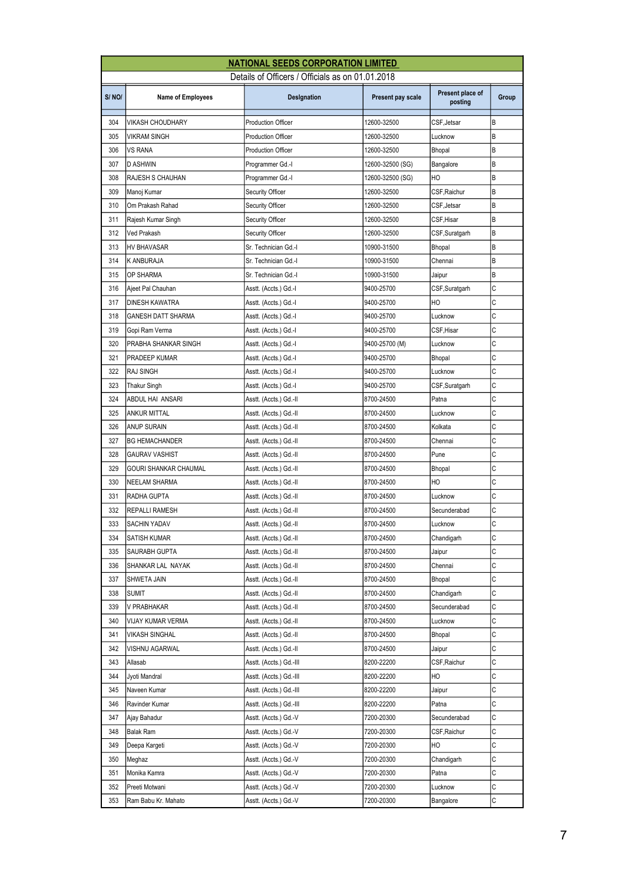|       |                          | <b>NATIONAL SEEDS CORPORATION LIMITED</b>        |                   |                             |       |
|-------|--------------------------|--------------------------------------------------|-------------------|-----------------------------|-------|
|       |                          | Details of Officers / Officials as on 01.01.2018 |                   |                             |       |
| S/NO/ | <b>Name of Employees</b> | Designation                                      | Present pay scale | Present place of<br>posting | Group |
| 304   | VIKASH CHOUDHARY         | <b>Production Officer</b>                        | 12600-32500       | CSF, Jetsar                 | B     |
| 305   | VIKRAM SINGH             | <b>Production Officer</b>                        | 12600-32500       | Lucknow                     | B     |
| 306   | VS RANA                  | <b>Production Officer</b>                        | 12600-32500       | Bhopal                      | B     |
| 307   | D ASHWIN                 | Programmer Gd.-I                                 | 12600-32500 (SG)  | Bangalore                   | В     |
| 308   | RAJESH S CHAUHAN         | Programmer Gd.-I                                 | 12600-32500 (SG)  | HO                          | B     |
| 309   | Manoj Kumar              | <b>Security Officer</b>                          | 12600-32500       | CSF, Raichur                | B     |
| 310   | Om Prakash Rahad         | <b>Security Officer</b>                          | 12600-32500       | CSF,Jetsar                  | B     |
| 311   | Rajesh Kumar Singh       | <b>Security Officer</b>                          | 12600-32500       | CSF,Hisar                   | B     |
| 312   | Ved Prakash              | <b>Security Officer</b>                          | 12600-32500       | CSF,Suratgarh               | В     |
| 313   | HV BHAVASAR              | Sr. Technician Gd.-I                             | 10900-31500       | <b>Bhopal</b>               | B     |
| 314   | K ANBURAJA               | Sr. Technician Gd.-I                             | 10900-31500       | Chennai                     | В     |
| 315   | OP SHARMA                | Sr. Technician Gd.-I                             | 10900-31500       | Jaipur                      | B     |
| 316   | Ajeet Pal Chauhan        | Asstt. (Accts.) Gd.-I                            | 9400-25700        | CSF,Suratgarh               | C     |
| 317   | DINESH KAWATRA           | Asstt. (Accts.) Gd.-I                            | 9400-25700        | HO                          | С     |
| 318   | GANESH DATT SHARMA       | Asstt. (Accts.) Gd.-I                            | 9400-25700        | Lucknow                     | C     |
| 319   | Gopi Ram Verma           | Asstt. (Accts.) Gd.-I                            | 9400-25700        | CSF,Hisar                   | C     |
| 320   | PRABHA SHANKAR SINGH     | Asstt. (Accts.) Gd.-I                            | 9400-25700 (M)    | Lucknow                     | C     |
| 321   | PRADEEP KUMAR            | Asstt. (Accts.) Gd.-I                            | 9400-25700        | Bhopal                      | C     |
| 322   | <b>RAJ SINGH</b>         | Asstt. (Accts.) Gd.-I                            | 9400-25700        | Lucknow                     | C     |
| 323   | Thakur Singh             | Asstt. (Accts.) Gd.-I                            | 9400-25700        | CSF,Suratgarh               | C     |
| 324   | ABDUL HAI ANSARI         | Asstt. (Accts.) Gd.-II                           | 8700-24500        | Patna                       | C     |
| 325   | <b>ANKUR MITTAL</b>      | Asstt. (Accts.) Gd.-II                           | 8700-24500        | Lucknow                     | C     |
| 326   | <b>ANUP SURAIN</b>       | Asstt. (Accts.) Gd.-II                           | 8700-24500        | Kolkata                     | C     |
| 327   | <b>BG HEMACHANDER</b>    | Asstt. (Accts.) Gd.-II                           | 8700-24500        | Chennai                     | С     |
| 328   | GAURAV VASHIST           | Asstt. (Accts.) Gd.-II                           | 8700-24500        | Pune                        | C     |
| 329   | GOURI SHANKAR CHAUMAL    | Asstt. (Accts.) Gd.-II                           | 8700-24500        | Bhopal                      | C     |
| 330   | <b>NEELAM SHARMA</b>     | Asstt. (Accts.) Gd.-II                           | 8700-24500        | HО                          | C     |
| 331   | RADHA GUPTA              | Asstt. (Accts.) Gd.-II                           | 8700-24500        | Lucknow                     | C     |
| 332   | <b>REPALLI RAMESH</b>    | Asstt. (Accts.) Gd.-II                           | 8700-24500        | Secunderabad                | С     |
| 333   | SACHIN YADAV             | Asstt. (Accts.) Gd.-II                           | 8700-24500        | Lucknow                     | C     |
| 334   | SATISH KUMAR             | Asstt. (Accts.) Gd.-II                           | 8700-24500        | Chandigarh                  | С     |
| 335   | SAURABH GUPTA            | Asstt. (Accts.) Gd.-II                           | 8700-24500        | Jaipur                      | С     |
| 336   | SHANKAR LAL NAYAK        | Asstt. (Accts.) Gd.-II                           | 8700-24500        | Chennai                     | С     |
| 337   | SHWETA JAIN              | Asstt. (Accts.) Gd.-II                           | 8700-24500        | Bhopal                      | С     |
| 338   | Sumit                    | Asstt. (Accts.) Gd.-II                           | 8700-24500        | Chandigarh                  | С     |
| 339   | V PRABHAKAR              | Asstt. (Accts.) Gd.-II                           | 8700-24500        | Secunderabad                | С     |
| 340   | VIJAY KUMAR VERMA        | Asstt. (Accts.) Gd.-II                           | 8700-24500        | Lucknow                     | С     |
| 341   | VIKASH SINGHAL           | Asstt. (Accts.) Gd.-II                           | 8700-24500        | Bhopal                      | С     |
| 342   | VISHNU AGARWAL           | Asstt. (Accts.) Gd.-II                           | 8700-24500        | Jaipur                      | С     |
| 343   | Allasab                  | Asstt. (Accts.) Gd.-III                          | 8200-22200        | CSF, Raichur                | С     |
| 344   | Jyoti Mandral            | Asstt. (Accts.) Gd.-III                          | 8200-22200        | HO                          | С     |
| 345   | Naveen Kumar             | Asstt. (Accts.) Gd.-III                          | 8200-22200        | Jaipur                      | С     |
| 346   | Ravinder Kumar           | Asstt. (Accts.) Gd.-III                          | 8200-22200        | Patna                       | С     |
| 347   | Ajay Bahadur             | Asstt. (Accts.) Gd.-V                            | 7200-20300        | Secunderabad                | С     |
| 348   | Balak Ram                | Asstt. (Accts.) Gd.-V                            | 7200-20300        | CSF,Raichur                 | С     |
| 349   | Deepa Kargeti            | Asstt. (Accts.) Gd.-V                            | 7200-20300        | HO                          | С     |
| 350   | Meghaz                   | Asstt. (Accts.) Gd.-V                            | 7200-20300        | Chandigarh                  | С     |
| 351   | Monika Kamra             | Asstt. (Accts.) Gd.-V                            | 7200-20300        | Patna                       | С     |
| 352   | Preeti Motwani           | Asstt. (Accts.) Gd.-V                            | 7200-20300        | Lucknow                     | С     |
| 353   | Ram Babu Kr. Mahato      | Asstt. (Accts.) Gd.-V                            | 7200-20300        | Bangalore                   | С     |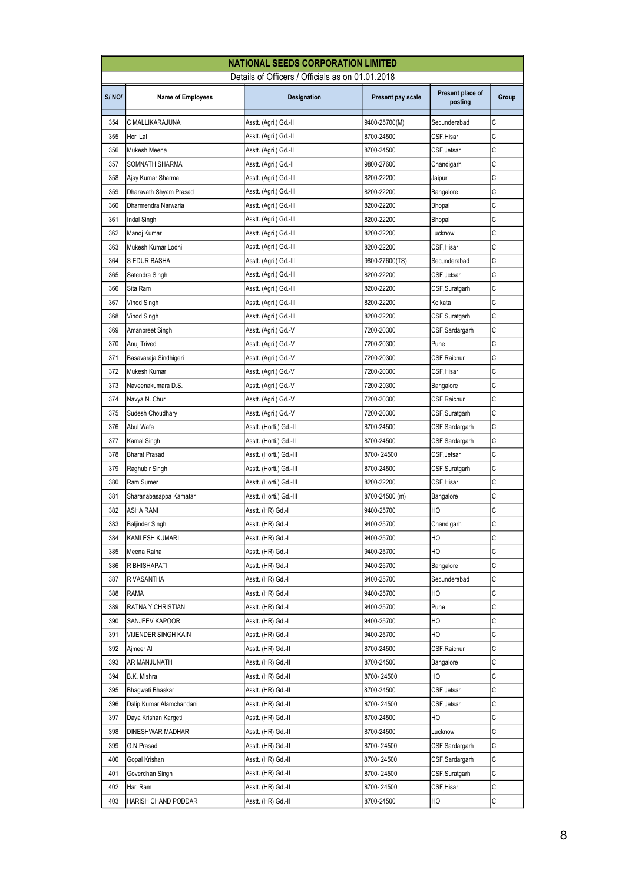|       |                          | <b>NATIONAL SEEDS CORPORATION LIMITED</b>        |                   |                             |       |
|-------|--------------------------|--------------------------------------------------|-------------------|-----------------------------|-------|
|       |                          | Details of Officers / Officials as on 01.01.2018 |                   |                             |       |
| S/NO/ | <b>Name of Employees</b> | Designation                                      | Present pay scale | Present place of<br>posting | Group |
| 354   | C MALLIKARAJUNA          | Asstt. (Agri.) Gd.-II                            | 9400-25700(M)     | Secunderabad                | C     |
| 355   | Hori Lal                 | Asstt. (Agri.) Gd.-II                            | 8700-24500        | CSF, Hisar                  | C     |
| 356   | Mukesh Meena             | Asstt. (Agri.) Gd.-II                            | 8700-24500        | CSF,Jetsar                  | C     |
| 357   | SOMNATH SHARMA           | Asstt. (Agri.) Gd.-II                            | 9800-27600        | Chandigarh                  | С     |
| 358   | Ajay Kumar Sharma        | Asstt. (Agri.) Gd.-III                           | 8200-22200        | Jaipur                      | C     |
| 359   | Dharavath Shyam Prasad   | Asstt. (Agri.) Gd.-III                           | 8200-22200        | Bangalore                   | С     |
| 360   | Dharmendra Narwaria      | Asstt. (Agri.) Gd.-III                           | 8200-22200        | <b>Bhopal</b>               | C     |
| 361   | Indal Singh              | Asstt. (Agri.) Gd.-III                           | 8200-22200        | <b>Bhopal</b>               | C     |
| 362   | Manoj Kumar              | Asstt. (Agri.) Gd.-III                           | 8200-22200        | Lucknow                     | С     |
| 363   | Mukesh Kumar Lodhi       | Asstt. (Agri.) Gd.-III                           | 8200-22200        | CSF,Hisar                   | C     |
| 364   | S EDUR BASHA             | Asstt. (Agri.) Gd.-III                           | 9800-27600(TS)    | Secunderabad                | C     |
| 365   | Satendra Singh           | Asstt. (Agri.) Gd.-III                           | 8200-22200        | CSF, Jetsar                 | C     |
| 366   | Sita Ram                 | Asstt. (Agri.) Gd.-III                           | 8200-22200        | CSF,Suratgarh               | С     |
| 367   | Vinod Singh              | Asstt. (Agri.) Gd.-III                           | 8200-22200        | Kolkata                     | С     |
| 368   | <b>Vinod Singh</b>       | Asstt. (Agri.) Gd.-III                           | 8200-22200        | CSF,Suratgarh               | C     |
| 369   | Amanpreet Singh          | Asstt. (Agri.) Gd.-V                             | 7200-20300        | CSF,Sardargarh              | C     |
| 370   | Anuj Trivedi             | Asstt. (Agri.) Gd.-V                             | 7200-20300        | Pune                        | C     |
| 371   | Basavaraja Sindhigeri    | Asstt. (Agri.) Gd.-V                             | 7200-20300        | CSF,Raichur                 | С     |
| 372   | Mukesh Kumar             | Asstt. (Agri.) Gd.-V                             | 7200-20300        | CSF,Hisar                   | С     |
| 373   | Naveenakumara D.S.       | Asstt. (Agri.) Gd.-V                             | 7200-20300        | Bangalore                   | C     |
| 374   | Navya N. Churi           | Asstt. (Agri.) Gd.-V                             | 7200-20300        | CSF, Raichur                | C     |
| 375   | Sudesh Choudhary         | Asstt. (Agri.) Gd.-V                             | 7200-20300        | CSF,Suratgarh               | C     |
| 376   | Abul Wafa                | Asstt. (Horti.) Gd.-II                           | 8700-24500        | CSF,Sardargarh              | С     |
| 377   | Kamal Singh              | Asstt. (Horti.) Gd.-II                           | 8700-24500        | CSF,Sardargarh              | С     |
| 378   | <b>Bharat Prasad</b>     | Asstt. (Horti.) Gd.-III                          | 8700-24500        | CSF,Jetsar                  | C     |
| 379   | Raghubir Singh           | Asstt. (Horti.) Gd.-III                          | 8700-24500        | CSF,Suratgarh               | C     |
| 380   | Ram Sumer                | Asstt. (Horti.) Gd.-III                          | 8200-22200        | CSF, Hisar                  | C     |
| 381   | Sharanabasappa Kamatar   | Asstt. (Horti.) Gd.-III                          | 8700-24500 (m)    | Bangalore                   | C     |
| 382   | ASHA RANI                | Asstt. (HR) Gd.-I                                | 9400-25700        | HО                          | С     |
| 383   | Baljinder Singh          | Asstt. (HR) Gd.-I                                | 9400-25700        | Chandigarh                  | C     |
| 384   | KAMLESH KUMARI           | Asstt. (HR) Gd.-I                                | 9400-25700        | HO                          | С     |
| 385   | Meena Raina              | Asstt. (HR) Gd.-I                                | 9400-25700        | HO                          | С     |
| 386   | R BHISHAPATI             | Asstt. (HR) Gd.-I                                | 9400-25700        | Bangalore                   | С     |
| 387   | R VASANTHA               | Asstt. (HR) Gd.-I                                | 9400-25700        | Secunderabad                | С     |
| 388   | RAMA                     | Asstt. (HR) Gd.-I                                | 9400-25700        | HО                          | С     |
| 389   | RATNA Y.CHRISTIAN        | Asstt. (HR) Gd.-I                                | 9400-25700        | Pune                        | С     |
| 390   | SANJEEV KAPOOR           | Asstt. (HR) Gd.-I                                | 9400-25700        | HO                          | С     |
| 391   | VIJENDER SINGH KAIN      | Asstt. (HR) Gd.-I                                | 9400-25700        | HO                          | С     |
| 392   | Ajmeer Ali               | Asstt. (HR) Gd.-II                               | 8700-24500        | CSF, Raichur                | С     |
| 393   | AR MANJUNATH             | Asstt. (HR) Gd.-II                               | 8700-24500        | Bangalore                   | С     |
| 394   | B.K. Mishra              | Asstt. (HR) Gd.-II                               | 8700-24500        | HO                          | С     |
| 395   | Bhagwati Bhaskar         | Asstt. (HR) Gd.-II                               | 8700-24500        | CSF,Jetsar                  | С     |
| 396   | Dalip Kumar Alamchandani | Asstt. (HR) Gd.-II                               | 8700-24500        | CSF,Jetsar                  | С     |
| 397   | Daya Krishan Kargeti     | Asstt. (HR) Gd.-II                               | 8700-24500        | HО                          | С     |
| 398   | DINESHWAR MADHAR         | Asstt. (HR) Gd.-II                               | 8700-24500        | Lucknow                     | C     |
| 399   | G.N.Prasad               | Asstt. (HR) Gd.-II                               | 8700-24500        | CSF,Sardargarh              | С     |
| 400   | Gopal Krishan            | Asstt. (HR) Gd.-II                               | 8700-24500        | CSF,Sardargarh              | С     |
| 401   | Goverdhan Singh          | Asstt. (HR) Gd.-II                               | 8700-24500        | CSF,Suratgarh               | С     |
| 402   | Hari Ram                 | Asstt. (HR) Gd.-II                               | 8700-24500        | CSF,Hisar                   | С     |
| 403   | HARISH CHAND PODDAR      | Asstt. (HR) Gd.-II                               | 8700-24500        | HO                          | С     |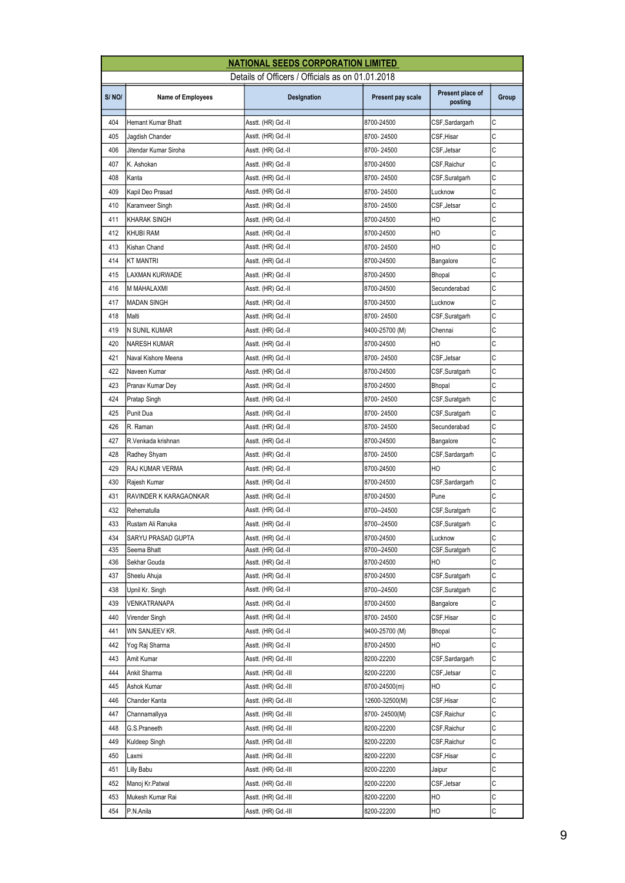|       |                           | <b>NATIONAL SEEDS CORPORATION LIMITED</b>        |                   |                             |       |
|-------|---------------------------|--------------------------------------------------|-------------------|-----------------------------|-------|
|       |                           | Details of Officers / Officials as on 01.01.2018 |                   |                             |       |
| S/NO/ | <b>Name of Employees</b>  | Designation                                      | Present pay scale | Present place of<br>posting | Group |
| 404   | <b>Hemant Kumar Bhatt</b> | Asstt. (HR) Gd.-II                               | 8700-24500        | CSF, Sardargarh             | C     |
| 405   | Jagdish Chander           | Asstt. (HR) Gd.-II                               | 8700-24500        | CSF,Hisar                   | C     |
| 406   | Jitendar Kumar Siroha     | Asstt. (HR) Gd.-II                               | 8700-24500        | CSF,Jetsar                  | C     |
| 407   | K. Ashokan                | Asstt. (HR) Gd.-II                               | 8700-24500        | CSF,Raichur                 | С     |
| 408   | Kanta                     | Asstt. (HR) Gd.-II                               | 8700-24500        | CSF,Suratgarh               | C     |
| 409   | Kapil Deo Prasad          | Asstt. (HR) Gd.-II                               | 8700-24500        | Lucknow                     | C     |
| 410   | Karamveer Singh           | Asstt. (HR) Gd.-II                               | 8700-24500        | CSF, Jetsar                 | C     |
| 411   | <b>KHARAK SINGH</b>       | Asstt. (HR) Gd.-II                               | 8700-24500        | HO                          | C     |
| 412   | <b>KHUBI RAM</b>          | Asstt. (HR) Gd.-II                               | 8700-24500        | HO                          | С     |
| 413   | Kishan Chand              | Asstt. (HR) Gd.-II                               | 8700-24500        | HO                          | C     |
| 414   | <b>KT MANTRI</b>          | Asstt. (HR) Gd.-II                               | 8700-24500        | Bangalore                   | C     |
| 415   | LAXMAN KURWADE            | Asstt. (HR) Gd.-II                               | 8700-24500        | <b>Bhopal</b>               | C     |
| 416   | M MAHALAXMI               | Asstt. (HR) Gd.-II                               | 8700-24500        | Secunderabad                | C     |
| 417   | <b>MADAN SINGH</b>        | Asstt. (HR) Gd.-II                               | 8700-24500        | Lucknow                     | С     |
| 418   | Malti                     | Asstt. (HR) Gd.-II                               | 8700-24500        | CSF,Suratgarh               | C     |
| 419   | N SUNIL KUMAR             | Asstt. (HR) Gd.-II                               | 9400-25700 (M)    | Chennai                     | C     |
| 420   | <b>NARESH KUMAR</b>       | Asstt. (HR) Gd.-II                               | 8700-24500        | HO                          | C     |
| 421   | Naval Kishore Meena       | Asstt. (HR) Gd.-II                               | 8700-24500        | CSF, Jetsar                 | C     |
| 422   | Naveen Kumar              | Asstt. (HR) Gd.-II                               | 8700-24500        | CSF,Suratgarh               | C     |
| 423   | Pranav Kumar Dey          | Asstt. (HR) Gd.-II                               | 8700-24500        | Bhopal                      | C     |
| 424   | Pratap Singh              | Asstt. (HR) Gd.-II                               | 8700-24500        | CSF,Suratgarh               | C     |
| 425   | Punit Dua                 | Asstt. (HR) Gd.-II                               | 8700-24500        | CSF,Suratgarh               | C     |
| 426   | R. Raman                  | Asstt. (HR) Gd.-II                               | 8700-24500        | Secunderabad                | C     |
| 427   | R.Venkada krishnan        | Asstt. (HR) Gd.-II                               | 8700-24500        | Bangalore                   | С     |
| 428   | Radhey Shyam              | Asstt. (HR) Gd.-II                               | 8700-24500        | CSF,Sardargarh              | C     |
| 429   | RAJ KUMAR VERMA           | Asstt. (HR) Gd.-II                               | 8700-24500        | HO                          | C     |
| 430   | Rajesh Kumar              | Asstt. (HR) Gd.-II                               | 8700-24500        | CSF, Sardargarh             | C     |
| 431   | RAVINDER K KARAGAONKAR    | Asstt. (HR) Gd.-II                               | 8700-24500        | Pune                        | C     |
| 432   | Rehematulla               | Asstt. (HR) Gd.-II                               | 8700--24500       | CSF,Suratgarh               | С     |
| 433   | Rustam Ali Ranuka         |                                                  | 8700--24500       | CSF, Suratgarh              | C     |
| 434   | SARYU PRASAD GUPTA        | Asstt. (HR) Gd.-II<br>Asstt. (HR) Gd.-II         | 8700-24500        | Lucknow                     | С     |
| 435   | Seema Bhatt               | Asstt. (HR) Gd.-II                               | 8700--24500       | CSF,Suratgarh               | С     |
| 436   | Sekhar Gouda              | Asstt. (HR) Gd.-II                               | 8700-24500        | HO                          | С     |
| 437   | Sheelu Ahuja              | Asstt. (HR) Gd.-II                               | 8700-24500        | CSF, Suratgarh              | С     |
| 438   | Upnil Kr. Singh           | Asstt. (HR) Gd.-II                               | 8700--24500       | CSF,Suratgarh               | С     |
| 439   | VENKATRANAPA              | Asstt. (HR) Gd.-II                               | 8700-24500        | Bangalore                   | С     |
| 440   | Virender Singh            | Asstt. (HR) Gd.-II                               | 8700-24500        | CSF,Hisar                   | С     |
| 441   | WN SANJEEV KR.            | Asstt. (HR) Gd.-II                               | 9400-25700 (M)    | Bhopal                      | С     |
| 442   | Yog Raj Sharma            | Asstt. (HR) Gd.-II                               | 8700-24500        | HO                          | С     |
| 443   | Amit Kumar                | Asstt. (HR) Gd.-III                              | 8200-22200        | CSF,Sardargarh              | С     |
| 444   | Ankit Sharma              | Asstt. (HR) Gd.-III                              | 8200-22200        | CSF,Jetsar                  | С     |
| 445   | Ashok Kumar               | Asstt. (HR) Gd.-III                              | 8700-24500(m)     | HО                          | С     |
| 446   | Chander Kanta             | Asstt. (HR) Gd.-III                              | 12600-32500(M)    | CSF,Hisar                   | С     |
| 447   | Channamallyya             | Asstt. (HR) Gd.-III                              | 8700-24500(M)     | CSF,Raichur                 | С     |
| 448   | G.S.Praneeth              | Asstt. (HR) Gd.-III                              | 8200-22200        | CSF,Raichur                 | С     |
| 449   | Kuldeep Singh             | Asstt. (HR) Gd.-III                              | 8200-22200        | CSF,Raichur                 | С     |
| 450   | Laxmi                     | Asstt. (HR) Gd.-III                              | 8200-22200        | CSF,Hisar                   | С     |
| 451   | Lilly Babu                | Asstt. (HR) Gd.-III                              | 8200-22200        | Jaipur                      | С     |
| 452   | Manoj Kr.Patwal           | Asstt. (HR) Gd.-III                              | 8200-22200        | CSF, Jetsar                 | С     |
| 453   | Mukesh Kumar Rai          | Asstt. (HR) Gd.-III                              | 8200-22200        | НO                          | С     |
| 454   | P.N.Anila                 | Asstt. (HR) Gd.-III                              | 8200-22200        | HО                          | С     |
|       |                           |                                                  |                   |                             |       |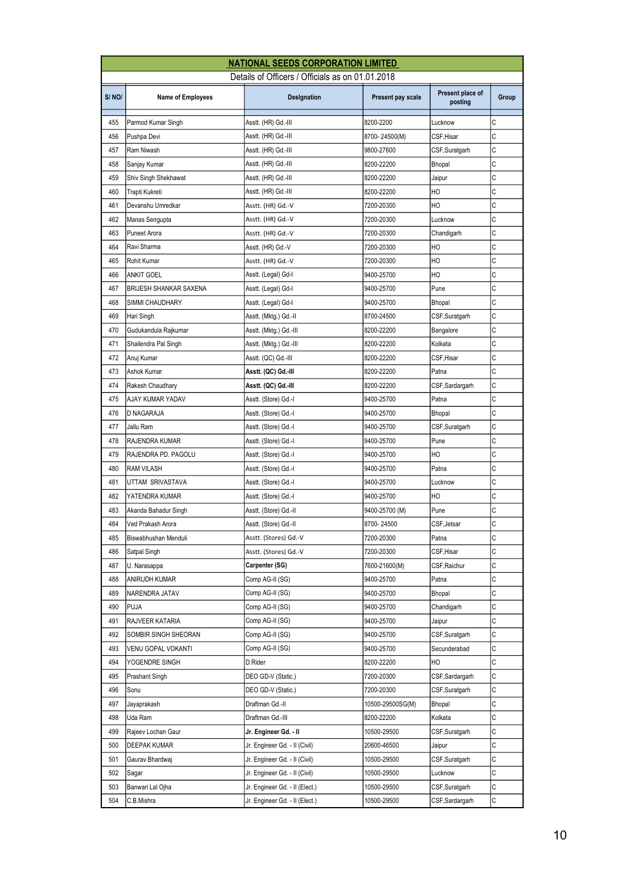|       |                          | <b>NATIONAL SEEDS CORPORATION LIMITED</b>        |                   |                             |       |
|-------|--------------------------|--------------------------------------------------|-------------------|-----------------------------|-------|
|       |                          | Details of Officers / Officials as on 01.01.2018 |                   |                             |       |
| S/NO/ | <b>Name of Employees</b> | Designation                                      | Present pay scale | Present place of<br>posting | Group |
| 455   | Parmod Kumar Singh       | Asstt. (HR) Gd.-III                              | 8200-2200         | Lucknow                     | C     |
| 456   | Pushpa Devi              | Asstt. (HR) Gd.-III                              | 8700-24500(M)     | CSF, Hisar                  | C     |
| 457   | Ram Niwash               | Asstt. (HR) Gd.-III                              | 9800-27600        | CSF, Suratgarh              | C     |
| 458   | Sanjay Kumar             | Asstt. (HR) Gd.-III                              | 8200-22200        | Bhopal                      | C     |
| 459   | Shiv Singh Shekhawat     | Asstt. (HR) Gd.-III                              | 8200-22200        | Jaipur                      | C     |
| 460   | Trapti Kukreti           | Asstt. (HR) Gd.-III                              | 8200-22200        | HO                          | C     |
| 461   | Devanshu Umredkar        | Asstt. (HR) Gd.-V                                | 7200-20300        | HO                          | C     |
| 462   | Manas Sengupta           | Asstt. (HR) Gd.-V                                | 7200-20300        | Lucknow                     | C     |
| 463   | Puneet Arora             | Asstt. (HR) Gd.-V                                | 7200-20300        | Chandigarh                  | С     |
| 464   | Ravi Sharma              | Asstt. (HR) Gd.-V                                | 7200-20300        | HO                          | C     |
| 465   | Rohit Kumar              | Asstt. (HR) Gd.-V                                | 7200-20300        | HO                          | C     |
| 466   | ANKIT GOEL               | Asstt. (Legal) Gd-I                              | 9400-25700        | HO                          | C     |
| 467   | BRIJESH SHANKAR SAXENA   | Asstt. (Legal) Gd-I                              | 9400-25700        | Pune                        | C     |
| 468   | SIMMI CHAUDHARY          | Asstt. (Legal) Gd-I                              | 9400-25700        | Bhopal                      | C     |
| 469   | Hari Singh               | Asstt. (Mktg.) Gd.-II                            | 8700-24500        | CSF,Suratgarh               | С     |
| 470   | Gudukandula Rajkumar     | Asstt. (Mktg.) Gd.-III                           | 8200-22200        | Bangalore                   | C     |
| 471   | Shailendra Pal Singh     | Asstt. (Mktg.) Gd.-III                           | 8200-22200        | Kolkata                     | C     |
| 472   | Anuj Kumar               | Asstt. (QC) Gd.-III                              | 8200-22200        | CSF,Hisar                   | C     |
| 473   | Ashok Kumar              | Asstt. (QC) Gd.-III                              | 8200-22200        | Patna                       | C     |
| 474   | Rakesh Chaudhary         | Asstt. (QC) Gd.-III                              | 8200-22200        | CSF,Sardargarh              | C     |
| 475   | AJAY KUMAR YADAV         | Asstt. (Store) Gd.-I                             | 9400-25700        | Patna                       | C     |
| 476   | D NAGARAJA               | Asstt. (Store) Gd.-I                             | 9400-25700        | Bhopal                      | C     |
| 477   | Jallu Ram                | Asstt. (Store) Gd.-I                             | 9400-25700        | CSF,Suratgarh               | C     |
| 478   | RAJENDRA KUMAR           | Asstt. (Store) Gd.-I                             | 9400-25700        | Pune                        | C     |
| 479   | RAJENDRA PD. PAGOLU      | Asstt. (Store) Gd.-I                             | 9400-25700        | HO                          | C     |
| 480   | RAM VILASH               | Asstt. (Store) Gd.-I                             | 9400-25700        | Patna                       | С     |
| 481   | UTTAM SRIVASTAVA         | Asstt. (Store) Gd.-I                             | 9400-25700        | Lucknow                     | C     |
| 482   | YATENDRA KUMAR           | Asstt. (Store) Gd.-I                             | 9400-25700        | HO                          | C     |
| 483   | Akanda Bahadur Singh     | Asstt. (Store) Gd.-II                            | 9400-25700 (M)    | Pune                        | C     |
| 484   | Ved Prakash Arora        | Asstt. (Store) Gd.-II                            | 8700-24500        | CSF.Jetsar                  | C     |
| 485   | Biswabhushan Menduli     | Asstt. (Stores) Gd.-V                            | 7200-20300        | Patna                       | С     |
| 486   | Satpal Singh             | Asstt. (Stores) Gd.-V                            | 7200-20300        | CSF,Hisar                   | С     |
| 487   | U. Narasappa             | Carpenter (SG)                                   | 7600-21600(M)     | CSF,Raichur                 | С     |
| 488   | ANIRUDH KUMAR            | Comp AG-II (SG)                                  | 9400-25700        | Patna                       | С     |
| 489   | NARENDRA JATAV           | Comp AG-II (SG)                                  | 9400-25700        | Bhopal                      | C     |
| 490   | PUJA                     | Comp AG-II (SG)                                  | 9400-25700        | Chandigarh                  | С     |
| 491   | RAJVEER KATARIA          | Comp AG-II (SG)                                  | 9400-25700        | Jaipur                      | C     |
| 492   | SOMBIR SINGH SHEORAN     | Comp AG-II (SG)                                  | 9400-25700        | CSF, Suratgarh              | С     |
| 493   | VENU GOPAL VOKANTI       | Comp AG-II (SG)                                  | 9400-25700        | Secunderabad                | С     |
| 494   | YOGENDRE SINGH           | D.Rider                                          | 8200-22200        | HO                          | С     |
| 495   | Prashant Singh           | DEO GD-V (Static.)                               | 7200-20300        | CSF,Sardargarh              | С     |
| 496   | Sonu                     | DEO GD-V (Static.)                               | 7200-20300        | CSF,Suratgarh               | C     |
| 497   | Jayaprakash              | Draftman Gd.-II                                  | 10500-29500SG(M)  | Bhopal                      | С     |
| 498   | Uda Ram                  | Draftman Gd.-III                                 | 8200-22200        | Kolkata                     | С     |
| 499   | Rajeev Lochan Gaur       | Jr. Engineer Gd. - II                            | 10500-29500       | CSF, Suratgarh              | С     |
| 500   | DEEPAK KUMAR             | Jr. Engineer Gd. - II (Civil)                    | 20600-46500       | Jaipur                      | С     |
| 501   | Gaurav Bhardwaj          | Jr. Engineer Gd. - II (Civil)                    | 10500-29500       | CSF,Suratgarh               | C     |
| 502   | Sagar                    | Jr. Engineer Gd. - II (Civil)                    | 10500-29500       | Lucknow                     | С     |
| 503   | Banwari Lal Ojha         | Jr. Engineer Gd. - II (Elect.)                   | 10500-29500       | CSF,Suratgarh               | С     |
| 504   | C.B.Mishra               | Jr. Engineer Gd. - II (Elect.)                   | 10500-29500       | CSF, Sardargarh             | С     |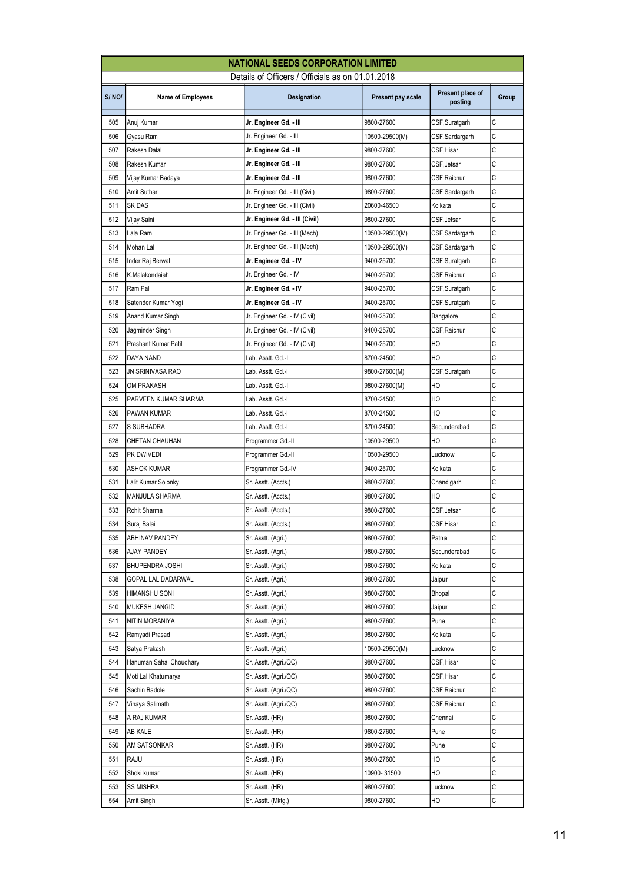|       |                          | <b>NATIONAL SEEDS CORPORATION LIMITED</b>        |                   |                             |       |
|-------|--------------------------|--------------------------------------------------|-------------------|-----------------------------|-------|
|       |                          | Details of Officers / Officials as on 01.01.2018 |                   |                             |       |
| S/NO/ | <b>Name of Employees</b> | Designation                                      | Present pay scale | Present place of<br>posting | Group |
| 505   | Anuj Kumar               | Jr. Engineer Gd. - III                           | 9800-27600        | CSF, Suratgarh              | С     |
| 506   | Gyasu Ram                | Jr. Engineer Gd. - III                           | 10500-29500(M)    | CSF,Sardargarh              | C     |
| 507   | Rakesh Dalal             | Jr. Engineer Gd. - III                           | 9800-27600        | CSF,Hisar                   | С     |
| 508   | Rakesh Kumar             | Jr. Engineer Gd. - III                           | 9800-27600        | CSF,Jetsar                  | С     |
| 509   | Vijay Kumar Badaya       | Jr. Engineer Gd. - III                           | 9800-27600        | CSF, Raichur                | C     |
| 510   | Amit Suthar              | Jr. Engineer Gd. - III (Civil)                   | 9800-27600        | CSF,Sardargarh              | С     |
| 511   | SK DAS                   | Jr. Engineer Gd. - III (Civil)                   | 20600-46500       | Kolkata                     | C     |
| 512   | Vijay Saini              | Jr. Engineer Gd. - III (Civil)                   | 9800-27600        | CSF, Jetsar                 | C     |
| 513   | Lala Ram                 | Jr. Engineer Gd. - III (Mech)                    | 10500-29500(M)    | CSF,Sardargarh              | C     |
| 514   | Mohan Lal                | Jr. Engineer Gd. - III (Mech)                    | 10500-29500(M)    | CSF,Sardargarh              | C     |
| 515   | Inder Raj Berwal         | Jr. Engineer Gd. - IV                            | 9400-25700        | CSF, Suratgarh              | C     |
| 516   | K.Malakondaiah           | Jr. Engineer Gd. - IV                            | 9400-25700        | CSF, Raichur                | C     |
| 517   | Ram Pal                  | Jr. Engineer Gd. - IV                            | 9400-25700        | CSF,Suratgarh               | С     |
| 518   | Satender Kumar Yogi      | Jr. Engineer Gd. - IV                            | 9400-25700        | CSF, Suratgarh              | С     |
| 519   | Anand Kumar Singh        | Jr. Engineer Gd. - IV (Civil)                    | 9400-25700        | Bangalore                   | С     |
| 520   | Jagminder Singh          | Jr. Engineer Gd. - IV (Civil)                    | 9400-25700        | CSF, Raichur                | С     |
| 521   | Prashant Kumar Patil     | Jr. Engineer Gd. - IV (Civil)                    | 9400-25700        | HO                          | C     |
| 522   | DAYA NAND                | Lab. Asstt. Gd.-I                                | 8700-24500        | HO                          | C     |
| 523   | JN SRINIVASA RAO         | Lab. Asstt. Gd.-I                                | 9800-27600(M)     | CSF,Suratgarh               | C     |
| 524   | <b>OM PRAKASH</b>        | Lab. Asstt. Gd.-I                                | 9800-27600(M)     | HO                          | C     |
| 525   | PARVEEN KUMAR SHARMA     | Lab. Asstt. Gd.-I                                | 8700-24500        | HO                          | C     |
| 526   | PAWAN KUMAR              | Lab. Asstt. Gd.-I                                | 8700-24500        | HO                          | C     |
| 527   | S SUBHADRA               | Lab. Asstt. Gd.-I                                | 8700-24500        | Secunderabad                | C     |
| 528   | CHETAN CHAUHAN           | Programmer Gd.-II                                | 10500-29500       | HO                          | С     |
| 529   | PK DWIVEDI               | Programmer Gd.-II                                | 10500-29500       | Lucknow                     | C     |
| 530   | <b>ASHOK KUMAR</b>       | Programmer Gd.-IV                                | 9400-25700        | Kolkata                     | C     |
| 531   | Lalit Kumar Solonky      | Sr. Asstt. (Accts.)                              | 9800-27600        | Chandigarh                  | C     |
| 532   | <b>MANJULA SHARMA</b>    | Sr. Asstt. (Accts.)                              | 9800-27600        | HO                          | C     |
| 533   | Rohit Sharma             | Sr. Asstt. (Accts.)                              | 9800-27600        | CSF, Jetsar                 | C     |
| 534   | Suraj Balai              | Sr. Asstt. (Accts.)                              | 9800-27600        | CSF,Hisar                   | C     |
| 535   | ABHINAV PANDEY           | Sr. Asstt. (Agri.)                               | 9800-27600        | Patna                       | С     |
| 536   | AJAY PANDEY              | Sr. Asstt. (Agri.)                               | 9800-27600        | Secunderabad                | С     |
| 537   | <b>BHUPENDRA JOSHI</b>   | Sr. Asstt. (Agri.)                               | 9800-27600        | Kolkata                     | С     |
| 538   | GOPAL LAL DADARWAL       | Sr. Asstt. (Agri.)                               | 9800-27600        | Jaipur                      | С     |
| 539   | HIMANSHU SONI            | Sr. Asstt. (Agri.)                               | 9800-27600        | Bhopal                      | С     |
| 540   | MUKESH JANGID            | Sr. Asstt. (Agri.)                               | 9800-27600        | Jaipur                      | С     |
| 541   | NITIN MORANIYA           | Sr. Asstt. (Agri.)                               | 9800-27600        | Pune                        | С     |
| 542   | Ramyadi Prasad           | Sr. Asstt. (Agri.)                               | 9800-27600        | Kolkata                     | С     |
| 543   | Satya Prakash            | Sr. Asstt. (Agri.)                               | 10500-29500(M)    | Lucknow                     | С     |
| 544   | Hanuman Sahai Choudhary  | Sr. Asstt. (Agri./QC)                            | 9800-27600        | CSF,Hisar                   | С     |
| 545   | Moti Lal Khatumarya      | Sr. Asstt. (Agri./QC)                            | 9800-27600        | CSF,Hisar                   | С     |
| 546   | Sachin Badole            | Sr. Asstt. (Agri./QC)                            | 9800-27600        | CSF,Raichur                 | С     |
| 547   | Vinaya Salimath          | Sr. Asstt. (Agri./QC)                            | 9800-27600        | CSF, Raichur                | С     |
| 548   | A RAJ KUMAR              | Sr. Asstt. (HR)                                  | 9800-27600        | Chennai                     | С     |
| 549   | AB KALE                  | Sr. Asstt. (HR)                                  | 9800-27600        | Pune                        | С     |
| 550   | AM SATSONKAR             | Sr. Asstt. (HR)                                  | 9800-27600        | Pune                        | С     |
| 551   | RAJU                     | Sr. Asstt. (HR)                                  | 9800-27600        | HO                          | С     |
| 552   | Shoki kumar              | Sr. Asstt. (HR)                                  | 10900-31500       | НO                          | С     |
| 553   | SS MISHRA                | Sr. Asstt. (HR)                                  | 9800-27600        | Lucknow                     | С     |
| 554   | Amit Singh               | Sr. Asstt. (Mktg.)                               | 9800-27600        | HО                          | С     |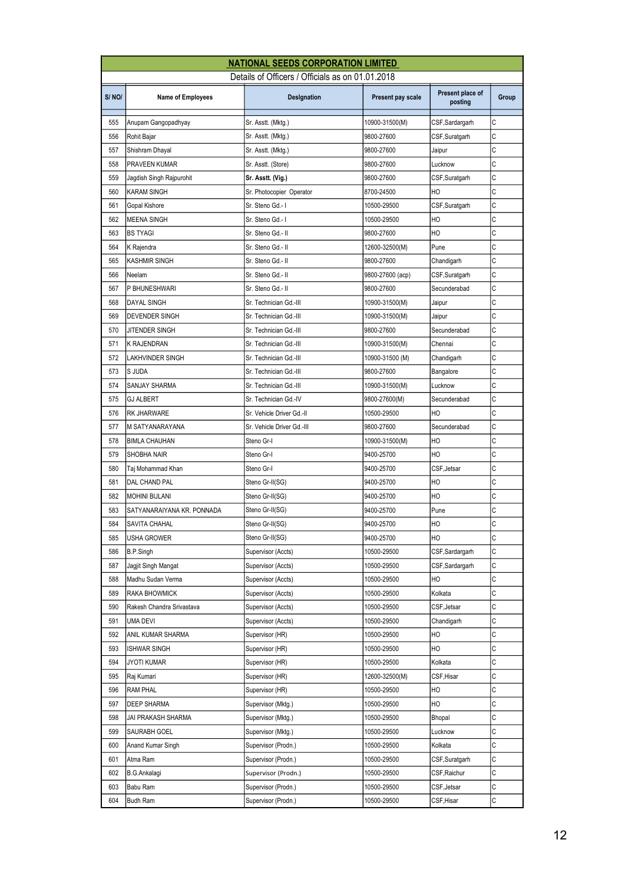| Details of Officers / Officials as on 01.01.2018<br>Present place of<br>S/NO/<br>Designation<br>Present pay scale<br><b>Name of Employees</b><br>posting<br>C<br>555<br>CSF,Sardargarh<br>Anupam Gangopadhyay<br>Sr. Asstt. (Mktg.)<br>10900-31500(M)<br>C<br>556<br>Rohit Bajar<br>Sr. Asstt. (Mktg.)<br>9800-27600<br>CSF, Suratgarh<br>Ċ<br>557<br>Sr. Asstt. (Mktg.)<br>Shishram Dhayal<br>9800-27600<br>Jaipur<br>C<br>558<br>PRAVEEN KUMAR<br>Sr. Asstt. (Store)<br>9800-27600<br>Lucknow<br>C<br>559<br>Jagdish Singh Rajpurohit<br>Sr. Asstt. (Vig.)<br>9800-27600<br>CSF,Suratgarh | Group |
|---------------------------------------------------------------------------------------------------------------------------------------------------------------------------------------------------------------------------------------------------------------------------------------------------------------------------------------------------------------------------------------------------------------------------------------------------------------------------------------------------------------------------------------------------------------------------------------------|-------|
|                                                                                                                                                                                                                                                                                                                                                                                                                                                                                                                                                                                             |       |
|                                                                                                                                                                                                                                                                                                                                                                                                                                                                                                                                                                                             |       |
|                                                                                                                                                                                                                                                                                                                                                                                                                                                                                                                                                                                             |       |
|                                                                                                                                                                                                                                                                                                                                                                                                                                                                                                                                                                                             |       |
|                                                                                                                                                                                                                                                                                                                                                                                                                                                                                                                                                                                             |       |
|                                                                                                                                                                                                                                                                                                                                                                                                                                                                                                                                                                                             |       |
|                                                                                                                                                                                                                                                                                                                                                                                                                                                                                                                                                                                             |       |
| Ċ<br>Sr. Photocopier Operator<br>HO<br>560<br><b>KARAM SINGH</b><br>8700-24500                                                                                                                                                                                                                                                                                                                                                                                                                                                                                                              |       |
| C<br>561<br>Sr. Steno Gd.-1<br>CSF, Suratgarh<br>Gopal Kishore<br>10500-29500                                                                                                                                                                                                                                                                                                                                                                                                                                                                                                               |       |
| C<br>562<br>HO<br><b>MEENA SINGH</b><br>Sr. Steno Gd.- I<br>10500-29500                                                                                                                                                                                                                                                                                                                                                                                                                                                                                                                     |       |
| C<br>HO<br>563<br><b>BS TYAGI</b><br>Sr. Steno Gd.- II<br>9800-27600                                                                                                                                                                                                                                                                                                                                                                                                                                                                                                                        |       |
| C<br>564<br>Sr. Steno Gd.- II<br>Pune<br>K Rajendra<br>12600-32500(M)                                                                                                                                                                                                                                                                                                                                                                                                                                                                                                                       |       |
| Ċ<br>565<br>KASHMIR SINGH<br>Sr. Steno Gd.- II<br>9800-27600<br>Chandigarh                                                                                                                                                                                                                                                                                                                                                                                                                                                                                                                  |       |
| C<br>566<br>Sr. Steno Gd.- II<br>Neelam<br>9800-27600 (acp)<br>CSF, Suratgarh                                                                                                                                                                                                                                                                                                                                                                                                                                                                                                               |       |
| C<br>Sr. Steno Gd.- II<br>P BHUNESHWARI<br>567<br>9800-27600<br>Secunderabad                                                                                                                                                                                                                                                                                                                                                                                                                                                                                                                |       |
| C<br>568<br>DAYAL SINGH<br>Sr. Technician Gd.-III<br>10900-31500(M)<br>Jaipur                                                                                                                                                                                                                                                                                                                                                                                                                                                                                                               |       |
| C<br>569<br><b>DEVENDER SINGH</b><br>Sr. Technician Gd.-III<br>10900-31500(M)<br>Jaipur                                                                                                                                                                                                                                                                                                                                                                                                                                                                                                     |       |
| C<br>570<br>JITENDER SINGH<br>Sr. Technician Gd.-III<br>9800-27600<br>Secunderabad                                                                                                                                                                                                                                                                                                                                                                                                                                                                                                          |       |
| C<br>571<br>K RAJENDRAN<br>Sr. Technician Gd.-III<br>10900-31500(M)<br>Chennai                                                                                                                                                                                                                                                                                                                                                                                                                                                                                                              |       |
| C<br>572<br>LAKHVINDER SINGH<br>Sr. Technician Gd.-III<br>10900-31500 (M)<br>Chandigarh                                                                                                                                                                                                                                                                                                                                                                                                                                                                                                     |       |
| C<br>573<br>S JUDA<br>Sr. Technician Gd.-III<br>9800-27600<br>Bangalore                                                                                                                                                                                                                                                                                                                                                                                                                                                                                                                     |       |
| C<br>574<br>SANJAY SHARMA<br>Sr. Technician Gd.-III<br>10900-31500(M)<br>Lucknow                                                                                                                                                                                                                                                                                                                                                                                                                                                                                                            |       |
| C<br>575<br>GJ ALBERT<br>Sr. Technician Gd.-IV<br>9800-27600(M)<br>Secunderabad                                                                                                                                                                                                                                                                                                                                                                                                                                                                                                             |       |
| C<br>HO<br>576<br><b>RK JHARWARE</b><br>Sr. Vehicle Driver Gd.-II<br>10500-29500                                                                                                                                                                                                                                                                                                                                                                                                                                                                                                            |       |
| C<br>577<br>M SATYANARAYANA<br>Sr. Vehicle Driver Gd.-III<br>9800-27600<br>Secunderabad                                                                                                                                                                                                                                                                                                                                                                                                                                                                                                     |       |
| C<br>578<br>HO<br><b>BIMLA CHAUHAN</b><br>Steno Gr-I<br>10900-31500(M)                                                                                                                                                                                                                                                                                                                                                                                                                                                                                                                      |       |
| C<br>579<br>SHOBHA NAIR<br>9400-25700<br>HO<br>Steno Gr-I                                                                                                                                                                                                                                                                                                                                                                                                                                                                                                                                   |       |
| C<br>580<br>CSF, Jetsar<br>Taj Mohammad Khan<br>Steno Gr-I<br>9400-25700                                                                                                                                                                                                                                                                                                                                                                                                                                                                                                                    |       |
| C<br>HO<br>581<br>Steno Gr-II(SG)<br>DAL CHAND PAL<br>9400-25700                                                                                                                                                                                                                                                                                                                                                                                                                                                                                                                            |       |
| C<br>582<br>HO<br>Steno Gr-II(SG)<br>9400-25700<br><b>MOHINI BIJLANI</b>                                                                                                                                                                                                                                                                                                                                                                                                                                                                                                                    |       |
| C<br>583<br>SATYANARAIYANA KR. PONNADA<br>Pune<br>9400-25700<br>Steno Gr-II(SG)                                                                                                                                                                                                                                                                                                                                                                                                                                                                                                             |       |
| Iс<br>584<br>9400-25700<br>HO<br><b>SAVITA CHAHAL</b><br>Steno Gr-II(SG)                                                                                                                                                                                                                                                                                                                                                                                                                                                                                                                    |       |
| C<br>Steno Gr-II(SG)<br>585<br>USHA GROWER<br>9400-25700<br>HO                                                                                                                                                                                                                                                                                                                                                                                                                                                                                                                              |       |
| C<br>586<br>CSF,Sardargarh<br>B.P.Singh<br>Supervisor (Accts)<br>10500-29500                                                                                                                                                                                                                                                                                                                                                                                                                                                                                                                |       |
| С<br>587<br>Jagjit Singh Mangat<br>Supervisor (Accts)<br>10500-29500<br>CSF,Sardargarh                                                                                                                                                                                                                                                                                                                                                                                                                                                                                                      |       |
| С<br>588<br>Madhu Sudan Verma<br>Supervisor (Accts)<br>10500-29500<br>HO                                                                                                                                                                                                                                                                                                                                                                                                                                                                                                                    |       |
| C<br>589<br>RAKA BHOWMICK<br>Supervisor (Accts)<br>10500-29500<br>Kolkata                                                                                                                                                                                                                                                                                                                                                                                                                                                                                                                   |       |
| C<br>590<br>10500-29500<br>Rakesh Chandra Srivastava<br>Supervisor (Accts)<br>CSF, Jetsar                                                                                                                                                                                                                                                                                                                                                                                                                                                                                                   |       |
| C<br>591<br>UMA DEVI<br>10500-29500<br>Supervisor (Accts)<br>Chandigarh                                                                                                                                                                                                                                                                                                                                                                                                                                                                                                                     |       |
| С<br>592<br>ANIL KUMAR SHARMA<br>10500-29500<br>HО<br>Supervisor (HR)                                                                                                                                                                                                                                                                                                                                                                                                                                                                                                                       |       |
| С<br>593<br>HO<br>ISHWAR SINGH<br>Supervisor (HR)<br>10500-29500                                                                                                                                                                                                                                                                                                                                                                                                                                                                                                                            |       |
| С<br>594<br><b>JYOTI KUMAR</b><br>10500-29500<br>Kolkata<br>Supervisor (HR)                                                                                                                                                                                                                                                                                                                                                                                                                                                                                                                 |       |
| С<br>595<br>CSF, Hisar<br>Raj Kumari<br>Supervisor (HR)<br>12600-32500(M)                                                                                                                                                                                                                                                                                                                                                                                                                                                                                                                   |       |
| C<br>596<br>HO<br>RAM PHAL<br>Supervisor (HR)<br>10500-29500                                                                                                                                                                                                                                                                                                                                                                                                                                                                                                                                |       |
| С<br>HO<br>597<br>DEEP SHARMA<br>10500-29500<br>Supervisor (Mktg.)                                                                                                                                                                                                                                                                                                                                                                                                                                                                                                                          |       |
| С<br>598<br>JAI PRAKASH SHARMA<br>Supervisor (Mktg.)<br>10500-29500<br>Bhopal                                                                                                                                                                                                                                                                                                                                                                                                                                                                                                               |       |
| C<br>599<br>SAURABH GOEL<br>10500-29500<br>Lucknow<br>Supervisor (Mktg.)                                                                                                                                                                                                                                                                                                                                                                                                                                                                                                                    |       |
| C<br>600<br>Anand Kumar Singh<br>Supervisor (Prodn.)<br>10500-29500<br>Kolkata                                                                                                                                                                                                                                                                                                                                                                                                                                                                                                              |       |
| C<br>601<br>Atma Ram<br>Supervisor (Prodn.)<br>10500-29500<br>CSF,Suratgarh                                                                                                                                                                                                                                                                                                                                                                                                                                                                                                                 |       |
| С<br>602<br>10500-29500<br>CSF, Raichur<br>B.G.Ankalagi<br>Supervisor (Prodn.)                                                                                                                                                                                                                                                                                                                                                                                                                                                                                                              |       |
| С<br>603<br>Babu Ram<br>Supervisor (Prodn.)<br>10500-29500<br>CSF, Jetsar                                                                                                                                                                                                                                                                                                                                                                                                                                                                                                                   |       |
| Supervisor (Prodn.)<br>С<br>604<br><b>Budh Ram</b><br>10500-29500<br>CSF, Hisar                                                                                                                                                                                                                                                                                                                                                                                                                                                                                                             |       |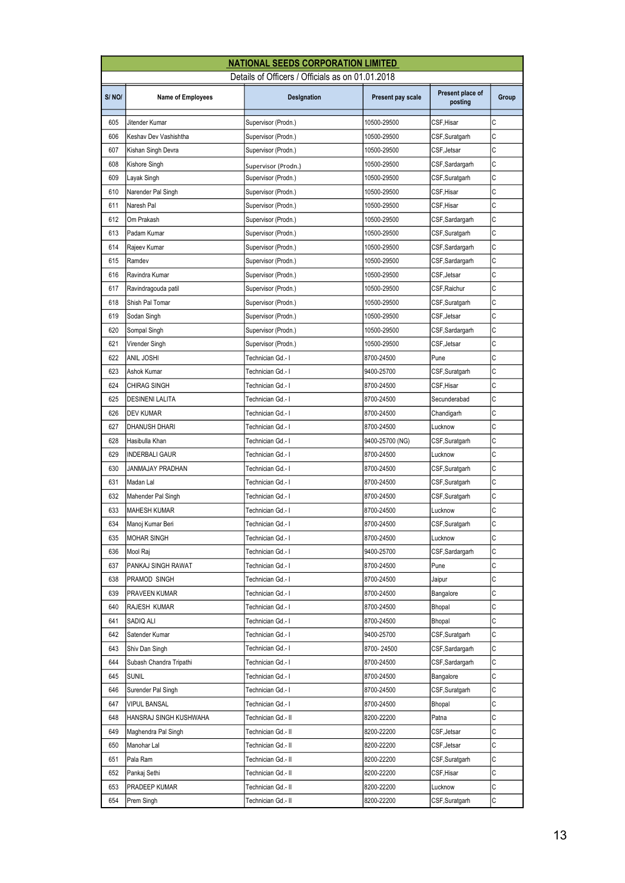|       | <b>NATIONAL SEEDS CORPORATION LIMITED</b>        |                     |                   |                             |       |  |  |
|-------|--------------------------------------------------|---------------------|-------------------|-----------------------------|-------|--|--|
|       | Details of Officers / Officials as on 01.01.2018 |                     |                   |                             |       |  |  |
| S/NO/ | <b>Name of Employees</b>                         | Designation         | Present pay scale | Present place of<br>posting | Group |  |  |
| 605   | Jitender Kumar                                   | Supervisor (Prodn.) | 10500-29500       | CSF, Hisar                  | C     |  |  |
| 606   | Keshav Dev Vashishtha                            | Supervisor (Prodn.) | 10500-29500       | CSF,Suratgarh               | C     |  |  |
| 607   | Kishan Singh Devra                               | Supervisor (Prodn.) | 10500-29500       | CSF, Jetsar                 | C     |  |  |
| 608   | Kishore Singh                                    | Supervisor (Prodn.) | 10500-29500       | CSF,Sardargarh              | С     |  |  |
| 609   | Layak Singh                                      | Supervisor (Prodn.) | 10500-29500       | CSF,Suratgarh               | C     |  |  |
| 610   | Narender Pal Singh                               | Supervisor (Prodn.) | 10500-29500       | CSF, Hisar                  | С     |  |  |
| 611   | Naresh Pal                                       | Supervisor (Prodn.) | 10500-29500       | CSF, Hisar                  | C     |  |  |
| 612   | Om Prakash                                       | Supervisor (Prodn.) | 10500-29500       | CSF,Sardargarh              | С     |  |  |
| 613   | Padam Kumar                                      | Supervisor (Prodn.) | 10500-29500       | CSF,Suratgarh               | C     |  |  |
| 614   | Rajeev Kumar                                     | Supervisor (Prodn.) | 10500-29500       | CSF,Sardargarh              | C     |  |  |
| 615   | Ramdev                                           | Supervisor (Prodn.) | 10500-29500       | CSF,Sardargarh              | С     |  |  |
| 616   | Ravindra Kumar                                   | Supervisor (Prodn.) | 10500-29500       | CSF,Jetsar                  | C     |  |  |
| 617   | Ravindragouda patil                              | Supervisor (Prodn.) | 10500-29500       | CSF,Raichur                 | С     |  |  |
| 618   | Shish Pal Tomar                                  | Supervisor (Prodn.) | 10500-29500       | CSF,Suratgarh               | C     |  |  |
| 619   | Sodan Singh                                      | Supervisor (Prodn.) | 10500-29500       | CSF,Jetsar                  | C     |  |  |
| 620   | Sompal Singh                                     | Supervisor (Prodn.) | 10500-29500       | CSF, Sardargarh             | С     |  |  |
| 621   | Virender Singh                                   | Supervisor (Prodn.) | 10500-29500       | CSF, Jetsar                 | C     |  |  |
| 622   | ANIL JOSHI                                       | Technician Gd.-1    | 8700-24500        | Pune                        | C     |  |  |
| 623   | Ashok Kumar                                      | Technician Gd.- I   | 9400-25700        | CSF,Suratgarh               | С     |  |  |
| 624   | CHIRAG SINGH                                     | Technician Gd.-1    | 8700-24500        | CSF,Hisar                   | C     |  |  |
| 625   | DESINENI LALITA                                  | Technician Gd.-1    | 8700-24500        | Secunderabad                | C     |  |  |
| 626   | DEV KUMAR                                        | Technician Gd.-1    | 8700-24500        | Chandigarh                  | C     |  |  |
| 627   | DHANUSH DHARI                                    | Technician Gd.-1    | 8700-24500        | Lucknow                     | C     |  |  |
| 628   | Hasibulla Khan                                   | Technician Gd.- I   | 9400-25700 (NG)   | CSF,Suratgarh               | C     |  |  |
| 629   | INDERBALI GAUR                                   | Technician Gd.-1    | 8700-24500        | Lucknow                     | C     |  |  |
| 630   | <b>JANMAJAY PRADHAN</b>                          | Technician Gd.-1    | 8700-24500        | CSF,Suratgarh               | C     |  |  |
| 631   | Madan Lal                                        | Technician Gd.-1    | 8700-24500        | CSF, Suratgarh              | C     |  |  |
| 632   | Mahender Pal Singh                               | Technician Gd.-1    | 8700-24500        | CSF,Suratgarh               | С     |  |  |
| 633   | <b>MAHESH KUMAR</b>                              | Technician Gd.-1    | 8700-24500        | Lucknow                     | С     |  |  |
| 634   | Manoj Kumar Beri                                 | Technician Gd.-1    | 8700-24500        | CSF, Suratgarh              | C     |  |  |
| 635   | MOHAR SINGH                                      | Technician Gd.-1    | 8700-24500        | Lucknow                     | C     |  |  |
| 636   | Mool Raj                                         | Technician Gd.-1    | 9400-25700        | CSF, Sardargarh             | С     |  |  |
| 637   | PANKAJ SINGH RAWAT                               | Technician Gd.- I   | 8700-24500        | Pune                        | С     |  |  |
| 638   | PRAMOD SINGH                                     | Technician Gd.-1    | 8700-24500        | Jaipur                      | С     |  |  |
| 639   | PRAVEEN KUMAR                                    | Technician Gd.-1    | 8700-24500        | Bangalore                   | C     |  |  |
| 640   | RAJESH KUMAR                                     | Technician Gd.-1    | 8700-24500        | <b>Bhopal</b>               | С     |  |  |
| 641   | SADIQ ALI                                        | Technician Gd.-1    | 8700-24500        | Bhopal                      | C     |  |  |
| 642   | Satender Kumar                                   | Technician Gd.- I   | 9400-25700        | CSF,Suratgarh               | С     |  |  |
| 643   | Shiv Dan Singh                                   | Technician Gd.- I   | 8700-24500        | CSF,Sardargarh              | С     |  |  |
| 644   | Subash Chandra Tripathi                          | Technician Gd.-1    | 8700-24500        | CSF, Sardargarh             | С     |  |  |
| 645   | Sunil                                            | Technician Gd.-1    | 8700-24500        | Bangalore                   | C     |  |  |
| 646   | Surender Pal Singh                               | Technician Gd.-1    | 8700-24500        | CSF, Suratgarh              | С     |  |  |
| 647   | VIPUL BANSAL                                     | Technician Gd.- I   | 8700-24500        | Bhopal                      | C     |  |  |
| 648   | HANSRAJ SINGH KUSHWAHA                           | Technician Gd.- II  | 8200-22200        | Patna                       | С     |  |  |
| 649   | Maghendra Pal Singh                              | Technician Gd.- II  | 8200-22200        | CSF, Jetsar                 | C     |  |  |
| 650   | Manohar Lal                                      | Technician Gd.- II  | 8200-22200        | CSF, Jetsar                 | C     |  |  |
| 651   | Pala Ram                                         | Technician Gd.- II  | 8200-22200        | CSF, Suratgarh              | С     |  |  |
| 652   | Pankaj Sethi                                     | Technician Gd.- II  | 8200-22200        | CSF,Hisar                   | С     |  |  |
| 653   | PRADEEP KUMAR                                    | Technician Gd.- II  | 8200-22200        | Lucknow                     | С     |  |  |
| 654   | Prem Singh                                       | Technician Gd.- II  | 8200-22200        | CSF,Suratgarh               | С     |  |  |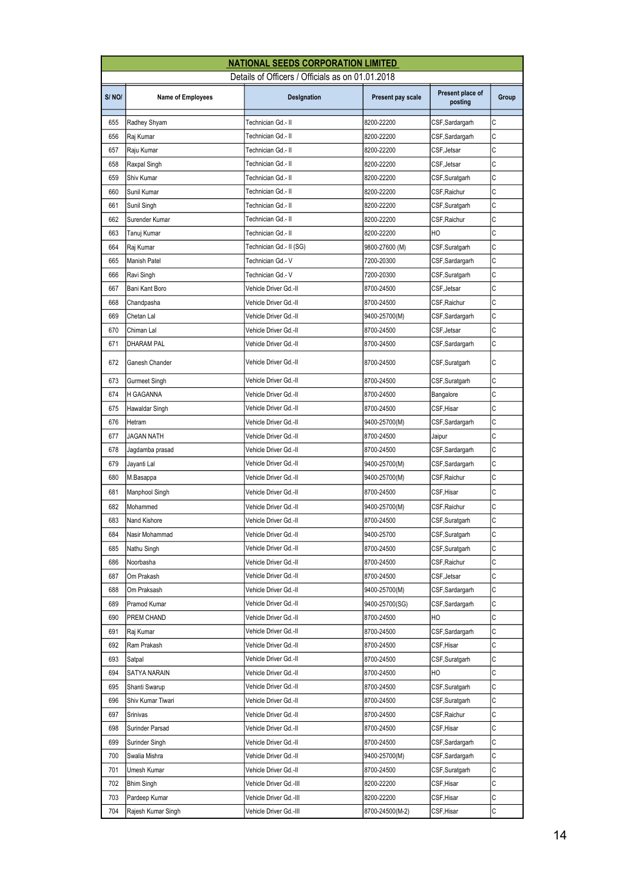| <b>NATIONAL SEEDS CORPORATION LIMITED</b> |                                                  |                         |                   |                             |       |  |  |
|-------------------------------------------|--------------------------------------------------|-------------------------|-------------------|-----------------------------|-------|--|--|
|                                           | Details of Officers / Officials as on 01.01.2018 |                         |                   |                             |       |  |  |
| S/NO/                                     | <b>Name of Employees</b>                         | Designation             | Present pay scale | Present place of<br>posting | Group |  |  |
| 655                                       | Radhey Shyam                                     | Technician Gd.- II      | 8200-22200        | CSF, Sardargarh             | C     |  |  |
| 656                                       | Raj Kumar                                        | Technician Gd.- II      | 8200-22200        | CSF, Sardargarh             | C     |  |  |
| 657                                       | Raju Kumar                                       | Technician Gd.- II      | 8200-22200        | CSF, Jetsar                 | C     |  |  |
| 658                                       | Raxpal Singh                                     | Technician Gd.- II      | 8200-22200        | CSF, Jetsar                 | C     |  |  |
| 659                                       | Shiv Kumar                                       | Technician Gd.- II      | 8200-22200        | CSF, Suratgarh              | C     |  |  |
| 660                                       | Sunil Kumar                                      | Technician Gd.- II      | 8200-22200        | CSF, Raichur                | C     |  |  |
| 661                                       | Sunil Singh                                      | Technician Gd.- II      | 8200-22200        | CSF, Suratgarh              | C     |  |  |
| 662                                       | Surender Kumar                                   | Technician Gd.- II      | 8200-22200        | CSF, Raichur                | C     |  |  |
| 663                                       | Tanuj Kumar                                      | Technician Gd.- II      | 8200-22200        | HO                          | C     |  |  |
| 664                                       | Raj Kumar                                        | Technician Gd.- II (SG) | 9800-27600 (M)    | CSF,Suratgarh               | C     |  |  |
| 665                                       | Manish Patel                                     | Technician Gd.- V       | 7200-20300        | CSF,Sardargarh              | C     |  |  |
| 666                                       | Ravi Singh                                       | Technician Gd.- V       | 7200-20300        | CSF,Suratgarh               | C     |  |  |
| 667                                       | Bani Kant Boro                                   | Vehicle Driver Gd.-II   | 8700-24500        | CSF, Jetsar                 | C     |  |  |
| 668                                       | Chandpasha                                       | Vehicle Driver Gd.-II   | 8700-24500        | CSF, Raichur                | C     |  |  |
| 669                                       | Chetan Lal                                       | Vehicle Driver Gd.-II   | 9400-25700(M)     | CSF, Sardargarh             | C     |  |  |
| 670                                       | Chiman Lal                                       | Vehicle Driver Gd.-II   | 8700-24500        | CSF, Jetsar                 | C     |  |  |
| 671                                       | <b>DHARAM PAL</b>                                | Vehicle Driver Gd.-II   | 8700-24500        | CSF,Sardargarh              | C     |  |  |
| 672                                       | Ganesh Chander                                   | Vehicle Driver Gd.-II   | 8700-24500        | CSF, Suratgarh              | C     |  |  |
| 673                                       | Gurmeet Singh                                    | Vehicle Driver Gd.-II   | 8700-24500        | CSF, Suratgarh              | C     |  |  |
| 674                                       | H GAGANNA                                        | Vehicle Driver Gd.-II   | 8700-24500        | Bangalore                   | C     |  |  |
| 675                                       | Hawaldar Singh                                   | Vehicle Driver Gd.-II   | 8700-24500        | CSF,Hisar                   | C     |  |  |
| 676                                       | Hetram                                           | Vehicle Driver Gd.-II   | 9400-25700(M)     | CSF,Sardargarh              | C     |  |  |
| 677                                       | JAGAN NATH                                       | Vehicle Driver Gd.-II   | 8700-24500        | Jaipur                      | C     |  |  |
| 678                                       | Jagdamba prasad                                  | Vehicle Driver Gd.-II   | 8700-24500        | CSF,Sardargarh              | C     |  |  |
| 679                                       | Jayanti Lal                                      | Vehicle Driver Gd.-II   | 9400-25700(M)     | CSF,Sardargarh              | C     |  |  |
| 680                                       | M.Basappa                                        | Vehicle Driver Gd.-II   | 9400-25700(M)     | CSF, Raichur                | C     |  |  |
| 681                                       | Manphool Singh                                   | Vehicle Driver Gd.-II   | 8700-24500        | CSF, Hisar                  | C     |  |  |
| 682                                       | Mohammed                                         | Vehicle Driver Gd.-II   | 9400-25700(M)     | CSF, Raichur                | C     |  |  |
| 683                                       | Nand Kishore                                     | Vehicle Driver Gd.-II   | 8700-24500        | CSF, Suratgarh              | C     |  |  |
| 684                                       | Nasir Mohammad                                   | Vehicle Driver Gd.-II   | 9400-25700        | CSF, Suratgarh              | С     |  |  |
| 685                                       | Nathu Singh                                      | Vehicle Driver Gd.-II   | 8700-24500        | CSF, Suratgarh              | С     |  |  |
| 686                                       | Noorbasha                                        | Vehicle Driver Gd.-II   | 8700-24500        | CSF, Raichur                | С     |  |  |
| 687                                       | Om Prakash                                       | Vehicle Driver Gd.-II   | 8700-24500        | CSF, Jetsar                 | C     |  |  |
| 688                                       | Om Praksash                                      | Vehicle Driver Gd.-II   | 9400-25700(M)     | CSF,Sardargarh              | С     |  |  |
| 689                                       | Pramod Kumar                                     | Vehicle Driver Gd.-II   | 9400-25700(SG)    | CSF,Sardargarh              | C     |  |  |
| 690                                       | PREM CHAND                                       | Vehicle Driver Gd.-II   | 8700-24500        | HО                          | C     |  |  |
| 691                                       | Raj Kumar                                        | Vehicle Driver Gd.-II   | 8700-24500        | CSF,Sardargarh              | С     |  |  |
| 692                                       | Ram Prakash                                      | Vehicle Driver Gd.-II   | 8700-24500        | CSF,Hisar                   | C     |  |  |
| 693                                       | Satpal                                           | Vehicle Driver Gd.-II   | 8700-24500        | CSF,Suratgarh               | С     |  |  |
| 694                                       | SATYA NARAIN                                     | Vehicle Driver Gd.-II   | 8700-24500        | НO                          | С     |  |  |
| 695                                       | Shanti Swarup                                    | Vehicle Driver Gd.-II   | 8700-24500        | CSF,Suratgarh               | С     |  |  |
| 696                                       | Shiv Kumar Tiwari                                | Vehicle Driver Gd.-II   | 8700-24500        | CSF,Suratgarh               | С     |  |  |
| 697                                       | Srinivas                                         | Vehicle Driver Gd.-II   | 8700-24500        | CSF, Raichur                | C     |  |  |
| 698                                       | Surinder Parsad                                  | Vehicle Driver Gd.-II   | 8700-24500        | CSF,Hisar                   | С     |  |  |
| 699                                       | Surinder Singh                                   | Vehicle Driver Gd.-II   | 8700-24500        | CSF,Sardargarh              | С     |  |  |
| 700                                       | Swalia Mishra                                    | Vehicle Driver Gd.-II   | 9400-25700(M)     | CSF,Sardargarh              | C     |  |  |
| 701                                       | Umesh Kumar                                      | Vehicle Driver Gd.-II   | 8700-24500        | CSF, Suratgarh              | С     |  |  |
| 702                                       | <b>Bhim Singh</b>                                | Vehicle Driver Gd.-III  | 8200-22200        | CSF,Hisar                   | C     |  |  |
| 703                                       | Pardeep Kumar                                    | Vehicle Driver Gd.-III  | 8200-22200        | CSF,Hisar                   | С     |  |  |
| 704                                       | Rajesh Kumar Singh                               | Vehicle Driver Gd.-III  | 8700-24500(M-2)   | CSF,Hisar                   | С     |  |  |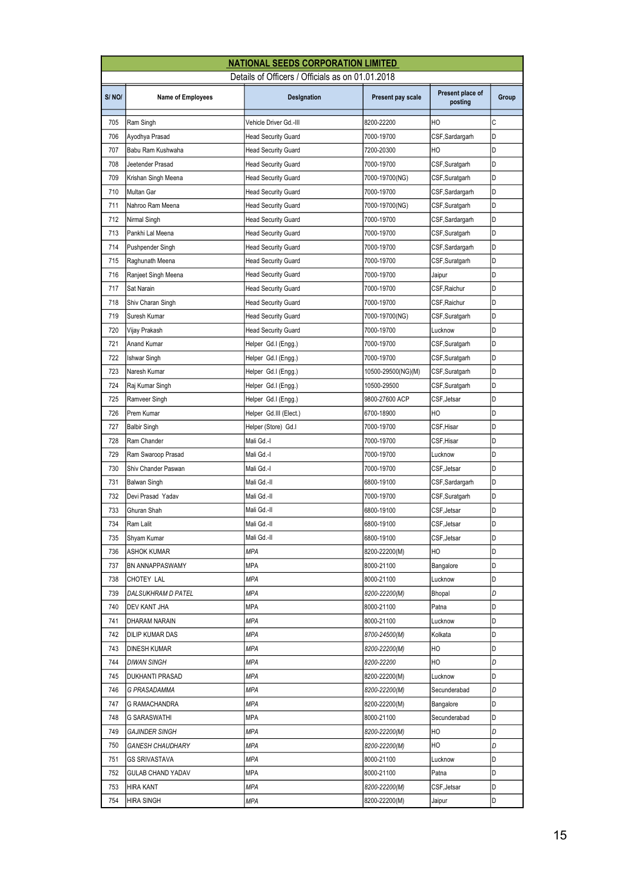|       | <b>NATIONAL SEEDS CORPORATION LIMITED</b>        |                            |                    |                             |       |  |  |
|-------|--------------------------------------------------|----------------------------|--------------------|-----------------------------|-------|--|--|
|       | Details of Officers / Officials as on 01.01.2018 |                            |                    |                             |       |  |  |
| S/NO/ | <b>Name of Employees</b>                         | Designation                | Present pay scale  | Present place of<br>posting | Group |  |  |
| 705   | Ram Singh                                        | Vehicle Driver Gd.-III     | 8200-22200         | HO                          | C     |  |  |
| 706   | Ayodhya Prasad                                   | <b>Head Security Guard</b> | 7000-19700         | CSF, Sardargarh             | D     |  |  |
| 707   | Babu Ram Kushwaha                                | <b>Head Security Guard</b> | 7200-20300         | HO                          | D     |  |  |
| 708   | Jeetender Prasad                                 | <b>Head Security Guard</b> | 7000-19700         | CSF,Suratgarh               | D     |  |  |
| 709   | Krishan Singh Meena                              | <b>Head Security Guard</b> | 7000-19700(NG)     | CSF,Suratgarh               | D     |  |  |
| 710   | Multan Gar                                       | <b>Head Security Guard</b> | 7000-19700         | CSF, Sardargarh             | D     |  |  |
| 711   | Nahroo Ram Meena                                 | <b>Head Security Guard</b> | 7000-19700(NG)     | CSF, Suratgarh              | D     |  |  |
| 712   | Nirmal Singh                                     | <b>Head Security Guard</b> | 7000-19700         | CSF,Sardargarh              | D     |  |  |
| 713   | Pankhi Lal Meena                                 | <b>Head Security Guard</b> | 7000-19700         | CSF, Suratgarh              | D     |  |  |
| 714   | Pushpender Singh                                 | <b>Head Security Guard</b> | 7000-19700         | CSF,Sardargarh              | D     |  |  |
| 715   | Raghunath Meena                                  | <b>Head Security Guard</b> | 7000-19700         | CSF, Suratgarh              | D     |  |  |
| 716   | Ranjeet Singh Meena                              | <b>Head Security Guard</b> | 7000-19700         | Jaipur                      | D     |  |  |
| 717   | Sat Narain                                       | <b>Head Security Guard</b> | 7000-19700         | CSF, Raichur                | D     |  |  |
| 718   | Shiv Charan Singh                                | <b>Head Security Guard</b> | 7000-19700         | CSF, Raichur                | D     |  |  |
| 719   | Suresh Kumar                                     | <b>Head Security Guard</b> | 7000-19700(NG)     | CSF,Suratgarh               | D     |  |  |
| 720   | Vijay Prakash                                    | <b>Head Security Guard</b> | 7000-19700         | Lucknow                     | D     |  |  |
| 721   | Anand Kumar                                      | Helper Gd.I (Engg.)        | 7000-19700         | CSF,Suratgarh               | D     |  |  |
| 722   | <b>Ishwar Singh</b>                              | Helper Gd.I (Engg.)        | 7000-19700         | CSF,Suratgarh               | D     |  |  |
| 723   | Naresh Kumar                                     | Helper Gd.I (Engg.)        | 10500-29500(NG)(M) | CSF,Suratgarh               | D     |  |  |
| 724   | Raj Kumar Singh                                  | Helper Gd.I (Engg.)        | 10500-29500        | CSF,Suratgarh               | D     |  |  |
| 725   | Ramveer Singh                                    | Helper Gd.I (Engg.)        | 9800-27600 ACP     | CSF, Jetsar                 | D     |  |  |
| 726   | Prem Kumar                                       | Helper Gd.III (Elect.)     | 6700-18900         | HO                          | D     |  |  |
| 727   | <b>Balbir Singh</b>                              | Helper (Store) Gd.I        | 7000-19700         | CSF, Hisar                  | D     |  |  |
| 728   | Ram Chander                                      | Mali Gd.-I                 | 7000-19700         | CSF,Hisar                   | D     |  |  |
| 729   | Ram Swaroop Prasad                               | Mali Gd.-I                 | 7000-19700         | Lucknow                     | D     |  |  |
| 730   | Shiv Chander Paswan                              | Mali Gd.-I                 | 7000-19700         | CSF, Jetsar                 | D     |  |  |
| 731   | Balwan Singh                                     | Mali Gd.-II                | 6800-19100         | CSF, Sardargarh             | D     |  |  |
| 732   | Devi Prasad Yadav                                | Mali Gd.-II                | 7000-19700         | CSF, Suratgarh              | D     |  |  |
| 733   | Ghuran Shah                                      | Mali Gd.-II                | 6800-19100         | CSF, Jetsar                 | D     |  |  |
| 734   | Ram Lalit                                        | Mali Gd.-II                | 6800-19100         | CSF, Jetsar                 | D     |  |  |
| 735   | Shyam Kumar                                      | Mali Gd.-II                | 6800-19100         | CSF, Jetsar                 | D     |  |  |
| 736   | <b>ASHOK KUMAR</b>                               | MPA                        | 8200-22200(M)      | HO                          | D     |  |  |
| 737   | <b>BN ANNAPPASWAMY</b>                           | MPA                        | 8000-21100         | Bangalore                   | D     |  |  |
| 738   | CHOTEY LAL                                       | MPA                        | 8000-21100         | Lucknow                     | D     |  |  |
| 739   | DALSUKHRAM D PATEL                               | MPA                        | 8200-22200(M)      | Bhopal                      | D     |  |  |
| 740   | <b>DEV KANT JHA</b>                              | MPA                        | 8000-21100         | Patna                       | D     |  |  |
| 741   | DHARAM NARAIN                                    | MPA                        | 8000-21100         | Lucknow                     | D     |  |  |
| 742   | DILIP KUMAR DAS                                  | MPA                        | 8700-24500(M)      | Kolkata                     | D     |  |  |
| 743   | <b>DINESH KUMAR</b>                              | MPA                        | 8200-22200(M)      | HО                          | D     |  |  |
| 744   | <b>DIWAN SINGH</b>                               | MPA                        | 8200-22200         | HO                          | D     |  |  |
| 745   | <b>DUKHANTI PRASAD</b>                           | MPA                        | 8200-22200(M)      | Lucknow                     | D     |  |  |
| 746   | G PRASADAMMA                                     | MPA                        | 8200-22200(M)      | Secunderabad                | D     |  |  |
| 747   | G RAMACHANDRA                                    | MPA                        | 8200-22200(M)      | Bangalore                   | D     |  |  |
| 748   | G SARASWATHI                                     | MPA                        | 8000-21100         | Secunderabad                | D     |  |  |
| 749   | <b>GAJINDER SINGH</b>                            | MPA                        | 8200-22200(M)      | HO                          | D     |  |  |
| 750   | <b>GANESH CHAUDHARY</b>                          | MPA                        | 8200-22200(M)      | HO                          | D     |  |  |
| 751   | GS SRIVASTAVA                                    | MPA                        | 8000-21100         | Lucknow                     | D     |  |  |
| 752   | <b>GULAB CHAND YADAV</b>                         | MPA                        | 8000-21100         | Patna                       | D     |  |  |
| 753   | HIRA KANT                                        | MPA                        | 8200-22200(M)      | CSF, Jetsar                 | D     |  |  |
| 754   | <b>HIRA SINGH</b>                                | MPA                        | 8200-22200(M)      | Jaipur                      | D     |  |  |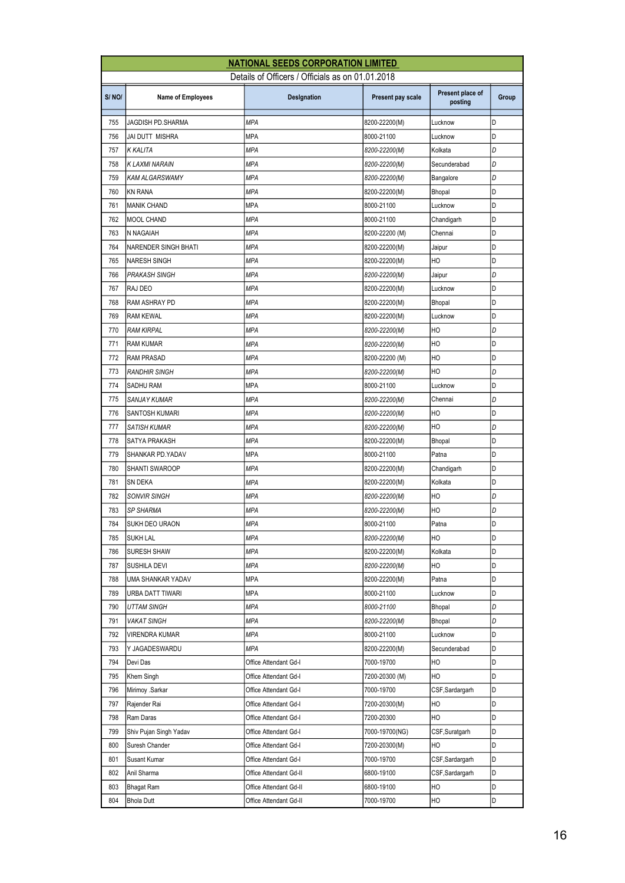|       | <b>NATIONAL SEEDS CORPORATION LIMITED</b>        |                        |                   |                             |       |  |  |
|-------|--------------------------------------------------|------------------------|-------------------|-----------------------------|-------|--|--|
|       | Details of Officers / Officials as on 01.01.2018 |                        |                   |                             |       |  |  |
| S/NO/ | <b>Name of Employees</b>                         | Designation            | Present pay scale | Present place of<br>posting | Group |  |  |
| 755   | JAGDISH PD.SHARMA                                | <b>MPA</b>             | 8200-22200(M)     | Lucknow                     | D     |  |  |
| 756   | JAI DUTT MISHRA                                  | <b>MPA</b>             | 8000-21100        | Lucknow                     | D     |  |  |
| 757   | K KALITA                                         | МPA                    | 8200-22200(M)     | Kolkata                     | D     |  |  |
| 758   | K LAXMI NARAIN                                   | <b>MPA</b>             | 8200-22200(M)     | Secunderabad                | D     |  |  |
| 759   | KAM ALGARSWAMY                                   | <b>MPA</b>             | 8200-22200(M)     | Bangalore                   | D     |  |  |
| 760   | KN RANA                                          | <b>MPA</b>             | 8200-22200(M)     | Bhopal                      | D     |  |  |
| 761   | <b>MANIK CHAND</b>                               | <b>MPA</b>             | 8000-21100        | Lucknow                     | D     |  |  |
| 762   | <b>MOOL CHAND</b>                                | МPA                    | 8000-21100        | Chandigarh                  | D     |  |  |
| 763   | N NAGAIAH                                        | <b>MPA</b>             | 8200-22200 (M)    | Chennai                     | D     |  |  |
| 764   | <b>NARENDER SINGH BHATI</b>                      | <b>MPA</b>             | 8200-22200(M)     | Jaipur                      | D     |  |  |
| 765   | <b>NARESH SINGH</b>                              | <b>MPA</b>             | 8200-22200(M)     | HO                          | D     |  |  |
| 766   | <b>PRAKASH SINGH</b>                             | <b>MPA</b>             | 8200-22200(M)     | Jaipur                      | D     |  |  |
| 767   | RAJ DEO                                          | МPA                    | 8200-22200(M)     | Lucknow                     | D     |  |  |
| 768   | RAM ASHRAY PD                                    | <b>MPA</b>             | 8200-22200(M)     | Bhopal                      | D     |  |  |
| 769   | <b>RAM KEWAL</b>                                 | <b>MPA</b>             | 8200-22200(M)     | Lucknow                     | D     |  |  |
| 770   | <b>RAM KIRPAL</b>                                | <b>MPA</b>             | 8200-22200(M)     | HO                          | D     |  |  |
| 771   | <b>RAM KUMAR</b>                                 | <b>MPA</b>             | 8200-22200(M)     | HO                          | D     |  |  |
| 772   | <b>RAM PRASAD</b>                                | МPA                    | 8200-22200 (M)    | HO                          | D     |  |  |
| 773   | RANDHIR SINGH                                    | <b>MPA</b>             | 8200-22200(M)     | HO                          | D     |  |  |
| 774   | SADHU RAM                                        | <b>MPA</b>             | 8000-21100        | Lucknow                     | D     |  |  |
| 775   | <b>SANJAY KUMAR</b>                              | <b>MPA</b>             | 8200-22200(M)     | Chennai                     | D     |  |  |
| 776   | <b>SANTOSH KUMARI</b>                            | <b>MPA</b>             | 8200-22200(M)     | HO                          | D     |  |  |
| 777   | SATISH KUMAR                                     | МPA                    | 8200-22200(M)     | HO                          | D     |  |  |
| 778   | SATYA PRAKASH                                    | <b>MPA</b>             | 8200-22200(M)     | Bhopal                      | D     |  |  |
| 779   | SHANKAR PD.YADAV                                 | <b>MPA</b>             | 8000-21100        | Patna                       | D     |  |  |
| 780   | SHANTI SWAROOP                                   | MPA                    | 8200-22200(M)     | Chandigarh                  | D     |  |  |
| 781   | SN DEKA                                          | <b>MPA</b>             | 8200-22200(M)     | Kolkata                     | D     |  |  |
| 782   | SONVIR SINGH                                     | MPA                    | 8200-22200(M)     | HO                          | D     |  |  |
| 783   | <b>SP SHARMA</b>                                 | МPA                    | 8200-22200(M)     | HO                          | D     |  |  |
| 784   | SUKH DEO URAON                                   | <b>MPA</b>             | 8000-21100        | Patna                       | D     |  |  |
| 785   | <b>SUKH LAL</b>                                  | MPA                    | 8200-22200(M)     | HO                          | D     |  |  |
| 786   | <b>SURESH SHAW</b>                               | MPA                    | 8200-22200(M)     | Kolkata                     | D     |  |  |
| 787   | SUSHILA DEVI                                     | MPA                    | 8200-22200(M)     | HO                          | D     |  |  |
| 788   | UMA SHANKAR YADAV                                | MPA                    | 8200-22200(M)     | Patna                       | D     |  |  |
| 789   | URBA DATT TIWARI                                 | MPA                    | 8000-21100        | Lucknow                     | D     |  |  |
| 790   | <b>UTTAM SINGH</b>                               | MPA                    | 8000-21100        | Bhopal                      | D     |  |  |
| 791   | <b>VAKAT SINGH</b>                               | MPA                    | 8200-22200(M)     | Bhopal                      | D     |  |  |
| 792   | VIRENDRA KUMAR                                   | MPA                    | 8000-21100        | Lucknow                     | D     |  |  |
| 793   | Y JAGADESWARDU                                   | MPA                    | 8200-22200(M)     | Secunderabad                | D     |  |  |
| 794   | Devi Das                                         | Office Attendant Gd-I  | 7000-19700        | HO                          | D     |  |  |
| 795   | Khem Singh                                       | Office Attendant Gd-I  | 7200-20300 (M)    | HO                          | D     |  |  |
| 796   | Mirimoy .Sarkar                                  | Office Attendant Gd-I  | 7000-19700        | CSF, Sardargarh             | D     |  |  |
| 797   | Rajender Rai                                     | Office Attendant Gd-I  | 7200-20300(M)     | HO                          | D     |  |  |
| 798   | Ram Daras                                        | Office Attendant Gd-I  | 7200-20300        | HO                          | D     |  |  |
| 799   | Shiv Pujan Singh Yadav                           | Office Attendant Gd-I  | 7000-19700(NG)    | CSF, Suratgarh              | D     |  |  |
| 800   | Suresh Chander                                   | Office Attendant Gd-I  | 7200-20300(M)     | HO                          | D     |  |  |
| 801   | Susant Kumar                                     | Office Attendant Gd-I  | 7000-19700        | CSF, Sardargarh             | D     |  |  |
| 802   | Anil Sharma                                      | Office Attendant Gd-II | 6800-19100        | CSF,Sardargarh              | D     |  |  |
| 803   | Bhagat Ram                                       | Office Attendant Gd-II | 6800-19100        | HО                          | D     |  |  |
| 804   | <b>Bhola Dutt</b>                                | Office Attendant Gd-II | 7000-19700        | HO                          | D     |  |  |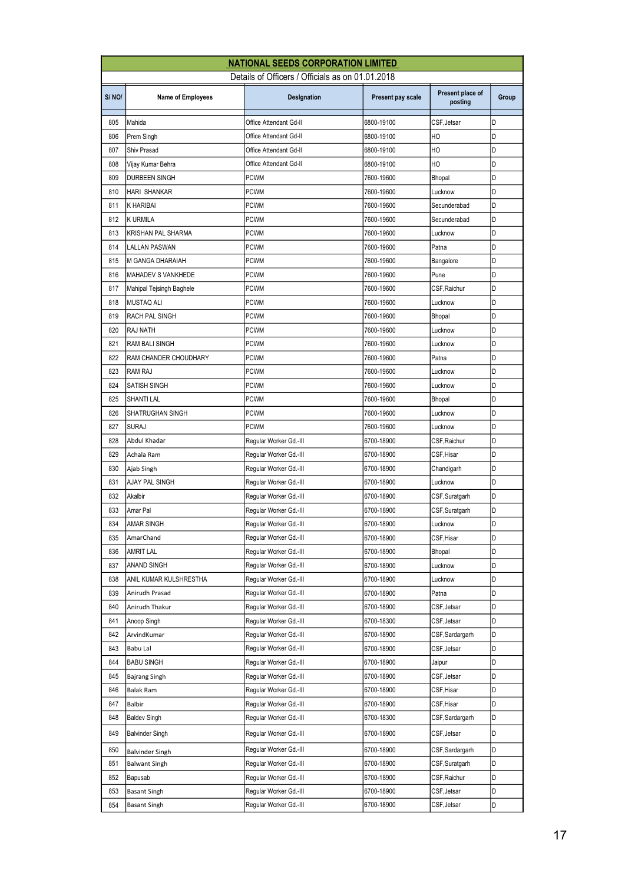| <b>NATIONAL SEEDS CORPORATION LIMITED</b> |                                                  |                        |                   |                             |       |  |  |
|-------------------------------------------|--------------------------------------------------|------------------------|-------------------|-----------------------------|-------|--|--|
|                                           | Details of Officers / Officials as on 01.01.2018 |                        |                   |                             |       |  |  |
| S/NO/                                     | <b>Name of Employees</b>                         | Designation            | Present pay scale | Present place of<br>posting | Group |  |  |
| 805                                       | Mahida                                           | Office Attendant Gd-II | 6800-19100        | CSF, Jetsar                 | D     |  |  |
| 806                                       | Prem Singh                                       | Office Attendant Gd-II | 6800-19100        | HO                          | D     |  |  |
| 807                                       | Shiv Prasad                                      | Office Attendant Gd-II | 6800-19100        | HO                          | D     |  |  |
| 808                                       | Vijay Kumar Behra                                | Office Attendant Gd-II | 6800-19100        | HO                          | D     |  |  |
| 809                                       | <b>DURBEEN SINGH</b>                             | <b>PCWM</b>            | 7600-19600        | Bhopal                      | D     |  |  |
| 810                                       | <b>HARI SHANKAR</b>                              | <b>PCWM</b>            | 7600-19600        | Lucknow                     | D     |  |  |
| 811                                       | <b>K HARIBAI</b>                                 | <b>PCWM</b>            | 7600-19600        | Secunderabad                | D     |  |  |
| 812                                       | <b>K URMILA</b>                                  | <b>PCWM</b>            | 7600-19600        | Secunderabad                | D     |  |  |
| 813                                       | KRISHAN PAL SHARMA                               | PCWM                   | 7600-19600        | Lucknow                     | D     |  |  |
| 814                                       | <b>LALLAN PASWAN</b>                             | <b>PCWM</b>            | 7600-19600        | Patna                       | D     |  |  |
| 815                                       | <b>M GANGA DHARAIAH</b>                          | <b>PCWM</b>            | 7600-19600        | Bangalore                   | D     |  |  |
| 816                                       | MAHADEV S VANKHEDE                               | <b>PCWM</b>            | 7600-19600        | Pune                        | D     |  |  |
| 817                                       | Mahipal Tejsingh Baghele                         | PCWM                   | 7600-19600        | CSF,Raichur                 | D     |  |  |
| 818                                       | <b>MUSTAQ ALI</b>                                | <b>PCWM</b>            | 7600-19600        | Lucknow                     | D     |  |  |
| 819                                       | RACH PAL SINGH                                   | <b>PCWM</b>            | 7600-19600        | Bhopal                      | D     |  |  |
| 820                                       | RAJ NATH                                         | <b>PCWM</b>            | 7600-19600        | Lucknow                     | D     |  |  |
| 821                                       | <b>RAM BALI SINGH</b>                            | <b>PCWM</b>            | 7600-19600        | Lucknow                     | D     |  |  |
| 822                                       | RAM CHANDER CHOUDHARY                            | PCWM                   | 7600-19600        | Patna                       | D     |  |  |
| 823                                       | RAM RAJ                                          | PCWM                   | 7600-19600        | Lucknow                     | D     |  |  |
| 824                                       | SATISH SINGH                                     | <b>PCWM</b>            | 7600-19600        | Lucknow                     | D     |  |  |
| 825                                       | SHANTI LAL                                       | <b>PCWM</b>            | 7600-19600        | Bhopal                      | D     |  |  |
| 826                                       | SHATRUGHAN SINGH                                 | <b>PCWM</b>            | 7600-19600        | Lucknow                     | D     |  |  |
| 827                                       | <b>SURAJ</b>                                     | <b>PCWM</b>            | 7600-19600        | Lucknow                     | D     |  |  |
| 828                                       | Abdul Khadar                                     | Regular Worker Gd.-III | 6700-18900        | CSF, Raichur                | D     |  |  |
| 829                                       | Achala Ram                                       | Regular Worker Gd.-III | 6700-18900        | CSF,Hisar                   | D     |  |  |
| 830                                       | Ajab Singh                                       | Reqular Worker Gd.-III | 6700-18900        | Chandigarh                  | D     |  |  |
| 831                                       | AJAY PAL SINGH                                   | Regular Worker Gd.-III | 6700-18900        | Lucknow                     | D     |  |  |
| 832                                       | Akalbir                                          | Regular Worker Gd.-III | 6700-18900        | CSF,Suratgarh               | D     |  |  |
| 833                                       | Amar Pal                                         | Regular Worker Gd.-III | 6700-18900        | CSF, Suratgarh              | D     |  |  |
| 834                                       | AMAR SINGH                                       | Regular Worker Gd.-III | 6700-18900        | Lucknow                     | D     |  |  |
| 835                                       | AmarChand                                        | Reqular Worker Gd.-III | 6700-18900        | CSF, Hisar                  | D     |  |  |
| 836                                       | AMRIT LAL                                        | Reqular Worker Gd.-III | 6700-18900        | Bhopal                      | D     |  |  |
| 837                                       | ANAND SINGH                                      | Regular Worker Gd.-III | 6700-18900        | Lucknow                     | D     |  |  |
| 838                                       | ANIL KUMAR KULSHRESTHA                           | Regular Worker Gd.-III | 6700-18900        | Lucknow                     | D     |  |  |
| 839                                       | Anirudh Prasad                                   | Regular Worker Gd.-III | 6700-18900        | Patna                       | D     |  |  |
| 840                                       | Anirudh Thakur                                   | Reqular Worker Gd.-III | 6700-18900        | CSF, Jetsar                 | D     |  |  |
| 841                                       | Anoop Singh                                      | Regular Worker Gd.-III | 6700-18300        | CSF, Jetsar                 | D     |  |  |
| 842                                       | ArvindKumar                                      | Reqular Worker Gd.-III | 6700-18900        | CSF,Sardargarh              | D     |  |  |
| 843                                       | Babu Lal                                         | Regular Worker Gd.-III | 6700-18900        | CSF,Jetsar                  | D     |  |  |
| 844                                       | <b>BABU SINGH</b>                                | Regular Worker Gd.-III | 6700-18900        | Jaipur                      | D     |  |  |
| 845                                       | Bajrang Singh                                    | Regular Worker Gd.-III | 6700-18900        | CSF, Jetsar                 | D     |  |  |
| 846                                       | Balak Ram                                        | Regular Worker Gd.-III | 6700-18900        | CSF,Hisar                   | D     |  |  |
| 847                                       | Balbir                                           | Regular Worker Gd.-III | 6700-18900        | CSF,Hisar                   | D     |  |  |
| 848                                       | <b>Baldev Singh</b>                              | Regular Worker Gd.-III | 6700-18300        | CSF,Sardargarh              | D     |  |  |
| 849                                       | <b>Balvinder Singh</b>                           | Regular Worker Gd.-III | 6700-18900        | CSF, Jetsar                 | D     |  |  |
| 850                                       | <b>Balvinder Singh</b>                           | Regular Worker Gd.-III | 6700-18900        | CSF,Sardargarh              | D     |  |  |
| 851                                       | <b>Balwant Singh</b>                             | Regular Worker Gd.-III | 6700-18900        | CSF,Suratgarh               | D     |  |  |
| 852                                       | Bapusab                                          | Regular Worker Gd.-III | 6700-18900        | CSF, Raichur                | D     |  |  |
| 853                                       | <b>Basant Singh</b>                              | Regular Worker Gd.-III | 6700-18900        | CSF,Jetsar                  | D     |  |  |
| 854                                       | <b>Basant Singh</b>                              | Regular Worker Gd.-III | 6700-18900        | CSF,Jetsar                  | D     |  |  |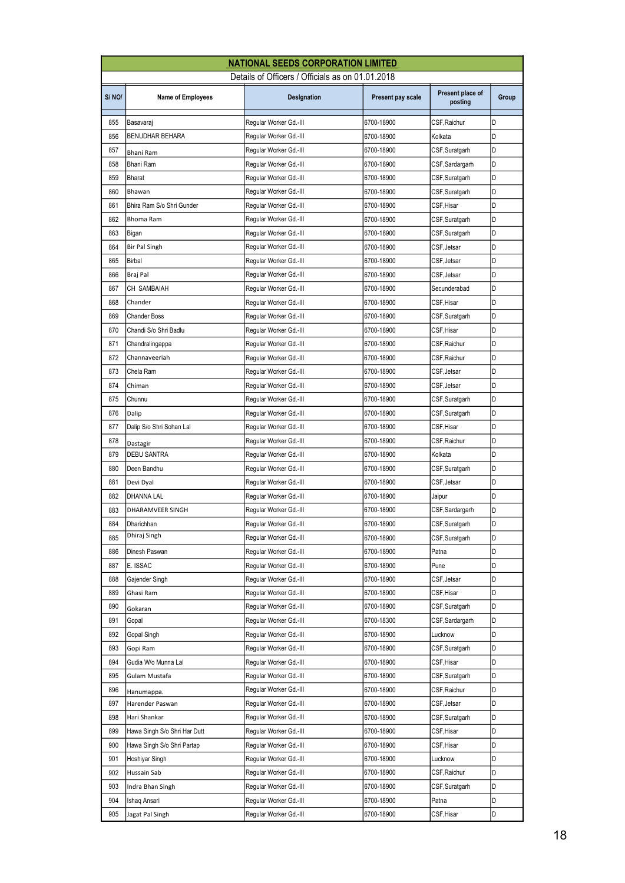| <b>NATIONAL SEEDS CORPORATION LIMITED</b> |                                |                                                  |                   |                             |       |
|-------------------------------------------|--------------------------------|--------------------------------------------------|-------------------|-----------------------------|-------|
|                                           |                                | Details of Officers / Officials as on 01.01.2018 |                   |                             |       |
| S/NO/                                     | <b>Name of Employees</b>       | Designation                                      | Present pay scale | Present place of<br>posting | Group |
| 855                                       | Basavaraj                      | Regular Worker Gd.-III                           | 6700-18900        | CSF, Raichur                | D     |
| 856                                       | <b>BENUDHAR BEHARA</b>         | Regular Worker Gd.-III                           | 6700-18900        | Kolkata                     | D     |
| 857                                       | Bhani Ram                      | Regular Worker Gd.-III                           | 6700-18900        | CSF,Suratgarh               | D     |
| 858                                       | Bhani Ram                      | Regular Worker Gd.-III                           | 6700-18900        | CSF,Sardargarh              | D     |
| 859                                       | <b>Bharat</b>                  | Regular Worker Gd.-III                           | 6700-18900        | CSF,Suratgarh               | D     |
| 860                                       | Bhawan                         | Regular Worker Gd.-III                           | 6700-18900        | CSF,Suratgarh               | D     |
| 861                                       | Bhira Ram S/o Shri Gunder      | Regular Worker Gd.-III                           | 6700-18900        | CSF, Hisar                  | D     |
| 862                                       | Bhoma Ram                      | Regular Worker Gd.-III                           | 6700-18900        | CSF,Suratgarh               | D     |
| 863                                       | Bigan                          | Regular Worker Gd.-III                           | 6700-18900        | CSF,Suratgarh               | D     |
| 864                                       | <b>Bir Pal Singh</b>           | Regular Worker Gd.-III                           | 6700-18900        | CSF, Jetsar                 | D     |
| 865                                       | <b>Birbal</b>                  | Regular Worker Gd.-III                           | 6700-18900        | CSF, Jetsar                 | D     |
| 866                                       | Braj Pal                       | Regular Worker Gd.-III                           | 6700-18900        | CSF,Jetsar                  | D     |
| 867                                       | CH SAMBAIAH                    | Regular Worker Gd.-III                           | 6700-18900        | Secunderabad                | D     |
| 868                                       | Chander                        | Regular Worker Gd.-III                           | 6700-18900        | CSF,Hisar                   | D     |
| 869                                       | <b>Chander Boss</b>            | Regular Worker Gd.-III                           | 6700-18900        | CSF, Suratgarh              | D     |
| 870                                       | Chandi S/o Shri Badlu          | Regular Worker Gd.-III                           | 6700-18900        | CSF, Hisar                  | D     |
| 871                                       | Chandralingappa                | Regular Worker Gd.-III                           | 6700-18900        | CSF,Raichur                 | D     |
| 872                                       | Channaveeriah                  | Regular Worker Gd.-III                           | 6700-18900        | CSF,Raichur                 | D     |
| 873                                       | Chela Ram                      | Regular Worker Gd.-III                           | 6700-18900        | CSF,Jetsar                  | D     |
| 874                                       | Chiman                         | Regular Worker Gd.-III                           | 6700-18900        | CSF, Jetsar                 | D     |
| 875                                       | Chunnu                         | Regular Worker Gd.-III                           | 6700-18900        | CSF,Suratgarh               | D     |
| 876                                       | Dalip                          | Regular Worker Gd.-III                           |                   |                             | D     |
|                                           |                                |                                                  | 6700-18900        | CSF,Suratgarh               | D     |
| 877<br>878                                | Dalip S/o Shri Sohan Lal       | Regular Worker Gd.-III                           | 6700-18900        | CSF,Hisar                   | D     |
| 879                                       | Dastagir<br><b>DEBU SANTRA</b> | Regular Worker Gd.-III                           | 6700-18900        | CSF,Raichur                 | D     |
|                                           |                                | Regular Worker Gd.-III                           | 6700-18900        | Kolkata                     | D     |
| 880                                       | Deen Bandhu                    | Regular Worker Gd.-III                           | 6700-18900        | CSF,Suratgarh               | D     |
| 881                                       | Devi Dyal                      | Regular Worker Gd.-III                           | 6700-18900        | CSF,Jetsar                  | D     |
| 882                                       | DHANNA LAL                     | Regular Worker Gd.-III                           | 6700-18900        | Jaipur                      | D     |
| 883                                       | DHARAMVEER SINGH               | Regular Worker Gd.-III                           | 6700-18900        | CSF,Sardargarh              | D     |
| 884                                       | Dharichhan<br>Dhiraj Singh     | Regular Worker Gd.-III                           | 6700-18900        | CSF, Suratgarh              |       |
| 885                                       |                                | Regular Worker Gd.-III                           | 6700-18900        | CSF,Suratgarh               | D     |
| 886                                       | Dinesh Paswan                  | Regular Worker Gd.-III                           | 6700-18900        | Patna                       | D     |
| 887                                       | E. ISSAC                       | Regular Worker Gd.-III                           | 6700-18900        | Pune                        | D     |
| 888                                       | Gajender Singh                 | Regular Worker Gd.-III                           | 6700-18900        | CSF, Jetsar                 | D     |
| 889                                       | Ghasi Ram                      | Regular Worker Gd.-III                           | 6700-18900        | CSF,Hisar                   | D     |
| 890                                       | Gokaran                        | Regular Worker Gd.-III                           | 6700-18900        | CSF, Suratgarh              | D     |
| 891                                       | Gopal                          | Regular Worker Gd.-III                           | 6700-18300        | CSF,Sardargarh              | D     |
| 892                                       | Gopal Singh                    | Regular Worker Gd.-III                           | 6700-18900        | Lucknow                     | D     |
| 893                                       | Gopi Ram                       | Regular Worker Gd.-III                           | 6700-18900        | CSF,Suratgarh               | D     |
| 894                                       | Gudia W/o Munna Lal            | Regular Worker Gd.-III                           | 6700-18900        | CSF,Hisar                   | D     |
| 895                                       | Gulam Mustafa                  | Regular Worker Gd.-III                           | 6700-18900        | CSF,Suratgarh               | D     |
| 896                                       | Hanumappa.                     | Regular Worker Gd.-III                           | 6700-18900        | CSF,Raichur                 | D     |
| 897                                       | Harender Paswan                | Regular Worker Gd.-III                           | 6700-18900        | CSF,Jetsar                  | D     |
| 898                                       | Hari Shankar                   | Regular Worker Gd.-III                           | 6700-18900        | CSF,Suratgarh               | D     |
| 899                                       | Hawa Singh S/o Shri Har Dutt   | Regular Worker Gd.-III                           | 6700-18900        | CSF,Hisar                   | D     |
| 900                                       | Hawa Singh S/o Shri Partap     | Regular Worker Gd.-III                           | 6700-18900        | CSF, Hisar                  | D     |
| 901                                       | Hoshiyar Singh                 | Regular Worker Gd.-III                           | 6700-18900        | Lucknow                     | D     |
| 902                                       | Hussain Sab                    | Regular Worker Gd.-III                           | 6700-18900        | CSF,Raichur                 | D     |
| 903                                       | Indra Bhan Singh               | Regular Worker Gd.-III                           | 6700-18900        | CSF, Suratgarh              | D     |
| 904                                       | Ishaq Ansari                   | Regular Worker Gd.-III                           | 6700-18900        | Patna                       | D     |
| 905                                       | Jagat Pal Singh                | Regular Worker Gd.-III                           | 6700-18900        | CSF, Hisar                  | D     |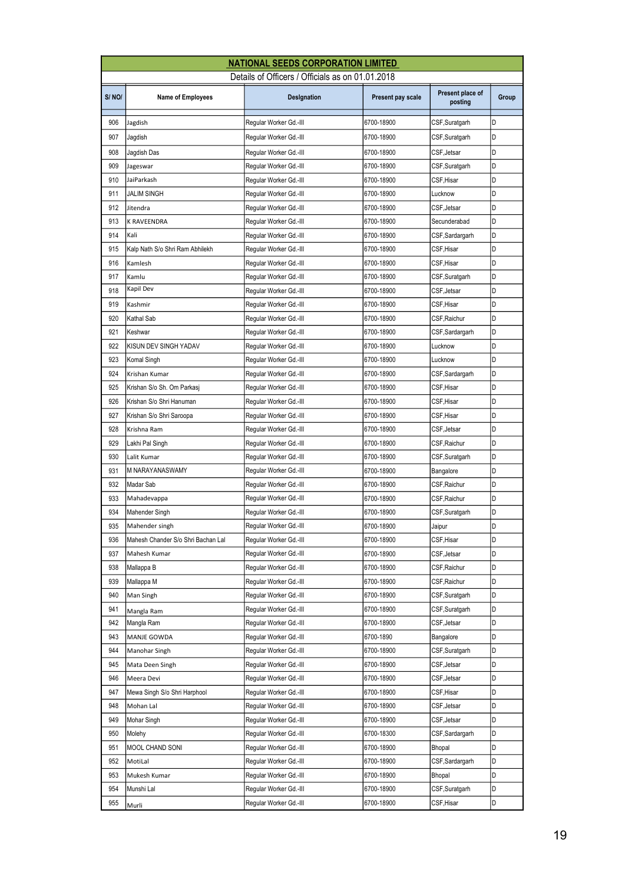|            | <b>NATIONAL SEEDS CORPORATION LIMITED</b>        |                                                  |                   |                             |        |  |  |
|------------|--------------------------------------------------|--------------------------------------------------|-------------------|-----------------------------|--------|--|--|
|            | Details of Officers / Officials as on 01.01.2018 |                                                  |                   |                             |        |  |  |
| S/NO/      | <b>Name of Employees</b>                         | Designation                                      | Present pay scale | Present place of<br>posting | Group  |  |  |
| 906        | Jagdish                                          | Regular Worker Gd.-III                           | 6700-18900        | CSF, Suratgarh              | D      |  |  |
| 907        | Jagdish                                          | Regular Worker Gd.-III                           | 6700-18900        | CSF,Suratgarh               | D      |  |  |
| 908        | Jagdish Das                                      | Regular Worker Gd.-III                           | 6700-18900        | CSF,Jetsar                  | D      |  |  |
| 909        | Jageswar                                         | Reqular Worker Gd.-III                           | 6700-18900        | CSF, Suratgarh              | D      |  |  |
| 910        | JaiParkash                                       | Reqular Worker Gd.-III                           | 6700-18900        | CSF, Hisar                  | D      |  |  |
| 911        | JALIM SINGH                                      | Regular Worker Gd.-III                           | 6700-18900        | Lucknow                     | D      |  |  |
| 912        | Jitendra                                         | Regular Worker Gd.-III                           | 6700-18900        | CSF,Jetsar                  | D      |  |  |
| 913        | K RAVEENDRA                                      | Regular Worker Gd.-III                           | 6700-18900        | Secunderabad                | D      |  |  |
| 914        | Kali                                             | Regular Worker Gd.-III                           | 6700-18900        | CSF,Sardargarh              | D      |  |  |
| 915        | Kalp Nath S/o Shri Ram Abhilekh                  | Regular Worker Gd.-III                           | 6700-18900        | CSF, Hisar                  | D      |  |  |
| 916        | Kamlesh                                          | Regular Worker Gd.-III                           | 6700-18900        | CSF,Hisar                   | D      |  |  |
| 917        | Kamlu                                            | Regular Worker Gd.-III                           | 6700-18900        | CSF,Suratgarh               | D      |  |  |
| 918        | Kapil Dev                                        | Regular Worker Gd.-III                           | 6700-18900        | CSF, Jetsar                 | D      |  |  |
| 919        | Kashmir                                          | Reqular Worker Gd.-III                           | 6700-18900        | CSF,Hisar                   | D      |  |  |
| 920        | Kathal Sab                                       | Regular Worker Gd.-III                           | 6700-18900        | CSF,Raichur                 | D      |  |  |
| 921        | Keshwar                                          | Regular Worker Gd.-III                           | 6700-18900        | CSF,Sardargarh              | D      |  |  |
| 922        | KISUN DEV SINGH YADAV                            | Regular Worker Gd.-III                           | 6700-18900        | Lucknow                     | D      |  |  |
| 923        | Komal Singh                                      | Regular Worker Gd.-III                           | 6700-18900        | Lucknow                     | D      |  |  |
| 924        | Krishan Kumar                                    | Regular Worker Gd.-III                           | 6700-18900        | CSF,Sardargarh              | D      |  |  |
| 925        | Krishan S/o Sh. Om Parkasj                       | Regular Worker Gd.-III                           | 6700-18900        | CSF, Hisar                  | D      |  |  |
| 926        | Krishan S/o Shri Hanuman                         | Regular Worker Gd.-III                           | 6700-18900        | CSF,Hisar                   | D      |  |  |
| 927        | Krishan S/o Shri Saroopa                         | Regular Worker Gd.-III                           | 6700-18900        | CSF,Hisar                   | D      |  |  |
| 928        | Krishna Ram                                      | Regular Worker Gd.-III                           | 6700-18900        | CSF,Jetsar                  | D      |  |  |
| 929        | Lakhi Pal Singh                                  | Regular Worker Gd.-III                           | 6700-18900        | CSF, Raichur                | D      |  |  |
| 930        | Lalit Kumar                                      | Regular Worker Gd.-III                           | 6700-18900        | CSF,Suratgarh               | D      |  |  |
| 931        | M NARAYANASWAMY                                  | Regular Worker Gd.-III                           | 6700-18900        | Bangalore                   | D      |  |  |
| 932        | Madar Sab                                        | Regular Worker Gd.-III                           | 6700-18900        | CSF,Raichur                 | D      |  |  |
| 933        | Mahadevappa                                      | Regular Worker Gd.-III                           | 6700-18900        | CSF,Raichur                 | D      |  |  |
| 934        | Mahender Singh                                   | Regular Worker Gd.-III                           | 6700-18900        | CSF,Suratgarh               | D      |  |  |
| 935        | Mahender singh                                   | Regular Worker Gd.-III                           | 6700-18900        | Jaipur                      | D      |  |  |
| 936        | Mahesh Chander S/o Shri Bachan Lal               | Regular Worker Gd.-III                           | 6700-18900        | CSF, Hisar                  | D      |  |  |
| 937        | Mahesh Kumar                                     | Regular Worker Gd.-III                           | 6700-18900        | CSF,Jetsar                  | D      |  |  |
| 938        | Mallappa B                                       | Regular Worker Gd.-III                           | 6700-18900        | CSF,Raichur                 | D      |  |  |
| 939        | Mallappa M                                       | Regular Worker Gd.-III                           | 6700-18900        | CSF, Raichur                | D      |  |  |
| 940        | Man Singh                                        | Reqular Worker Gd.-III                           | 6700-18900        | CSF, Suratgarh              | D      |  |  |
| 941        |                                                  | Regular Worker Gd.-III                           | 6700-18900        | CSF,Suratgarh               | D      |  |  |
| 942        | Mangla Ram<br>Mangla Ram                         | Regular Worker Gd.-III                           | 6700-18900        | CSF,Jetsar                  | D      |  |  |
| 943        | MANJE GOWDA                                      | Regular Worker Gd.-III                           | 6700-1890         |                             | D      |  |  |
|            |                                                  | Regular Worker Gd.-III                           | 6700-18900        | Bangalore<br>CSF, Suratgarh | D      |  |  |
| 944<br>945 | Manohar Singh                                    |                                                  |                   |                             | D      |  |  |
| 946        | Mata Deen Singh                                  | Regular Worker Gd.-III<br>Regular Worker Gd.-III | 6700-18900        | CSF,Jetsar                  | D      |  |  |
|            | Meera Devi                                       |                                                  | 6700-18900        | CSF,Jetsar                  | D      |  |  |
| 947        | Mewa Singh S/o Shri Harphool                     | Regular Worker Gd.-III                           | 6700-18900        | CSF,Hisar                   |        |  |  |
| 948        | Mohan Lal                                        | Regular Worker Gd.-III                           | 6700-18900        | CSF,Jetsar                  | D<br>D |  |  |
| 949        | Mohar Singh                                      | Regular Worker Gd.-III                           | 6700-18900        | CSF, Jetsar                 |        |  |  |
| 950        | Molehy                                           | Regular Worker Gd.-III                           | 6700-18300        | CSF,Sardargarh              | D      |  |  |
| 951        | MOOL CHAND SONI                                  | Regular Worker Gd.-III                           | 6700-18900        | Bhopal                      | D      |  |  |
| 952        | MotiLal                                          | Regular Worker Gd.-III                           | 6700-18900        | CSF,Sardargarh              | D      |  |  |
| 953        | Mukesh Kumar                                     | Regular Worker Gd.-III                           | 6700-18900        | Bhopal                      | D      |  |  |
| 954        | Munshi Lal                                       | Regular Worker Gd.-III                           | 6700-18900        | CSF,Suratgarh               | D      |  |  |
| 955        | Murli                                            | Regular Worker Gd.-III                           | 6700-18900        | CSF,Hisar                   | D      |  |  |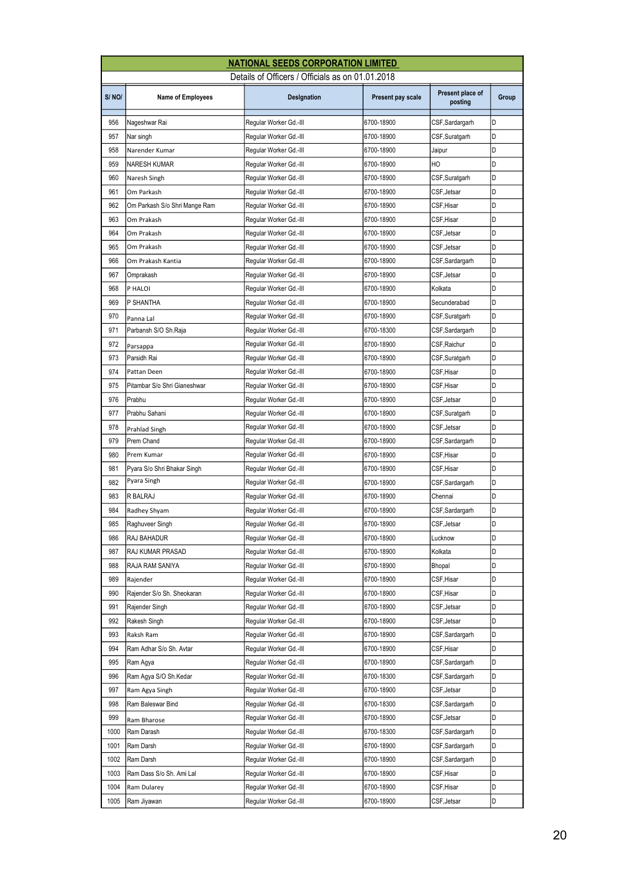|       | <b>NATIONAL SEEDS CORPORATION LIMITED</b>        |                        |                          |                             |       |  |  |
|-------|--------------------------------------------------|------------------------|--------------------------|-----------------------------|-------|--|--|
|       | Details of Officers / Officials as on 01.01.2018 |                        |                          |                             |       |  |  |
| S/NO/ | <b>Name of Employees</b>                         | Designation            | Present pay scale        | Present place of<br>posting | Group |  |  |
| 956   | Nageshwar Rai                                    | Regular Worker Gd.-III | 6700-18900               | CSF,Sardargarh              | D     |  |  |
| 957   | Nar singh                                        | Regular Worker Gd.-III | 6700-18900               | CSF,Suratgarh               | D     |  |  |
| 958   | Narender Kumar                                   | Regular Worker Gd.-III | 6700-18900               | Jaipur                      | D     |  |  |
| 959   | <b>NARESH KUMAR</b>                              | Regular Worker Gd.-III | 6700-18900               | HO                          | D     |  |  |
| 960   | Naresh Singh                                     | Regular Worker Gd.-III | 6700-18900               | CSF, Suratgarh              | D     |  |  |
| 961   | Om Parkash                                       | Reqular Worker Gd.-III | 6700-18900               | CSF, Jetsar                 | D     |  |  |
| 962   | Om Parkash S/o Shri Mange Ram                    | Regular Worker Gd.-III | 6700-18900               | CSF, Hisar                  | D     |  |  |
| 963   | Om Prakash                                       | Regular Worker Gd.-III | 6700-18900               | CSF,Hisar                   | D     |  |  |
| 964   | Om Prakash                                       | Regular Worker Gd.-III | 6700-18900               | CSF,Jetsar                  | D     |  |  |
| 965   | Om Prakash                                       | Regular Worker Gd.-III | 6700-18900               | CSF,Jetsar                  | D     |  |  |
| 966   | Om Prakash Kantia                                | Reqular Worker Gd.-III | 6700-18900               | CSF,Sardargarh              | D     |  |  |
| 967   | Omprakash                                        | Regular Worker Gd.-III | 6700-18900               | CSF,Jetsar                  | D     |  |  |
| 968   | P HALOI                                          | Regular Worker Gd.-III | 6700-18900               | Kolkata                     | D     |  |  |
| 969   | P SHANTHA                                        | Regular Worker Gd.-III | 6700-18900               | Secunderabad                | D     |  |  |
| 970   | Panna Lal                                        | Regular Worker Gd.-III | 6700-18900               | CSF, Suratgarh              | D     |  |  |
| 971   | Parbansh S/O Sh.Raja                             | Regular Worker Gd.-III | 6700-18300               | CSF,Sardargarh              | D     |  |  |
| 972   | Parsappa                                         | Regular Worker Gd.-III | 6700-18900               | CSF, Raichur                | D     |  |  |
| 973   | Parsidh Rai                                      | Regular Worker Gd.-III | 6700-18900               | CSF,Suratgarh               | D     |  |  |
| 974   | Pattan Deen                                      | Regular Worker Gd.-III | 6700-18900               | CSF,Hisar                   | D     |  |  |
| 975   | Pitambar S/o Shri Gianeshwar                     | Regular Worker Gd.-III | 6700-18900               | CSF, Hisar                  | D     |  |  |
| 976   | Prabhu                                           | Regular Worker Gd.-III | 6700-18900               | CSF,Jetsar                  | D     |  |  |
| 977   | Prabhu Sahani                                    | Regular Worker Gd.-III | 6700-18900               | CSF,Suratgarh               | D     |  |  |
| 978   |                                                  | Regular Worker Gd.-III | 6700-18900               | CSF,Jetsar                  | D     |  |  |
| 979   | Prahlad Singh<br>Prem Chand                      | Regular Worker Gd.-III | 6700-18900               | CSF,Sardargarh              | D     |  |  |
| 980   | Prem Kumar                                       | Regular Worker Gd.-III | 6700-18900               | CSF, Hisar                  | D     |  |  |
| 981   | Pyara S/o Shri Bhakar Singh                      | Regular Worker Gd.-III | 6700-18900               | CSF,Hisar                   | D     |  |  |
| 982   | Pyara Singh                                      | Regular Worker Gd.-III | 6700-18900               | CSF,Sardargarh              | D     |  |  |
| 983   | R BALRAJ                                         | Regular Worker Gd.-III | 6700-18900               | Chennai                     | D     |  |  |
| 984   | Radhey Shyam                                     | Regular Worker Gd.-III | 6700-18900               | CSF, Sardargarh             | D     |  |  |
| 985   | Raghuveer Singh                                  | Regular Worker Gd.-III | 6700-18900               | CSF, Jetsar                 | D     |  |  |
| 986   | RAJ BAHADUR                                      | Reqular Worker Gd.-III | 6700-18900               | Lucknow                     | D     |  |  |
| 987   | RAJ KUMAR PRASAD                                 | Regular Worker Gd.-III | 6700-18900               | Kolkata                     | D     |  |  |
| 988   | RAJA RAM SANIYA                                  | Regular Worker Gd.-III | 6700-18900               | Bhopal                      | D     |  |  |
| 989   |                                                  | Regular Worker Gd.-III |                          | CSF,Hisar                   | D     |  |  |
| 990   | Rajender<br>Rajender S/o Sh. Sheokaran           | Reqular Worker Gd.-III | 6700-18900<br>6700-18900 | CSF, Hisar                  | D     |  |  |
| 991   |                                                  | Regular Worker Gd.-III | 6700-18900               | CSF,Jetsar                  | D     |  |  |
| 992   | Rajender Singh                                   |                        |                          |                             | D     |  |  |
| 993   | Rakesh Singh                                     | Regular Worker Gd.-III | 6700-18900               | CSF,Jetsar                  |       |  |  |
|       | Raksh Ram                                        | Regular Worker Gd.-III | 6700-18900               | CSF,Sardargarh              | D     |  |  |
| 994   | Ram Adhar S/o Sh. Avtar                          | Regular Worker Gd.-III | 6700-18900               | CSF,Hisar                   | D     |  |  |
| 995   | Ram Agya                                         | Regular Worker Gd.-III | 6700-18900               | CSF,Sardargarh              | D     |  |  |
| 996   | Ram Agya S/O Sh.Kedar                            | Regular Worker Gd.-III | 6700-18300               | CSF,Sardargarh              | D     |  |  |
| 997   | Ram Agya Singh                                   | Regular Worker Gd.-III | 6700-18900               | CSF,Jetsar                  | D     |  |  |
| 998   | Ram Baleswar Bind                                | Regular Worker Gd.-III | 6700-18300               | CSF,Sardargarh              | D     |  |  |
| 999   | Ram Bharose                                      | Regular Worker Gd.-III | 6700-18900               | CSF,Jetsar                  | D     |  |  |
| 1000  | Ram Darash                                       | Regular Worker Gd.-III | 6700-18300               | CSF, Sardargarh             | D     |  |  |
| 1001  | Ram Darsh                                        | Regular Worker Gd.-III | 6700-18900               | CSF,Sardargarh              | D     |  |  |
| 1002  | Ram Darsh                                        | Regular Worker Gd.-III | 6700-18900               | CSF,Sardargarh              | D     |  |  |
| 1003  | Ram Dass S/o Sh. Ami Lal                         | Regular Worker Gd.-III | 6700-18900               | CSF,Hisar                   | D     |  |  |
| 1004  | Ram Dularey                                      | Regular Worker Gd.-III | 6700-18900               | CSF,Hisar                   | D     |  |  |
| 1005  | Ram Jiyawan                                      | Regular Worker Gd.-III | 6700-18900               | CSF, Jetsar                 | D     |  |  |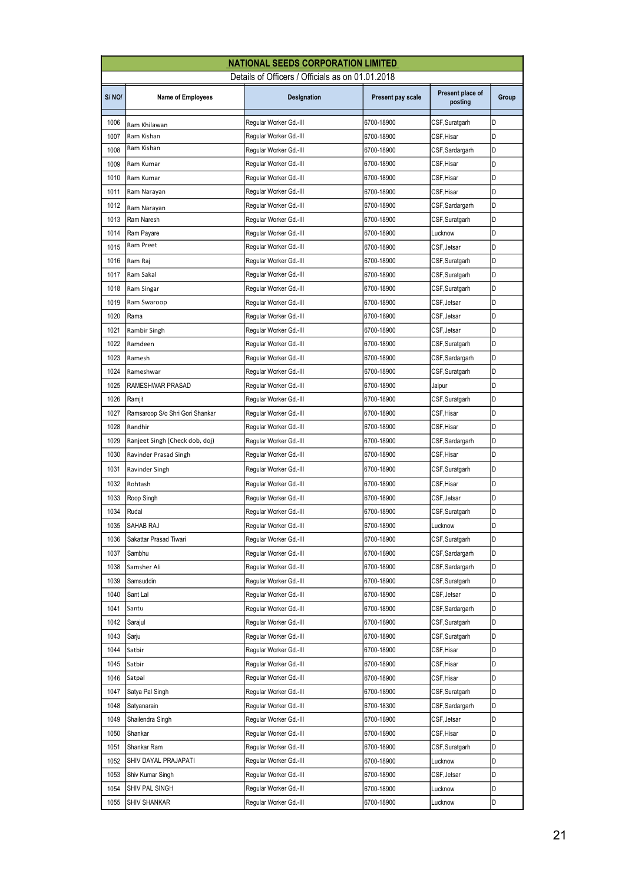|       | <b>NATIONAL SEEDS CORPORATION LIMITED</b>        |                        |                   |                             |       |  |  |
|-------|--------------------------------------------------|------------------------|-------------------|-----------------------------|-------|--|--|
|       | Details of Officers / Officials as on 01.01.2018 |                        |                   |                             |       |  |  |
| S/NO/ | <b>Name of Employees</b>                         | Designation            | Present pay scale | Present place of<br>posting | Group |  |  |
| 1006  | Ram Khilawan                                     | Regular Worker Gd.-III | 6700-18900        | CSF, Suratgarh              | D     |  |  |
| 1007  | Ram Kishan                                       | Regular Worker Gd.-III | 6700-18900        | CSF,Hisar                   | D     |  |  |
| 1008  | Ram Kishan                                       | Regular Worker Gd.-III | 6700-18900        | CSF,Sardargarh              | D     |  |  |
| 1009  | Ram Kumar                                        | Regular Worker Gd.-III | 6700-18900        | CSF,Hisar                   | D     |  |  |
| 1010  | Ram Kumar                                        | Regular Worker Gd.-III | 6700-18900        | CSF,Hisar                   | D     |  |  |
| 1011  | Ram Narayan                                      | Regular Worker Gd.-III | 6700-18900        | CSF,Hisar                   | D     |  |  |
| 1012  | Ram Narayan                                      | Regular Worker Gd.-III | 6700-18900        | CSF,Sardargarh              | D     |  |  |
| 1013  | Ram Naresh                                       | Regular Worker Gd.-III | 6700-18900        | CSF,Suratgarh               | D     |  |  |
| 1014  | Ram Payare                                       | Regular Worker Gd.-III | 6700-18900        | Lucknow                     | D     |  |  |
| 1015  | Ram Preet                                        | Regular Worker Gd.-III | 6700-18900        | CSF, Jetsar                 | D     |  |  |
| 1016  | Ram Raj                                          | Regular Worker Gd.-III | 6700-18900        | CSF,Suratgarh               | D     |  |  |
| 1017  | Ram Sakal                                        | Regular Worker Gd.-III | 6700-18900        | CSF,Suratgarh               | D     |  |  |
| 1018  | Ram Singar                                       | Regular Worker Gd.-III | 6700-18900        | CSF,Suratgarh               | D     |  |  |
| 1019  | Ram Swaroop                                      | Regular Worker Gd.-III | 6700-18900        | CSF,Jetsar                  | D     |  |  |
| 1020  | Rama                                             | Regular Worker Gd.-III | 6700-18900        | CSF, Jetsar                 | D     |  |  |
| 1021  | Rambir Singh                                     | Regular Worker Gd.-III | 6700-18900        | CSF, Jetsar                 | D     |  |  |
| 1022  | Ramdeen                                          | Regular Worker Gd.-III | 6700-18900        | CSF,Suratgarh               | D     |  |  |
| 1023  | Ramesh                                           | Regular Worker Gd.-III | 6700-18900        | CSF, Sardargarh             | D     |  |  |
| 1024  | Rameshwar                                        | Regular Worker Gd.-III | 6700-18900        | CSF,Suratgarh               | D     |  |  |
| 1025  | RAMESHWAR PRASAD                                 | Regular Worker Gd.-III | 6700-18900        | Jaipur                      | D     |  |  |
| 1026  | Ramjit                                           | Regular Worker Gd.-III | 6700-18900        | CSF,Suratgarh               | D     |  |  |
| 1027  | Ramsaroop S/o Shri Gori Shankar                  | Regular Worker Gd.-III | 6700-18900        | CSF,Hisar                   | D     |  |  |
| 1028  | Randhir                                          | Regular Worker Gd.-III | 6700-18900        | CSF,Hisar                   | D     |  |  |
| 1029  | Ranjeet Singh (Check dob, doj)                   | Regular Worker Gd.-III | 6700-18900        | CSF,Sardargarh              | D     |  |  |
| 1030  | Ravinder Prasad Singh                            | Regular Worker Gd.-III | 6700-18900        | CSF,Hisar                   | D     |  |  |
| 1031  | Ravinder Singh                                   | Regular Worker Gd.-III | 6700-18900        | CSF, Suratgarh              | D     |  |  |
| 1032  | Rohtash                                          | Regular Worker Gd.-III | 6700-18900        | CSF,Hisar                   | D     |  |  |
| 1033  | Roop Singh                                       | Regular Worker Gd.-III | 6700-18900        | CSF,Jetsar                  | D     |  |  |
| 1034  | Rudal                                            | Regular Worker Gd.-III | 6700-18900        | CSF,Suratgarh               | D     |  |  |
| 1035  | SAHAB RAJ                                        | Regular Worker Gd.-III | 6700-18900        | Lucknow                     | D     |  |  |
| 1036  | Sakattar Prasad Tiwari                           | Regular Worker Gd.-III | 6700-18900        | CSF,Suratgarh               | D     |  |  |
| 1037  | Sambhu                                           | Regular Worker Gd.-III | 6700-18900        | CSF,Sardargarh              | D     |  |  |
| 1038  | Samsher Ali                                      | Regular Worker Gd.-III | 6700-18900        | CSF,Sardargarh              | D     |  |  |
| 1039  | Samsuddin                                        | Regular Worker Gd.-III | 6700-18900        | CSF,Suratgarh               | D     |  |  |
| 1040  | Sant Lal                                         | Reqular Worker Gd.-III | 6700-18900        | CSF, Jetsar                 | D     |  |  |
| 1041  | Santu                                            | Regular Worker Gd.-III | 6700-18900        | CSF,Sardargarh              | D     |  |  |
| 1042  | Sarajul                                          | Regular Worker Gd.-III | 6700-18900        | CSF, Suratgarh              | D     |  |  |
| 1043  | Sarju                                            | Regular Worker Gd.-III | 6700-18900        | CSF,Suratgarh               | D     |  |  |
| 1044  | Satbir                                           | Regular Worker Gd.-III | 6700-18900        | CSF,Hisar                   | D     |  |  |
| 1045  | Satbir                                           | Regular Worker Gd.-III | 6700-18900        | CSF,Hisar                   | D     |  |  |
| 1046  | Satpal                                           | Regular Worker Gd.-III | 6700-18900        | CSF,Hisar                   | D     |  |  |
| 1047  | Satya Pal Singh                                  | Regular Worker Gd.-III | 6700-18900        | CSF,Suratgarh               | D     |  |  |
| 1048  | Satyanarain                                      | Regular Worker Gd.-III | 6700-18300        | CSF,Sardargarh              | D     |  |  |
| 1049  | Shailendra Singh                                 | Regular Worker Gd.-III | 6700-18900        | CSF, Jetsar                 | D     |  |  |
| 1050  | Shankar                                          | Regular Worker Gd.-III | 6700-18900        | CSF, Hisar                  | D     |  |  |
| 1051  | Shankar Ram                                      | Regular Worker Gd.-III | 6700-18900        | CSF,Suratgarh               | D     |  |  |
| 1052  | SHIV DAYAL PRAJAPATI                             | Regular Worker Gd.-III | 6700-18900        | Lucknow                     | D     |  |  |
| 1053  | Shiv Kumar Singh                                 | Regular Worker Gd.-III | 6700-18900        | CSF,Jetsar                  | D     |  |  |
| 1054  | SHIV PAL SINGH                                   | Regular Worker Gd.-III | 6700-18900        | Lucknow                     | D     |  |  |
| 1055  | SHIV SHANKAR                                     | Regular Worker Gd.-III | 6700-18900        | Lucknow                     | D     |  |  |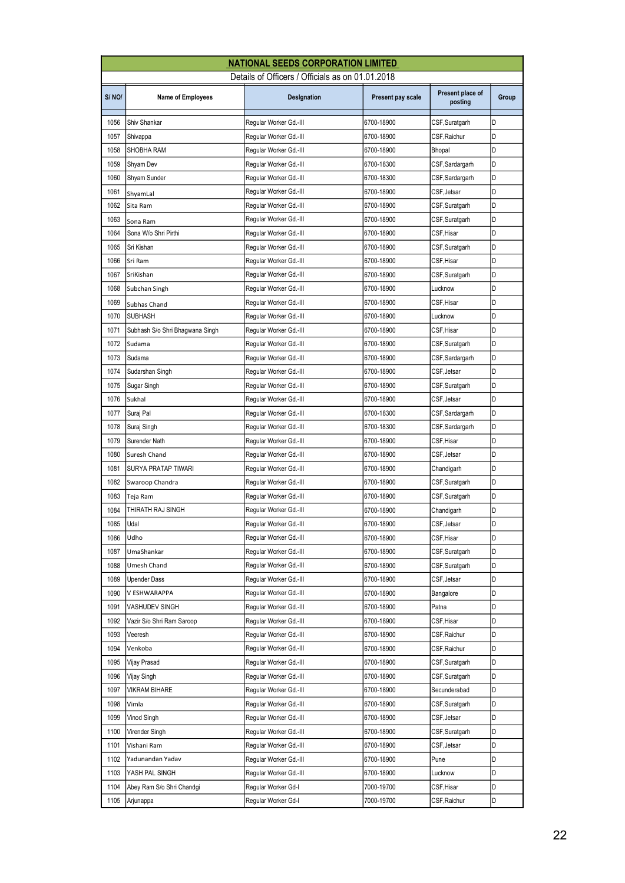|       | <b>NATIONAL SEEDS CORPORATION LIMITED</b> |                                                  |                          |                              |       |  |
|-------|-------------------------------------------|--------------------------------------------------|--------------------------|------------------------------|-------|--|
|       |                                           | Details of Officers / Officials as on 01.01.2018 |                          |                              |       |  |
| S/NO/ | <b>Name of Employees</b>                  | Designation                                      | Present pay scale        | Present place of<br>posting  | Group |  |
| 1056  | Shiv Shankar                              | Regular Worker Gd.-III                           | 6700-18900               | CSF, Suratgarh               | D     |  |
| 1057  | Shivappa                                  | Regular Worker Gd.-III                           | 6700-18900               | CSF, Raichur                 | D     |  |
| 1058  | SHOBHA RAM                                | Regular Worker Gd.-III                           | 6700-18900               | Bhopal                       | D     |  |
| 1059  | Shyam Dev                                 | Regular Worker Gd.-III                           | 6700-18300               | CSF,Sardargarh               | D     |  |
| 1060  | Shyam Sunder                              | Regular Worker Gd.-III                           | 6700-18300               | CSF,Sardargarh               | D     |  |
| 1061  | ShyamLal                                  | Reqular Worker Gd.-III                           | 6700-18900               | CSF, Jetsar                  | D     |  |
| 1062  | Sita Ram                                  | Regular Worker Gd.-III                           | 6700-18900               | CSF, Suratgarh               | D     |  |
| 1063  | Sona Ram                                  | Regular Worker Gd.-III                           | 6700-18900               | CSF, Suratgarh               | D     |  |
| 1064  | Sona W/o Shri Pirthi                      | Regular Worker Gd.-III                           | 6700-18900               | CSF, Hisar                   | D     |  |
| 1065  | Sri Kishan                                | Regular Worker Gd.-III                           | 6700-18900               | CSF,Suratgarh                | D     |  |
| 1066  | Sri Ram                                   | Regular Worker Gd.-III                           | 6700-18900               | CSF, Hisar                   | D     |  |
| 1067  | SriKishan                                 | Regular Worker Gd.-III                           | 6700-18900               | CSF, Suratgarh               | D     |  |
| 1068  | Subchan Singh                             | Regular Worker Gd.-III                           | 6700-18900               | Lucknow                      | D     |  |
| 1069  | Subhas Chand                              | Regular Worker Gd.-III                           | 6700-18900               | CSF,Hisar                    | D     |  |
| 1070  | <b>SUBHASH</b>                            | Regular Worker Gd.-III                           | 6700-18900               | Lucknow                      | D     |  |
| 1071  | Subhash S/o Shri Bhagwana Singh           | Regular Worker Gd.-III                           | 6700-18900               | CSF, Hisar                   | D     |  |
| 1072  | Sudama                                    | Regular Worker Gd.-III                           | 6700-18900               | CSF, Suratgarh               | Id    |  |
| 1073  | Sudama                                    | Regular Worker Gd.-III                           | 6700-18900               | CSF,Sardargarh               | D     |  |
| 1074  | Sudarshan Singh                           | Regular Worker Gd.-III                           | 6700-18900               | CSF, Jetsar                  | D     |  |
| 1075  | Sugar Singh                               | Regular Worker Gd.-III                           | 6700-18900               | CSF,Suratgarh                | D     |  |
| 1076  | Sukhal                                    | Regular Worker Gd.-III                           | 6700-18900               | CSF, Jetsar                  | D     |  |
| 1077  | Suraj Pal                                 | Regular Worker Gd.-III                           | 6700-18300               | CSF,Sardargarh               | D     |  |
| 1078  | Suraj Singh                               | Regular Worker Gd.-III                           | 6700-18300               | CSF,Sardargarh               | D     |  |
| 1079  | Surender Nath                             | Regular Worker Gd.-III                           | 6700-18900               | CSF, Hisar                   | D     |  |
| 1080  | Suresh Chand                              | Regular Worker Gd.-III                           | 6700-18900               | CSF, Jetsar                  | D     |  |
| 1081  | SURYA PRATAP TIWARI                       | Reqular Worker Gd.-III                           | 6700-18900               | Chandigarh                   | D     |  |
| 1082  | Swaroop Chandra                           | Regular Worker Gd.-III                           | 6700-18900               | CSF, Suratgarh               | D     |  |
| 1083  | Teja Ram                                  | Regular Worker Gd.-III                           | 6700-18900               | CSF,Suratgarh                | D     |  |
| 1084  | THIRATH RAJ SINGH                         | Regular Worker Gd.-III                           | 6700-18900               | Chandigarh                   | D     |  |
| 1085  | Udal                                      | Regular Worker Gd.-III                           | 6700-18900               | CSF.Jetsar                   | D     |  |
| 1086  | Udho                                      | Regular Worker Gd.-III                           | 6700-18900               | CSF,Hisar                    | D     |  |
| 1087  | UmaShankar                                | Regular Worker Gd.-III                           | 6700-18900               | CSF, Suratgarh               | D     |  |
| 1088  | Umesh Chand                               | Regular Worker Gd.-III                           | 6700-18900               | CSF,Suratgarh                | D     |  |
| 1089  | Upender Dass                              | Regular Worker Gd.-III                           | 6700-18900               | CSF, Jetsar                  | D     |  |
| 1090  | V ESHWARAPPA                              | Regular Worker Gd.-III                           | 6700-18900               | Bangalore                    | D     |  |
| 1091  | VASHUDEV SINGH                            | Regular Worker Gd.-III                           | 6700-18900               | Patna                        | D     |  |
| 1092  | Vazir S/o Shri Ram Saroop                 | Regular Worker Gd.-III                           | 6700-18900               | CSF, Hisar                   | D     |  |
| 1093  | Veeresh                                   | Regular Worker Gd.-III                           | 6700-18900               | CSF, Raichur                 | D     |  |
| 1094  | Venkoba                                   | Regular Worker Gd.-III                           | 6700-18900               | CSF, Raichur                 | D     |  |
| 1095  | Vijay Prasad                              | Regular Worker Gd.-III                           | 6700-18900               | CSF,Suratgarh                | D     |  |
| 1096  | Vijay Singh                               | Regular Worker Gd.-III                           | 6700-18900               | CSF,Suratgarh                | D     |  |
| 1097  | VIKRAM BIHARE                             | Regular Worker Gd.-III                           | 6700-18900               | Secunderabad                 | D     |  |
| 1098  |                                           |                                                  |                          |                              | D     |  |
| 1099  | Vimla<br>Vinod Singh                      | Regular Worker Gd.-III<br>Regular Worker Gd.-III | 6700-18900<br>6700-18900 | CSF,Suratgarh<br>CSF, Jetsar | D     |  |
| 1100  |                                           |                                                  |                          |                              | D     |  |
| 1101  | Virender Singh                            | Regular Worker Gd.-III                           | 6700-18900               | CSF, Suratgarh               | D     |  |
| 1102  | Vishani Ram<br>Yadunandan Yadav           | Regular Worker Gd.-III                           | 6700-18900               | CSF, Jetsar<br>Pune          | D     |  |
| 1103  |                                           | Regular Worker Gd.-III                           | 6700-18900               |                              | D     |  |
| 1104  | YASH PAL SINGH                            | Regular Worker Gd.-III                           | 6700-18900               | Lucknow                      | D     |  |
|       | Abey Ram S/o Shri Chandgi                 | Regular Worker Gd-I                              | 7000-19700               | CSF,Hisar                    |       |  |
| 1105  | Arjunappa                                 | Regular Worker Gd-I                              | 7000-19700               | CSF, Raichur                 | D     |  |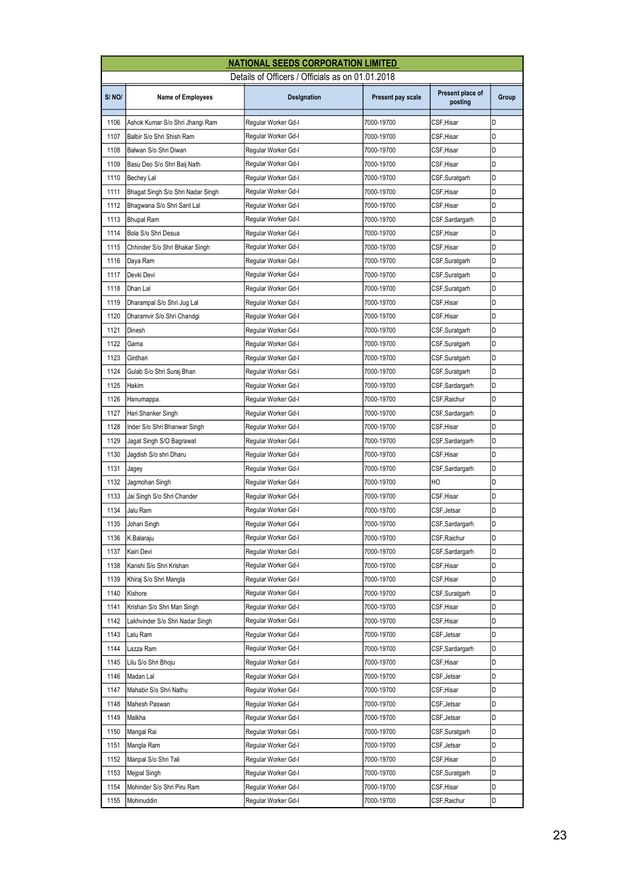| Details of Officers / Officials as on 01.01.2018<br>Present place of<br>S/NO/<br>Group<br><b>Name of Employees</b><br>Designation<br>Present pay scale<br>posting<br>D<br>CSF,Hisar<br>1106<br>Ashok Kumar S/o Shri Jhangi Ram<br>Regular Worker Gd-I<br>7000-19700<br>D<br>1107<br>Balbir S/o Shri Shish Ram<br>Regular Worker Gd-I<br>7000-19700<br>CSF,Hisar<br>D<br>1108<br>Regular Worker Gd-I<br>Balwan S/o Shri Diwan<br>7000-19700<br>CSF,Hisar<br>1109<br>D<br>Basu Deo S/o Shri Baij Nath<br>Regular Worker Gd-I<br>7000-19700<br>CSF,Hisar<br>1110<br>D<br>7000-19700<br>CSF,Suratgarh<br>Bechey Lal<br>Regular Worker Gd-I<br>D<br>1111<br>Bhagat Singh S/o Shri Nadar Singh<br>Regular Worker Gd-I<br>7000-19700<br>CSF,Hisar<br>D<br>1112<br>Regular Worker Gd-I<br>7000-19700<br>CSF,Hisar<br>Bhagwana S/o Shri Sant Lal<br>D<br>1113<br>Regular Worker Gd-I<br>7000-19700<br>CSF,Sardargarh<br>Bhupal Ram<br>1114<br>Bola S/o Shri Desua<br>D<br>Regular Worker Gd-I<br>7000-19700<br>CSF,Hisar<br>D<br>1115<br>Chhinder S/o Shri Bhakar Singh<br>7000-19700<br>CSF,Hisar<br>Regular Worker Gd-I<br>D<br>1116<br>Regular Worker Gd-I<br>7000-19700<br>CSF,Suratgarh<br>Daya Ram<br>D<br>1117<br>Regular Worker Gd-I<br>Devki Devi<br>7000-19700<br>CSF,Suratgarh<br>1118<br>Regular Worker Gd-I<br>D<br>Dhan Lal<br>7000-19700<br>CSF, Suratgarh<br>1119<br>D<br>Dharampal S/o Shri Jug Lal<br>Regular Worker Gd-I<br>7000-19700<br>CSF, Hisar<br>1120<br>CSF,Hisar<br>D<br>Dharamvir S/o Shri Chandgi<br>7000-19700<br>Regular Worker Gd-I<br>D<br>1121<br>Regular Worker Gd-I<br>7000-19700<br>CSF,Suratgarh<br>Dinesh<br>D<br>1122<br>Regular Worker Gd-I<br>Gama<br>7000-19700<br>CSF,Suratgarh<br>1123<br>D<br>Girdhari<br>Regular Worker Gd-I<br>7000-19700<br>CSF,Suratgarh<br>1124<br>D<br>Gulab S/o Shri Suraj Bhan<br>7000-19700<br>Regular Worker Gd-I<br>CSF,Suratgarh<br>1125<br>D<br>Hakim<br>7000-19700<br>CSF,Sardargarh<br>Regular Worker Gd-I<br>D<br>1126<br>Hanumappa.<br>Regular Worker Gd-I<br>7000-19700<br>CSF, Raichur<br>D<br>1127<br>Regular Worker Gd-I<br>Hari Shanker Singh<br>7000-19700<br>CSF,Sardargarh<br>1128<br>D<br>Inder S/o Shri Bhanwar Singh<br>Regular Worker Gd-I<br>7000-19700<br>CSF,Hisar<br>1129<br>D<br>Regular Worker Gd-I<br>7000-19700<br>CSF,Sardargarh<br>Jagat Singh S/O Bagrawat<br>1130<br>CSF,Hisar<br>D<br>Jagdish S/o shri Dharu<br>7000-19700<br>Regular Worker Gd-I<br>D<br>1131<br>Regular Worker Gd-I<br>CSF, Sardargarh<br>7000-19700<br>Jagey<br>D<br>1132<br>Regular Worker Gd-I<br>HO<br>Jagmohan Singh<br>7000-19700<br>1133<br>D<br>7000-19700<br>CSF,Hisar<br>Jai Singh S/o Shri Chander<br>Regular Worker Gd-I<br>1134<br>D<br>Jalu Ram<br>7000-19700<br>CSF, Jetsar<br>Regular Worker Gd-I<br>D<br>1135 Johari Singh<br>Regular Worker Gd-I<br>7000-19700<br>CSF, Sardargarh<br>Regular Worker Gd-I<br>D<br>1136<br>7000-19700<br>CSF, Raichur<br>K.Balaraju<br>D<br>1137<br>Kairi Devi<br>Regular Worker Gd-I<br>7000-19700<br>CSF, Sardargarh<br>1138<br>D<br>Kanshi S/o Shri Krishan<br>Regular Worker Gd-I<br>7000-19700<br>CSF,Hisar<br>1139<br>7000-19700<br>CSF,Hisar<br>D<br>Khiraj S/o Shri Mangla<br>Regular Worker Gd-I<br>1140<br>D<br>Kishore<br>Regular Worker Gd-I<br>7000-19700<br>CSF,Suratgarh<br>1141<br>Regular Worker Gd-I<br>7000-19700<br>D<br>Krishan S/o Shri Man Singh<br>CSF,Hisar<br>D<br>1142<br>CSF,Hisar<br>Lakhvinder S/o Shri Nadar Singh<br>Regular Worker Gd-I<br>7000-19700<br>1143<br>D<br>Regular Worker Gd-I<br>7000-19700<br>CSF,Jetsar<br>Lalu Ram<br>1144<br>D<br>Lazza Ram<br>Regular Worker Gd-I<br>7000-19700<br>CSF,Sardargarh<br>1145<br>Lilu S/o Shri Bhoju<br>Regular Worker Gd-I<br>7000-19700<br>CSF, Hisar<br>D<br>1146<br>Regular Worker Gd-I<br>CSF, Jetsar<br>D<br>Madan Lal<br>7000-19700<br>D<br>1147<br>Mahabir S/o Shri Nathu<br>Regular Worker Gd-I<br>7000-19700<br>CSF,Hisar<br>D<br>1148<br>7000-19700<br>CSF,Jetsar<br>Mahesh Paswan<br>Regular Worker Gd-I<br>1149<br>7000-19700<br>D<br>Malkha<br>Regular Worker Gd-I<br>CSF,Jetsar<br>1150<br>Regular Worker Gd-I<br>7000-19700<br>D<br>Mangal Rai<br>CSF, Suratgarh<br>1151<br>D<br>Mangla Ram<br>Regular Worker Gd-I<br>7000-19700<br>CSF, Jetsar<br>D<br>1152<br>CSF,Hisar<br>Manpal S/o Shri Tali<br>Regular Worker Gd-I<br>7000-19700<br>1153<br>Regular Worker Gd-I<br>7000-19700<br>CSF,Suratgarh<br>D<br>Mejpal Singh | <b>NATIONAL SEEDS CORPORATION LIMITED</b> |  |  |  |  |  |  |
|-------------------------------------------------------------------------------------------------------------------------------------------------------------------------------------------------------------------------------------------------------------------------------------------------------------------------------------------------------------------------------------------------------------------------------------------------------------------------------------------------------------------------------------------------------------------------------------------------------------------------------------------------------------------------------------------------------------------------------------------------------------------------------------------------------------------------------------------------------------------------------------------------------------------------------------------------------------------------------------------------------------------------------------------------------------------------------------------------------------------------------------------------------------------------------------------------------------------------------------------------------------------------------------------------------------------------------------------------------------------------------------------------------------------------------------------------------------------------------------------------------------------------------------------------------------------------------------------------------------------------------------------------------------------------------------------------------------------------------------------------------------------------------------------------------------------------------------------------------------------------------------------------------------------------------------------------------------------------------------------------------------------------------------------------------------------------------------------------------------------------------------------------------------------------------------------------------------------------------------------------------------------------------------------------------------------------------------------------------------------------------------------------------------------------------------------------------------------------------------------------------------------------------------------------------------------------------------------------------------------------------------------------------------------------------------------------------------------------------------------------------------------------------------------------------------------------------------------------------------------------------------------------------------------------------------------------------------------------------------------------------------------------------------------------------------------------------------------------------------------------------------------------------------------------------------------------------------------------------------------------------------------------------------------------------------------------------------------------------------------------------------------------------------------------------------------------------------------------------------------------------------------------------------------------------------------------------------------------------------------------------------------------------------------------------------------------------------------------------------------------------------------------------------------------------------------------------------------------------------------------------------------------------------------------------------------------------------------------------------------------------------------------------------------------------------------------------------------------------------------------------------------------------------------------------------------------------------------------------------------------------------------------------------------------------------------------------------------------------------------------------------------------------------------------------------------|-------------------------------------------|--|--|--|--|--|--|
|                                                                                                                                                                                                                                                                                                                                                                                                                                                                                                                                                                                                                                                                                                                                                                                                                                                                                                                                                                                                                                                                                                                                                                                                                                                                                                                                                                                                                                                                                                                                                                                                                                                                                                                                                                                                                                                                                                                                                                                                                                                                                                                                                                                                                                                                                                                                                                                                                                                                                                                                                                                                                                                                                                                                                                                                                                                                                                                                                                                                                                                                                                                                                                                                                                                                                                                                                                                                                                                                                                                                                                                                                                                                                                                                                                                                                                                                                                                                                                                                                                                                                                                                                                                                                                                                                                                                                                                                                                           |                                           |  |  |  |  |  |  |
|                                                                                                                                                                                                                                                                                                                                                                                                                                                                                                                                                                                                                                                                                                                                                                                                                                                                                                                                                                                                                                                                                                                                                                                                                                                                                                                                                                                                                                                                                                                                                                                                                                                                                                                                                                                                                                                                                                                                                                                                                                                                                                                                                                                                                                                                                                                                                                                                                                                                                                                                                                                                                                                                                                                                                                                                                                                                                                                                                                                                                                                                                                                                                                                                                                                                                                                                                                                                                                                                                                                                                                                                                                                                                                                                                                                                                                                                                                                                                                                                                                                                                                                                                                                                                                                                                                                                                                                                                                           |                                           |  |  |  |  |  |  |
|                                                                                                                                                                                                                                                                                                                                                                                                                                                                                                                                                                                                                                                                                                                                                                                                                                                                                                                                                                                                                                                                                                                                                                                                                                                                                                                                                                                                                                                                                                                                                                                                                                                                                                                                                                                                                                                                                                                                                                                                                                                                                                                                                                                                                                                                                                                                                                                                                                                                                                                                                                                                                                                                                                                                                                                                                                                                                                                                                                                                                                                                                                                                                                                                                                                                                                                                                                                                                                                                                                                                                                                                                                                                                                                                                                                                                                                                                                                                                                                                                                                                                                                                                                                                                                                                                                                                                                                                                                           |                                           |  |  |  |  |  |  |
|                                                                                                                                                                                                                                                                                                                                                                                                                                                                                                                                                                                                                                                                                                                                                                                                                                                                                                                                                                                                                                                                                                                                                                                                                                                                                                                                                                                                                                                                                                                                                                                                                                                                                                                                                                                                                                                                                                                                                                                                                                                                                                                                                                                                                                                                                                                                                                                                                                                                                                                                                                                                                                                                                                                                                                                                                                                                                                                                                                                                                                                                                                                                                                                                                                                                                                                                                                                                                                                                                                                                                                                                                                                                                                                                                                                                                                                                                                                                                                                                                                                                                                                                                                                                                                                                                                                                                                                                                                           |                                           |  |  |  |  |  |  |
|                                                                                                                                                                                                                                                                                                                                                                                                                                                                                                                                                                                                                                                                                                                                                                                                                                                                                                                                                                                                                                                                                                                                                                                                                                                                                                                                                                                                                                                                                                                                                                                                                                                                                                                                                                                                                                                                                                                                                                                                                                                                                                                                                                                                                                                                                                                                                                                                                                                                                                                                                                                                                                                                                                                                                                                                                                                                                                                                                                                                                                                                                                                                                                                                                                                                                                                                                                                                                                                                                                                                                                                                                                                                                                                                                                                                                                                                                                                                                                                                                                                                                                                                                                                                                                                                                                                                                                                                                                           |                                           |  |  |  |  |  |  |
|                                                                                                                                                                                                                                                                                                                                                                                                                                                                                                                                                                                                                                                                                                                                                                                                                                                                                                                                                                                                                                                                                                                                                                                                                                                                                                                                                                                                                                                                                                                                                                                                                                                                                                                                                                                                                                                                                                                                                                                                                                                                                                                                                                                                                                                                                                                                                                                                                                                                                                                                                                                                                                                                                                                                                                                                                                                                                                                                                                                                                                                                                                                                                                                                                                                                                                                                                                                                                                                                                                                                                                                                                                                                                                                                                                                                                                                                                                                                                                                                                                                                                                                                                                                                                                                                                                                                                                                                                                           |                                           |  |  |  |  |  |  |
|                                                                                                                                                                                                                                                                                                                                                                                                                                                                                                                                                                                                                                                                                                                                                                                                                                                                                                                                                                                                                                                                                                                                                                                                                                                                                                                                                                                                                                                                                                                                                                                                                                                                                                                                                                                                                                                                                                                                                                                                                                                                                                                                                                                                                                                                                                                                                                                                                                                                                                                                                                                                                                                                                                                                                                                                                                                                                                                                                                                                                                                                                                                                                                                                                                                                                                                                                                                                                                                                                                                                                                                                                                                                                                                                                                                                                                                                                                                                                                                                                                                                                                                                                                                                                                                                                                                                                                                                                                           |                                           |  |  |  |  |  |  |
|                                                                                                                                                                                                                                                                                                                                                                                                                                                                                                                                                                                                                                                                                                                                                                                                                                                                                                                                                                                                                                                                                                                                                                                                                                                                                                                                                                                                                                                                                                                                                                                                                                                                                                                                                                                                                                                                                                                                                                                                                                                                                                                                                                                                                                                                                                                                                                                                                                                                                                                                                                                                                                                                                                                                                                                                                                                                                                                                                                                                                                                                                                                                                                                                                                                                                                                                                                                                                                                                                                                                                                                                                                                                                                                                                                                                                                                                                                                                                                                                                                                                                                                                                                                                                                                                                                                                                                                                                                           |                                           |  |  |  |  |  |  |
|                                                                                                                                                                                                                                                                                                                                                                                                                                                                                                                                                                                                                                                                                                                                                                                                                                                                                                                                                                                                                                                                                                                                                                                                                                                                                                                                                                                                                                                                                                                                                                                                                                                                                                                                                                                                                                                                                                                                                                                                                                                                                                                                                                                                                                                                                                                                                                                                                                                                                                                                                                                                                                                                                                                                                                                                                                                                                                                                                                                                                                                                                                                                                                                                                                                                                                                                                                                                                                                                                                                                                                                                                                                                                                                                                                                                                                                                                                                                                                                                                                                                                                                                                                                                                                                                                                                                                                                                                                           |                                           |  |  |  |  |  |  |
|                                                                                                                                                                                                                                                                                                                                                                                                                                                                                                                                                                                                                                                                                                                                                                                                                                                                                                                                                                                                                                                                                                                                                                                                                                                                                                                                                                                                                                                                                                                                                                                                                                                                                                                                                                                                                                                                                                                                                                                                                                                                                                                                                                                                                                                                                                                                                                                                                                                                                                                                                                                                                                                                                                                                                                                                                                                                                                                                                                                                                                                                                                                                                                                                                                                                                                                                                                                                                                                                                                                                                                                                                                                                                                                                                                                                                                                                                                                                                                                                                                                                                                                                                                                                                                                                                                                                                                                                                                           |                                           |  |  |  |  |  |  |
|                                                                                                                                                                                                                                                                                                                                                                                                                                                                                                                                                                                                                                                                                                                                                                                                                                                                                                                                                                                                                                                                                                                                                                                                                                                                                                                                                                                                                                                                                                                                                                                                                                                                                                                                                                                                                                                                                                                                                                                                                                                                                                                                                                                                                                                                                                                                                                                                                                                                                                                                                                                                                                                                                                                                                                                                                                                                                                                                                                                                                                                                                                                                                                                                                                                                                                                                                                                                                                                                                                                                                                                                                                                                                                                                                                                                                                                                                                                                                                                                                                                                                                                                                                                                                                                                                                                                                                                                                                           |                                           |  |  |  |  |  |  |
|                                                                                                                                                                                                                                                                                                                                                                                                                                                                                                                                                                                                                                                                                                                                                                                                                                                                                                                                                                                                                                                                                                                                                                                                                                                                                                                                                                                                                                                                                                                                                                                                                                                                                                                                                                                                                                                                                                                                                                                                                                                                                                                                                                                                                                                                                                                                                                                                                                                                                                                                                                                                                                                                                                                                                                                                                                                                                                                                                                                                                                                                                                                                                                                                                                                                                                                                                                                                                                                                                                                                                                                                                                                                                                                                                                                                                                                                                                                                                                                                                                                                                                                                                                                                                                                                                                                                                                                                                                           |                                           |  |  |  |  |  |  |
|                                                                                                                                                                                                                                                                                                                                                                                                                                                                                                                                                                                                                                                                                                                                                                                                                                                                                                                                                                                                                                                                                                                                                                                                                                                                                                                                                                                                                                                                                                                                                                                                                                                                                                                                                                                                                                                                                                                                                                                                                                                                                                                                                                                                                                                                                                                                                                                                                                                                                                                                                                                                                                                                                                                                                                                                                                                                                                                                                                                                                                                                                                                                                                                                                                                                                                                                                                                                                                                                                                                                                                                                                                                                                                                                                                                                                                                                                                                                                                                                                                                                                                                                                                                                                                                                                                                                                                                                                                           |                                           |  |  |  |  |  |  |
|                                                                                                                                                                                                                                                                                                                                                                                                                                                                                                                                                                                                                                                                                                                                                                                                                                                                                                                                                                                                                                                                                                                                                                                                                                                                                                                                                                                                                                                                                                                                                                                                                                                                                                                                                                                                                                                                                                                                                                                                                                                                                                                                                                                                                                                                                                                                                                                                                                                                                                                                                                                                                                                                                                                                                                                                                                                                                                                                                                                                                                                                                                                                                                                                                                                                                                                                                                                                                                                                                                                                                                                                                                                                                                                                                                                                                                                                                                                                                                                                                                                                                                                                                                                                                                                                                                                                                                                                                                           |                                           |  |  |  |  |  |  |
|                                                                                                                                                                                                                                                                                                                                                                                                                                                                                                                                                                                                                                                                                                                                                                                                                                                                                                                                                                                                                                                                                                                                                                                                                                                                                                                                                                                                                                                                                                                                                                                                                                                                                                                                                                                                                                                                                                                                                                                                                                                                                                                                                                                                                                                                                                                                                                                                                                                                                                                                                                                                                                                                                                                                                                                                                                                                                                                                                                                                                                                                                                                                                                                                                                                                                                                                                                                                                                                                                                                                                                                                                                                                                                                                                                                                                                                                                                                                                                                                                                                                                                                                                                                                                                                                                                                                                                                                                                           |                                           |  |  |  |  |  |  |
|                                                                                                                                                                                                                                                                                                                                                                                                                                                                                                                                                                                                                                                                                                                                                                                                                                                                                                                                                                                                                                                                                                                                                                                                                                                                                                                                                                                                                                                                                                                                                                                                                                                                                                                                                                                                                                                                                                                                                                                                                                                                                                                                                                                                                                                                                                                                                                                                                                                                                                                                                                                                                                                                                                                                                                                                                                                                                                                                                                                                                                                                                                                                                                                                                                                                                                                                                                                                                                                                                                                                                                                                                                                                                                                                                                                                                                                                                                                                                                                                                                                                                                                                                                                                                                                                                                                                                                                                                                           |                                           |  |  |  |  |  |  |
|                                                                                                                                                                                                                                                                                                                                                                                                                                                                                                                                                                                                                                                                                                                                                                                                                                                                                                                                                                                                                                                                                                                                                                                                                                                                                                                                                                                                                                                                                                                                                                                                                                                                                                                                                                                                                                                                                                                                                                                                                                                                                                                                                                                                                                                                                                                                                                                                                                                                                                                                                                                                                                                                                                                                                                                                                                                                                                                                                                                                                                                                                                                                                                                                                                                                                                                                                                                                                                                                                                                                                                                                                                                                                                                                                                                                                                                                                                                                                                                                                                                                                                                                                                                                                                                                                                                                                                                                                                           |                                           |  |  |  |  |  |  |
|                                                                                                                                                                                                                                                                                                                                                                                                                                                                                                                                                                                                                                                                                                                                                                                                                                                                                                                                                                                                                                                                                                                                                                                                                                                                                                                                                                                                                                                                                                                                                                                                                                                                                                                                                                                                                                                                                                                                                                                                                                                                                                                                                                                                                                                                                                                                                                                                                                                                                                                                                                                                                                                                                                                                                                                                                                                                                                                                                                                                                                                                                                                                                                                                                                                                                                                                                                                                                                                                                                                                                                                                                                                                                                                                                                                                                                                                                                                                                                                                                                                                                                                                                                                                                                                                                                                                                                                                                                           |                                           |  |  |  |  |  |  |
|                                                                                                                                                                                                                                                                                                                                                                                                                                                                                                                                                                                                                                                                                                                                                                                                                                                                                                                                                                                                                                                                                                                                                                                                                                                                                                                                                                                                                                                                                                                                                                                                                                                                                                                                                                                                                                                                                                                                                                                                                                                                                                                                                                                                                                                                                                                                                                                                                                                                                                                                                                                                                                                                                                                                                                                                                                                                                                                                                                                                                                                                                                                                                                                                                                                                                                                                                                                                                                                                                                                                                                                                                                                                                                                                                                                                                                                                                                                                                                                                                                                                                                                                                                                                                                                                                                                                                                                                                                           |                                           |  |  |  |  |  |  |
|                                                                                                                                                                                                                                                                                                                                                                                                                                                                                                                                                                                                                                                                                                                                                                                                                                                                                                                                                                                                                                                                                                                                                                                                                                                                                                                                                                                                                                                                                                                                                                                                                                                                                                                                                                                                                                                                                                                                                                                                                                                                                                                                                                                                                                                                                                                                                                                                                                                                                                                                                                                                                                                                                                                                                                                                                                                                                                                                                                                                                                                                                                                                                                                                                                                                                                                                                                                                                                                                                                                                                                                                                                                                                                                                                                                                                                                                                                                                                                                                                                                                                                                                                                                                                                                                                                                                                                                                                                           |                                           |  |  |  |  |  |  |
|                                                                                                                                                                                                                                                                                                                                                                                                                                                                                                                                                                                                                                                                                                                                                                                                                                                                                                                                                                                                                                                                                                                                                                                                                                                                                                                                                                                                                                                                                                                                                                                                                                                                                                                                                                                                                                                                                                                                                                                                                                                                                                                                                                                                                                                                                                                                                                                                                                                                                                                                                                                                                                                                                                                                                                                                                                                                                                                                                                                                                                                                                                                                                                                                                                                                                                                                                                                                                                                                                                                                                                                                                                                                                                                                                                                                                                                                                                                                                                                                                                                                                                                                                                                                                                                                                                                                                                                                                                           |                                           |  |  |  |  |  |  |
|                                                                                                                                                                                                                                                                                                                                                                                                                                                                                                                                                                                                                                                                                                                                                                                                                                                                                                                                                                                                                                                                                                                                                                                                                                                                                                                                                                                                                                                                                                                                                                                                                                                                                                                                                                                                                                                                                                                                                                                                                                                                                                                                                                                                                                                                                                                                                                                                                                                                                                                                                                                                                                                                                                                                                                                                                                                                                                                                                                                                                                                                                                                                                                                                                                                                                                                                                                                                                                                                                                                                                                                                                                                                                                                                                                                                                                                                                                                                                                                                                                                                                                                                                                                                                                                                                                                                                                                                                                           |                                           |  |  |  |  |  |  |
|                                                                                                                                                                                                                                                                                                                                                                                                                                                                                                                                                                                                                                                                                                                                                                                                                                                                                                                                                                                                                                                                                                                                                                                                                                                                                                                                                                                                                                                                                                                                                                                                                                                                                                                                                                                                                                                                                                                                                                                                                                                                                                                                                                                                                                                                                                                                                                                                                                                                                                                                                                                                                                                                                                                                                                                                                                                                                                                                                                                                                                                                                                                                                                                                                                                                                                                                                                                                                                                                                                                                                                                                                                                                                                                                                                                                                                                                                                                                                                                                                                                                                                                                                                                                                                                                                                                                                                                                                                           |                                           |  |  |  |  |  |  |
|                                                                                                                                                                                                                                                                                                                                                                                                                                                                                                                                                                                                                                                                                                                                                                                                                                                                                                                                                                                                                                                                                                                                                                                                                                                                                                                                                                                                                                                                                                                                                                                                                                                                                                                                                                                                                                                                                                                                                                                                                                                                                                                                                                                                                                                                                                                                                                                                                                                                                                                                                                                                                                                                                                                                                                                                                                                                                                                                                                                                                                                                                                                                                                                                                                                                                                                                                                                                                                                                                                                                                                                                                                                                                                                                                                                                                                                                                                                                                                                                                                                                                                                                                                                                                                                                                                                                                                                                                                           |                                           |  |  |  |  |  |  |
|                                                                                                                                                                                                                                                                                                                                                                                                                                                                                                                                                                                                                                                                                                                                                                                                                                                                                                                                                                                                                                                                                                                                                                                                                                                                                                                                                                                                                                                                                                                                                                                                                                                                                                                                                                                                                                                                                                                                                                                                                                                                                                                                                                                                                                                                                                                                                                                                                                                                                                                                                                                                                                                                                                                                                                                                                                                                                                                                                                                                                                                                                                                                                                                                                                                                                                                                                                                                                                                                                                                                                                                                                                                                                                                                                                                                                                                                                                                                                                                                                                                                                                                                                                                                                                                                                                                                                                                                                                           |                                           |  |  |  |  |  |  |
|                                                                                                                                                                                                                                                                                                                                                                                                                                                                                                                                                                                                                                                                                                                                                                                                                                                                                                                                                                                                                                                                                                                                                                                                                                                                                                                                                                                                                                                                                                                                                                                                                                                                                                                                                                                                                                                                                                                                                                                                                                                                                                                                                                                                                                                                                                                                                                                                                                                                                                                                                                                                                                                                                                                                                                                                                                                                                                                                                                                                                                                                                                                                                                                                                                                                                                                                                                                                                                                                                                                                                                                                                                                                                                                                                                                                                                                                                                                                                                                                                                                                                                                                                                                                                                                                                                                                                                                                                                           |                                           |  |  |  |  |  |  |
|                                                                                                                                                                                                                                                                                                                                                                                                                                                                                                                                                                                                                                                                                                                                                                                                                                                                                                                                                                                                                                                                                                                                                                                                                                                                                                                                                                                                                                                                                                                                                                                                                                                                                                                                                                                                                                                                                                                                                                                                                                                                                                                                                                                                                                                                                                                                                                                                                                                                                                                                                                                                                                                                                                                                                                                                                                                                                                                                                                                                                                                                                                                                                                                                                                                                                                                                                                                                                                                                                                                                                                                                                                                                                                                                                                                                                                                                                                                                                                                                                                                                                                                                                                                                                                                                                                                                                                                                                                           |                                           |  |  |  |  |  |  |
|                                                                                                                                                                                                                                                                                                                                                                                                                                                                                                                                                                                                                                                                                                                                                                                                                                                                                                                                                                                                                                                                                                                                                                                                                                                                                                                                                                                                                                                                                                                                                                                                                                                                                                                                                                                                                                                                                                                                                                                                                                                                                                                                                                                                                                                                                                                                                                                                                                                                                                                                                                                                                                                                                                                                                                                                                                                                                                                                                                                                                                                                                                                                                                                                                                                                                                                                                                                                                                                                                                                                                                                                                                                                                                                                                                                                                                                                                                                                                                                                                                                                                                                                                                                                                                                                                                                                                                                                                                           |                                           |  |  |  |  |  |  |
|                                                                                                                                                                                                                                                                                                                                                                                                                                                                                                                                                                                                                                                                                                                                                                                                                                                                                                                                                                                                                                                                                                                                                                                                                                                                                                                                                                                                                                                                                                                                                                                                                                                                                                                                                                                                                                                                                                                                                                                                                                                                                                                                                                                                                                                                                                                                                                                                                                                                                                                                                                                                                                                                                                                                                                                                                                                                                                                                                                                                                                                                                                                                                                                                                                                                                                                                                                                                                                                                                                                                                                                                                                                                                                                                                                                                                                                                                                                                                                                                                                                                                                                                                                                                                                                                                                                                                                                                                                           |                                           |  |  |  |  |  |  |
|                                                                                                                                                                                                                                                                                                                                                                                                                                                                                                                                                                                                                                                                                                                                                                                                                                                                                                                                                                                                                                                                                                                                                                                                                                                                                                                                                                                                                                                                                                                                                                                                                                                                                                                                                                                                                                                                                                                                                                                                                                                                                                                                                                                                                                                                                                                                                                                                                                                                                                                                                                                                                                                                                                                                                                                                                                                                                                                                                                                                                                                                                                                                                                                                                                                                                                                                                                                                                                                                                                                                                                                                                                                                                                                                                                                                                                                                                                                                                                                                                                                                                                                                                                                                                                                                                                                                                                                                                                           |                                           |  |  |  |  |  |  |
|                                                                                                                                                                                                                                                                                                                                                                                                                                                                                                                                                                                                                                                                                                                                                                                                                                                                                                                                                                                                                                                                                                                                                                                                                                                                                                                                                                                                                                                                                                                                                                                                                                                                                                                                                                                                                                                                                                                                                                                                                                                                                                                                                                                                                                                                                                                                                                                                                                                                                                                                                                                                                                                                                                                                                                                                                                                                                                                                                                                                                                                                                                                                                                                                                                                                                                                                                                                                                                                                                                                                                                                                                                                                                                                                                                                                                                                                                                                                                                                                                                                                                                                                                                                                                                                                                                                                                                                                                                           |                                           |  |  |  |  |  |  |
|                                                                                                                                                                                                                                                                                                                                                                                                                                                                                                                                                                                                                                                                                                                                                                                                                                                                                                                                                                                                                                                                                                                                                                                                                                                                                                                                                                                                                                                                                                                                                                                                                                                                                                                                                                                                                                                                                                                                                                                                                                                                                                                                                                                                                                                                                                                                                                                                                                                                                                                                                                                                                                                                                                                                                                                                                                                                                                                                                                                                                                                                                                                                                                                                                                                                                                                                                                                                                                                                                                                                                                                                                                                                                                                                                                                                                                                                                                                                                                                                                                                                                                                                                                                                                                                                                                                                                                                                                                           |                                           |  |  |  |  |  |  |
|                                                                                                                                                                                                                                                                                                                                                                                                                                                                                                                                                                                                                                                                                                                                                                                                                                                                                                                                                                                                                                                                                                                                                                                                                                                                                                                                                                                                                                                                                                                                                                                                                                                                                                                                                                                                                                                                                                                                                                                                                                                                                                                                                                                                                                                                                                                                                                                                                                                                                                                                                                                                                                                                                                                                                                                                                                                                                                                                                                                                                                                                                                                                                                                                                                                                                                                                                                                                                                                                                                                                                                                                                                                                                                                                                                                                                                                                                                                                                                                                                                                                                                                                                                                                                                                                                                                                                                                                                                           |                                           |  |  |  |  |  |  |
|                                                                                                                                                                                                                                                                                                                                                                                                                                                                                                                                                                                                                                                                                                                                                                                                                                                                                                                                                                                                                                                                                                                                                                                                                                                                                                                                                                                                                                                                                                                                                                                                                                                                                                                                                                                                                                                                                                                                                                                                                                                                                                                                                                                                                                                                                                                                                                                                                                                                                                                                                                                                                                                                                                                                                                                                                                                                                                                                                                                                                                                                                                                                                                                                                                                                                                                                                                                                                                                                                                                                                                                                                                                                                                                                                                                                                                                                                                                                                                                                                                                                                                                                                                                                                                                                                                                                                                                                                                           |                                           |  |  |  |  |  |  |
|                                                                                                                                                                                                                                                                                                                                                                                                                                                                                                                                                                                                                                                                                                                                                                                                                                                                                                                                                                                                                                                                                                                                                                                                                                                                                                                                                                                                                                                                                                                                                                                                                                                                                                                                                                                                                                                                                                                                                                                                                                                                                                                                                                                                                                                                                                                                                                                                                                                                                                                                                                                                                                                                                                                                                                                                                                                                                                                                                                                                                                                                                                                                                                                                                                                                                                                                                                                                                                                                                                                                                                                                                                                                                                                                                                                                                                                                                                                                                                                                                                                                                                                                                                                                                                                                                                                                                                                                                                           |                                           |  |  |  |  |  |  |
|                                                                                                                                                                                                                                                                                                                                                                                                                                                                                                                                                                                                                                                                                                                                                                                                                                                                                                                                                                                                                                                                                                                                                                                                                                                                                                                                                                                                                                                                                                                                                                                                                                                                                                                                                                                                                                                                                                                                                                                                                                                                                                                                                                                                                                                                                                                                                                                                                                                                                                                                                                                                                                                                                                                                                                                                                                                                                                                                                                                                                                                                                                                                                                                                                                                                                                                                                                                                                                                                                                                                                                                                                                                                                                                                                                                                                                                                                                                                                                                                                                                                                                                                                                                                                                                                                                                                                                                                                                           |                                           |  |  |  |  |  |  |
|                                                                                                                                                                                                                                                                                                                                                                                                                                                                                                                                                                                                                                                                                                                                                                                                                                                                                                                                                                                                                                                                                                                                                                                                                                                                                                                                                                                                                                                                                                                                                                                                                                                                                                                                                                                                                                                                                                                                                                                                                                                                                                                                                                                                                                                                                                                                                                                                                                                                                                                                                                                                                                                                                                                                                                                                                                                                                                                                                                                                                                                                                                                                                                                                                                                                                                                                                                                                                                                                                                                                                                                                                                                                                                                                                                                                                                                                                                                                                                                                                                                                                                                                                                                                                                                                                                                                                                                                                                           |                                           |  |  |  |  |  |  |
|                                                                                                                                                                                                                                                                                                                                                                                                                                                                                                                                                                                                                                                                                                                                                                                                                                                                                                                                                                                                                                                                                                                                                                                                                                                                                                                                                                                                                                                                                                                                                                                                                                                                                                                                                                                                                                                                                                                                                                                                                                                                                                                                                                                                                                                                                                                                                                                                                                                                                                                                                                                                                                                                                                                                                                                                                                                                                                                                                                                                                                                                                                                                                                                                                                                                                                                                                                                                                                                                                                                                                                                                                                                                                                                                                                                                                                                                                                                                                                                                                                                                                                                                                                                                                                                                                                                                                                                                                                           |                                           |  |  |  |  |  |  |
|                                                                                                                                                                                                                                                                                                                                                                                                                                                                                                                                                                                                                                                                                                                                                                                                                                                                                                                                                                                                                                                                                                                                                                                                                                                                                                                                                                                                                                                                                                                                                                                                                                                                                                                                                                                                                                                                                                                                                                                                                                                                                                                                                                                                                                                                                                                                                                                                                                                                                                                                                                                                                                                                                                                                                                                                                                                                                                                                                                                                                                                                                                                                                                                                                                                                                                                                                                                                                                                                                                                                                                                                                                                                                                                                                                                                                                                                                                                                                                                                                                                                                                                                                                                                                                                                                                                                                                                                                                           |                                           |  |  |  |  |  |  |
|                                                                                                                                                                                                                                                                                                                                                                                                                                                                                                                                                                                                                                                                                                                                                                                                                                                                                                                                                                                                                                                                                                                                                                                                                                                                                                                                                                                                                                                                                                                                                                                                                                                                                                                                                                                                                                                                                                                                                                                                                                                                                                                                                                                                                                                                                                                                                                                                                                                                                                                                                                                                                                                                                                                                                                                                                                                                                                                                                                                                                                                                                                                                                                                                                                                                                                                                                                                                                                                                                                                                                                                                                                                                                                                                                                                                                                                                                                                                                                                                                                                                                                                                                                                                                                                                                                                                                                                                                                           |                                           |  |  |  |  |  |  |
|                                                                                                                                                                                                                                                                                                                                                                                                                                                                                                                                                                                                                                                                                                                                                                                                                                                                                                                                                                                                                                                                                                                                                                                                                                                                                                                                                                                                                                                                                                                                                                                                                                                                                                                                                                                                                                                                                                                                                                                                                                                                                                                                                                                                                                                                                                                                                                                                                                                                                                                                                                                                                                                                                                                                                                                                                                                                                                                                                                                                                                                                                                                                                                                                                                                                                                                                                                                                                                                                                                                                                                                                                                                                                                                                                                                                                                                                                                                                                                                                                                                                                                                                                                                                                                                                                                                                                                                                                                           |                                           |  |  |  |  |  |  |
|                                                                                                                                                                                                                                                                                                                                                                                                                                                                                                                                                                                                                                                                                                                                                                                                                                                                                                                                                                                                                                                                                                                                                                                                                                                                                                                                                                                                                                                                                                                                                                                                                                                                                                                                                                                                                                                                                                                                                                                                                                                                                                                                                                                                                                                                                                                                                                                                                                                                                                                                                                                                                                                                                                                                                                                                                                                                                                                                                                                                                                                                                                                                                                                                                                                                                                                                                                                                                                                                                                                                                                                                                                                                                                                                                                                                                                                                                                                                                                                                                                                                                                                                                                                                                                                                                                                                                                                                                                           |                                           |  |  |  |  |  |  |
|                                                                                                                                                                                                                                                                                                                                                                                                                                                                                                                                                                                                                                                                                                                                                                                                                                                                                                                                                                                                                                                                                                                                                                                                                                                                                                                                                                                                                                                                                                                                                                                                                                                                                                                                                                                                                                                                                                                                                                                                                                                                                                                                                                                                                                                                                                                                                                                                                                                                                                                                                                                                                                                                                                                                                                                                                                                                                                                                                                                                                                                                                                                                                                                                                                                                                                                                                                                                                                                                                                                                                                                                                                                                                                                                                                                                                                                                                                                                                                                                                                                                                                                                                                                                                                                                                                                                                                                                                                           |                                           |  |  |  |  |  |  |
|                                                                                                                                                                                                                                                                                                                                                                                                                                                                                                                                                                                                                                                                                                                                                                                                                                                                                                                                                                                                                                                                                                                                                                                                                                                                                                                                                                                                                                                                                                                                                                                                                                                                                                                                                                                                                                                                                                                                                                                                                                                                                                                                                                                                                                                                                                                                                                                                                                                                                                                                                                                                                                                                                                                                                                                                                                                                                                                                                                                                                                                                                                                                                                                                                                                                                                                                                                                                                                                                                                                                                                                                                                                                                                                                                                                                                                                                                                                                                                                                                                                                                                                                                                                                                                                                                                                                                                                                                                           |                                           |  |  |  |  |  |  |
|                                                                                                                                                                                                                                                                                                                                                                                                                                                                                                                                                                                                                                                                                                                                                                                                                                                                                                                                                                                                                                                                                                                                                                                                                                                                                                                                                                                                                                                                                                                                                                                                                                                                                                                                                                                                                                                                                                                                                                                                                                                                                                                                                                                                                                                                                                                                                                                                                                                                                                                                                                                                                                                                                                                                                                                                                                                                                                                                                                                                                                                                                                                                                                                                                                                                                                                                                                                                                                                                                                                                                                                                                                                                                                                                                                                                                                                                                                                                                                                                                                                                                                                                                                                                                                                                                                                                                                                                                                           |                                           |  |  |  |  |  |  |
|                                                                                                                                                                                                                                                                                                                                                                                                                                                                                                                                                                                                                                                                                                                                                                                                                                                                                                                                                                                                                                                                                                                                                                                                                                                                                                                                                                                                                                                                                                                                                                                                                                                                                                                                                                                                                                                                                                                                                                                                                                                                                                                                                                                                                                                                                                                                                                                                                                                                                                                                                                                                                                                                                                                                                                                                                                                                                                                                                                                                                                                                                                                                                                                                                                                                                                                                                                                                                                                                                                                                                                                                                                                                                                                                                                                                                                                                                                                                                                                                                                                                                                                                                                                                                                                                                                                                                                                                                                           |                                           |  |  |  |  |  |  |
|                                                                                                                                                                                                                                                                                                                                                                                                                                                                                                                                                                                                                                                                                                                                                                                                                                                                                                                                                                                                                                                                                                                                                                                                                                                                                                                                                                                                                                                                                                                                                                                                                                                                                                                                                                                                                                                                                                                                                                                                                                                                                                                                                                                                                                                                                                                                                                                                                                                                                                                                                                                                                                                                                                                                                                                                                                                                                                                                                                                                                                                                                                                                                                                                                                                                                                                                                                                                                                                                                                                                                                                                                                                                                                                                                                                                                                                                                                                                                                                                                                                                                                                                                                                                                                                                                                                                                                                                                                           |                                           |  |  |  |  |  |  |
|                                                                                                                                                                                                                                                                                                                                                                                                                                                                                                                                                                                                                                                                                                                                                                                                                                                                                                                                                                                                                                                                                                                                                                                                                                                                                                                                                                                                                                                                                                                                                                                                                                                                                                                                                                                                                                                                                                                                                                                                                                                                                                                                                                                                                                                                                                                                                                                                                                                                                                                                                                                                                                                                                                                                                                                                                                                                                                                                                                                                                                                                                                                                                                                                                                                                                                                                                                                                                                                                                                                                                                                                                                                                                                                                                                                                                                                                                                                                                                                                                                                                                                                                                                                                                                                                                                                                                                                                                                           |                                           |  |  |  |  |  |  |
|                                                                                                                                                                                                                                                                                                                                                                                                                                                                                                                                                                                                                                                                                                                                                                                                                                                                                                                                                                                                                                                                                                                                                                                                                                                                                                                                                                                                                                                                                                                                                                                                                                                                                                                                                                                                                                                                                                                                                                                                                                                                                                                                                                                                                                                                                                                                                                                                                                                                                                                                                                                                                                                                                                                                                                                                                                                                                                                                                                                                                                                                                                                                                                                                                                                                                                                                                                                                                                                                                                                                                                                                                                                                                                                                                                                                                                                                                                                                                                                                                                                                                                                                                                                                                                                                                                                                                                                                                                           |                                           |  |  |  |  |  |  |
|                                                                                                                                                                                                                                                                                                                                                                                                                                                                                                                                                                                                                                                                                                                                                                                                                                                                                                                                                                                                                                                                                                                                                                                                                                                                                                                                                                                                                                                                                                                                                                                                                                                                                                                                                                                                                                                                                                                                                                                                                                                                                                                                                                                                                                                                                                                                                                                                                                                                                                                                                                                                                                                                                                                                                                                                                                                                                                                                                                                                                                                                                                                                                                                                                                                                                                                                                                                                                                                                                                                                                                                                                                                                                                                                                                                                                                                                                                                                                                                                                                                                                                                                                                                                                                                                                                                                                                                                                                           |                                           |  |  |  |  |  |  |
| 1154<br>D<br>Mohinder S/o Shri Piru Ram<br>Regular Worker Gd-I<br>7000-19700<br>CSF,Hisar                                                                                                                                                                                                                                                                                                                                                                                                                                                                                                                                                                                                                                                                                                                                                                                                                                                                                                                                                                                                                                                                                                                                                                                                                                                                                                                                                                                                                                                                                                                                                                                                                                                                                                                                                                                                                                                                                                                                                                                                                                                                                                                                                                                                                                                                                                                                                                                                                                                                                                                                                                                                                                                                                                                                                                                                                                                                                                                                                                                                                                                                                                                                                                                                                                                                                                                                                                                                                                                                                                                                                                                                                                                                                                                                                                                                                                                                                                                                                                                                                                                                                                                                                                                                                                                                                                                                                 |                                           |  |  |  |  |  |  |
| 1155<br>Regular Worker Gd-I<br>7000-19700<br>CSF, Raichur<br>D<br>Mohinuddin                                                                                                                                                                                                                                                                                                                                                                                                                                                                                                                                                                                                                                                                                                                                                                                                                                                                                                                                                                                                                                                                                                                                                                                                                                                                                                                                                                                                                                                                                                                                                                                                                                                                                                                                                                                                                                                                                                                                                                                                                                                                                                                                                                                                                                                                                                                                                                                                                                                                                                                                                                                                                                                                                                                                                                                                                                                                                                                                                                                                                                                                                                                                                                                                                                                                                                                                                                                                                                                                                                                                                                                                                                                                                                                                                                                                                                                                                                                                                                                                                                                                                                                                                                                                                                                                                                                                                              |                                           |  |  |  |  |  |  |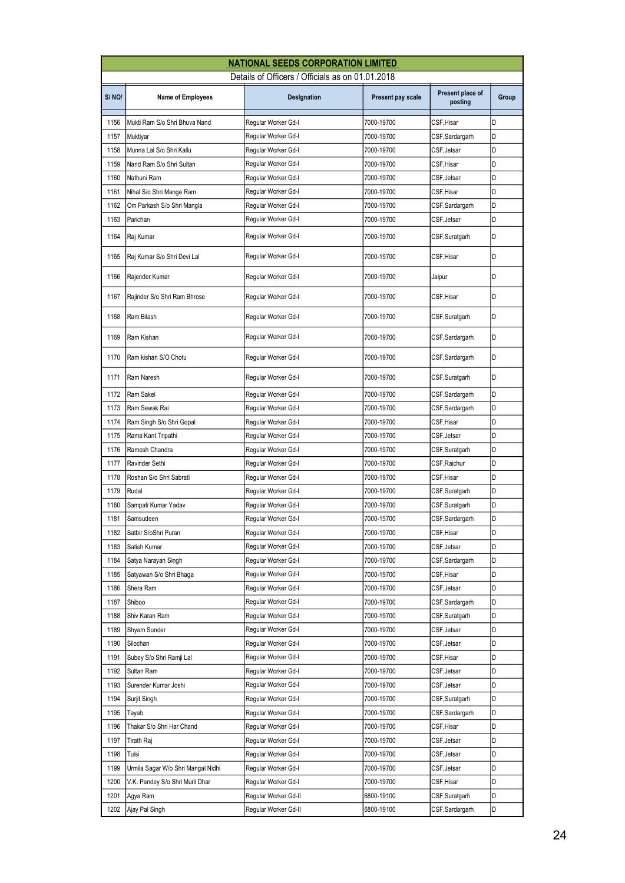| Details of Officers / Officials as on 01.01.2018<br>Present place of<br>S/NO/<br>Present pay scale<br><b>Name of Employees</b><br>Designation<br>posting<br>D<br>CSF, Hisar<br>1156<br>Mukti Ram S/o Shri Bhuva Nand<br>Regular Worker Gd-I<br>7000-19700<br>D<br>1157<br>Muktiyar<br>Regular Worker Gd-I<br>7000-19700<br>CSF, Sardargarh<br>Munna Lal S/o Shri Kallu<br>Regular Worker Gd-I<br>D<br>1158<br>7000-19700<br>CSF, Jetsar<br>D<br>1159<br>Nand Ram S/o Shri Sultan<br>7000-19700<br>CSF, Hisar<br>Regular Worker Gd-I<br>D<br>1160<br>CSF, Jetsar<br>Nathuni Ram<br>Regular Worker Gd-I<br>7000-19700<br>D<br>CSF, Hisar<br>1161<br>Nihal S/o Shri Mange Ram<br>Regular Worker Gd-I<br>7000-19700<br>D<br>1162<br>Om Parkash S/o Shri Mangla<br>Regular Worker Gd-I<br>7000-19700<br>CSF, Sardargarh<br>D<br>1163<br>Parichan<br>Regular Worker Gd-I<br>7000-19700<br>CSF,Jetsar<br>D<br>1164<br>Raj Kumar<br>Regular Worker Gd-I<br>7000-19700<br>CSF, Suratgarh<br>1165<br>Regular Worker Gd-I<br>D<br>Raj Kumar S/o Shri Devi Lal<br>7000-19700<br>CSF,Hisar<br>D<br>1166<br>Rajender Kumar<br>Regular Worker Gd-I<br>7000-19700<br>Jaipur<br>D<br>1167<br>Regular Worker Gd-I<br>CSF, Hisar<br>Rajinder S/o Shri Ram Bhrose<br>7000-19700<br>D<br>1168<br>Ram Bilash<br>Regular Worker Gd-I<br>7000-19700<br>CSF,Suratgarh<br>D<br>1169<br>Ram Kishan<br>Regular Worker Gd-I<br>7000-19700<br>CSF, Sardargarh<br>D<br>1170<br>Ram kishan S/O Chotu<br>Regular Worker Gd-I<br>7000-19700<br>CSF, Sardargarh<br>D<br>1171<br>Ram Naresh<br>Regular Worker Gd-I<br>7000-19700<br>CSF,Suratgarh<br>D<br>1172<br>Regular Worker Gd-I<br>CSF, Sardargarh<br>Ram Sakel<br>7000-19700 | <b>NATIONAL SEEDS CORPORATION LIMITED</b> |               |                     |            |                 |       |  |
|-------------------------------------------------------------------------------------------------------------------------------------------------------------------------------------------------------------------------------------------------------------------------------------------------------------------------------------------------------------------------------------------------------------------------------------------------------------------------------------------------------------------------------------------------------------------------------------------------------------------------------------------------------------------------------------------------------------------------------------------------------------------------------------------------------------------------------------------------------------------------------------------------------------------------------------------------------------------------------------------------------------------------------------------------------------------------------------------------------------------------------------------------------------------------------------------------------------------------------------------------------------------------------------------------------------------------------------------------------------------------------------------------------------------------------------------------------------------------------------------------------------------------------------------------------------------------------------------------------------------------------------------------------------------------------------------------|-------------------------------------------|---------------|---------------------|------------|-----------------|-------|--|
|                                                                                                                                                                                                                                                                                                                                                                                                                                                                                                                                                                                                                                                                                                                                                                                                                                                                                                                                                                                                                                                                                                                                                                                                                                                                                                                                                                                                                                                                                                                                                                                                                                                                                                 |                                           |               |                     |            |                 |       |  |
|                                                                                                                                                                                                                                                                                                                                                                                                                                                                                                                                                                                                                                                                                                                                                                                                                                                                                                                                                                                                                                                                                                                                                                                                                                                                                                                                                                                                                                                                                                                                                                                                                                                                                                 |                                           |               |                     |            |                 | Group |  |
|                                                                                                                                                                                                                                                                                                                                                                                                                                                                                                                                                                                                                                                                                                                                                                                                                                                                                                                                                                                                                                                                                                                                                                                                                                                                                                                                                                                                                                                                                                                                                                                                                                                                                                 |                                           |               |                     |            |                 |       |  |
|                                                                                                                                                                                                                                                                                                                                                                                                                                                                                                                                                                                                                                                                                                                                                                                                                                                                                                                                                                                                                                                                                                                                                                                                                                                                                                                                                                                                                                                                                                                                                                                                                                                                                                 |                                           |               |                     |            |                 |       |  |
|                                                                                                                                                                                                                                                                                                                                                                                                                                                                                                                                                                                                                                                                                                                                                                                                                                                                                                                                                                                                                                                                                                                                                                                                                                                                                                                                                                                                                                                                                                                                                                                                                                                                                                 |                                           |               |                     |            |                 |       |  |
|                                                                                                                                                                                                                                                                                                                                                                                                                                                                                                                                                                                                                                                                                                                                                                                                                                                                                                                                                                                                                                                                                                                                                                                                                                                                                                                                                                                                                                                                                                                                                                                                                                                                                                 |                                           |               |                     |            |                 |       |  |
|                                                                                                                                                                                                                                                                                                                                                                                                                                                                                                                                                                                                                                                                                                                                                                                                                                                                                                                                                                                                                                                                                                                                                                                                                                                                                                                                                                                                                                                                                                                                                                                                                                                                                                 |                                           |               |                     |            |                 |       |  |
|                                                                                                                                                                                                                                                                                                                                                                                                                                                                                                                                                                                                                                                                                                                                                                                                                                                                                                                                                                                                                                                                                                                                                                                                                                                                                                                                                                                                                                                                                                                                                                                                                                                                                                 |                                           |               |                     |            |                 |       |  |
|                                                                                                                                                                                                                                                                                                                                                                                                                                                                                                                                                                                                                                                                                                                                                                                                                                                                                                                                                                                                                                                                                                                                                                                                                                                                                                                                                                                                                                                                                                                                                                                                                                                                                                 |                                           |               |                     |            |                 |       |  |
|                                                                                                                                                                                                                                                                                                                                                                                                                                                                                                                                                                                                                                                                                                                                                                                                                                                                                                                                                                                                                                                                                                                                                                                                                                                                                                                                                                                                                                                                                                                                                                                                                                                                                                 |                                           |               |                     |            |                 |       |  |
|                                                                                                                                                                                                                                                                                                                                                                                                                                                                                                                                                                                                                                                                                                                                                                                                                                                                                                                                                                                                                                                                                                                                                                                                                                                                                                                                                                                                                                                                                                                                                                                                                                                                                                 |                                           |               |                     |            |                 |       |  |
|                                                                                                                                                                                                                                                                                                                                                                                                                                                                                                                                                                                                                                                                                                                                                                                                                                                                                                                                                                                                                                                                                                                                                                                                                                                                                                                                                                                                                                                                                                                                                                                                                                                                                                 |                                           |               |                     |            |                 |       |  |
|                                                                                                                                                                                                                                                                                                                                                                                                                                                                                                                                                                                                                                                                                                                                                                                                                                                                                                                                                                                                                                                                                                                                                                                                                                                                                                                                                                                                                                                                                                                                                                                                                                                                                                 |                                           |               |                     |            |                 |       |  |
|                                                                                                                                                                                                                                                                                                                                                                                                                                                                                                                                                                                                                                                                                                                                                                                                                                                                                                                                                                                                                                                                                                                                                                                                                                                                                                                                                                                                                                                                                                                                                                                                                                                                                                 |                                           |               |                     |            |                 |       |  |
|                                                                                                                                                                                                                                                                                                                                                                                                                                                                                                                                                                                                                                                                                                                                                                                                                                                                                                                                                                                                                                                                                                                                                                                                                                                                                                                                                                                                                                                                                                                                                                                                                                                                                                 |                                           |               |                     |            |                 |       |  |
|                                                                                                                                                                                                                                                                                                                                                                                                                                                                                                                                                                                                                                                                                                                                                                                                                                                                                                                                                                                                                                                                                                                                                                                                                                                                                                                                                                                                                                                                                                                                                                                                                                                                                                 |                                           |               |                     |            |                 |       |  |
|                                                                                                                                                                                                                                                                                                                                                                                                                                                                                                                                                                                                                                                                                                                                                                                                                                                                                                                                                                                                                                                                                                                                                                                                                                                                                                                                                                                                                                                                                                                                                                                                                                                                                                 |                                           |               |                     |            |                 |       |  |
|                                                                                                                                                                                                                                                                                                                                                                                                                                                                                                                                                                                                                                                                                                                                                                                                                                                                                                                                                                                                                                                                                                                                                                                                                                                                                                                                                                                                                                                                                                                                                                                                                                                                                                 |                                           |               |                     |            |                 |       |  |
|                                                                                                                                                                                                                                                                                                                                                                                                                                                                                                                                                                                                                                                                                                                                                                                                                                                                                                                                                                                                                                                                                                                                                                                                                                                                                                                                                                                                                                                                                                                                                                                                                                                                                                 |                                           |               |                     |            |                 |       |  |
|                                                                                                                                                                                                                                                                                                                                                                                                                                                                                                                                                                                                                                                                                                                                                                                                                                                                                                                                                                                                                                                                                                                                                                                                                                                                                                                                                                                                                                                                                                                                                                                                                                                                                                 | 1173                                      | Ram Sewak Rai | Regular Worker Gd-I | 7000-19700 | CSF, Sardargarh | D     |  |
| D<br>1174<br>CSF, Hisar<br>Ram Singh S/o Shri Gopal<br>Regular Worker Gd-I<br>7000-19700                                                                                                                                                                                                                                                                                                                                                                                                                                                                                                                                                                                                                                                                                                                                                                                                                                                                                                                                                                                                                                                                                                                                                                                                                                                                                                                                                                                                                                                                                                                                                                                                        |                                           |               |                     |            |                 |       |  |
| D<br>1175<br>CSF, Jetsar<br>Rama Kant Tripathi<br>Regular Worker Gd-I<br>7000-19700                                                                                                                                                                                                                                                                                                                                                                                                                                                                                                                                                                                                                                                                                                                                                                                                                                                                                                                                                                                                                                                                                                                                                                                                                                                                                                                                                                                                                                                                                                                                                                                                             |                                           |               |                     |            |                 |       |  |
| D<br>1176<br>Regular Worker Gd-I<br>7000-19700<br>Ramesh Chandra<br>CSF, Suratgarh                                                                                                                                                                                                                                                                                                                                                                                                                                                                                                                                                                                                                                                                                                                                                                                                                                                                                                                                                                                                                                                                                                                                                                                                                                                                                                                                                                                                                                                                                                                                                                                                              |                                           |               |                     |            |                 |       |  |
| D<br>1177<br>Regular Worker Gd-I<br>CSF, Raichur<br>Ravinder Sethi<br>7000-19700                                                                                                                                                                                                                                                                                                                                                                                                                                                                                                                                                                                                                                                                                                                                                                                                                                                                                                                                                                                                                                                                                                                                                                                                                                                                                                                                                                                                                                                                                                                                                                                                                |                                           |               |                     |            |                 |       |  |
| D<br>1178<br>Roshan S/o Shri Sabrati<br>Regular Worker Gd-I<br>7000-19700<br>CSF,Hisar                                                                                                                                                                                                                                                                                                                                                                                                                                                                                                                                                                                                                                                                                                                                                                                                                                                                                                                                                                                                                                                                                                                                                                                                                                                                                                                                                                                                                                                                                                                                                                                                          |                                           |               |                     |            |                 |       |  |
| 1179<br>D<br>7000-19700<br>Rudal<br>Regular Worker Gd-I<br>CSF,Suratgarh                                                                                                                                                                                                                                                                                                                                                                                                                                                                                                                                                                                                                                                                                                                                                                                                                                                                                                                                                                                                                                                                                                                                                                                                                                                                                                                                                                                                                                                                                                                                                                                                                        |                                           |               |                     |            |                 |       |  |
| 1180<br>D<br>Sampati Kumar Yadav<br>Regular Worker Gd-I<br>7000-19700<br>CSF,Suratgarh                                                                                                                                                                                                                                                                                                                                                                                                                                                                                                                                                                                                                                                                                                                                                                                                                                                                                                                                                                                                                                                                                                                                                                                                                                                                                                                                                                                                                                                                                                                                                                                                          |                                           |               |                     |            |                 |       |  |
| D<br>1181<br>Regular Worker Gd-I<br>CSF, Sardargarh<br>Samsudeen<br>7000-19700                                                                                                                                                                                                                                                                                                                                                                                                                                                                                                                                                                                                                                                                                                                                                                                                                                                                                                                                                                                                                                                                                                                                                                                                                                                                                                                                                                                                                                                                                                                                                                                                                  |                                           |               |                     |            |                 |       |  |
| Regular Worker Gd-I<br>CSF, Hisar<br>D<br>1182<br>Satbir S/oShri Puran<br>7000-19700                                                                                                                                                                                                                                                                                                                                                                                                                                                                                                                                                                                                                                                                                                                                                                                                                                                                                                                                                                                                                                                                                                                                                                                                                                                                                                                                                                                                                                                                                                                                                                                                            |                                           |               |                     |            |                 |       |  |
| 1183<br>7000-19700<br>CSF, Jetsar<br>D<br>Satish Kumar<br>Regular Worker Gd-I                                                                                                                                                                                                                                                                                                                                                                                                                                                                                                                                                                                                                                                                                                                                                                                                                                                                                                                                                                                                                                                                                                                                                                                                                                                                                                                                                                                                                                                                                                                                                                                                                   |                                           |               |                     |            |                 |       |  |
| 1184<br>7000-19700<br>CSF, Sardargarh<br>D<br>Satya Narayan Singh<br>Regular Worker Gd-I                                                                                                                                                                                                                                                                                                                                                                                                                                                                                                                                                                                                                                                                                                                                                                                                                                                                                                                                                                                                                                                                                                                                                                                                                                                                                                                                                                                                                                                                                                                                                                                                        |                                           |               |                     |            |                 |       |  |
| 1185<br>CSF, Hisar<br>D<br>Satyawan S/o Shri Bhaga<br>Regular Worker Gd-I<br>7000-19700                                                                                                                                                                                                                                                                                                                                                                                                                                                                                                                                                                                                                                                                                                                                                                                                                                                                                                                                                                                                                                                                                                                                                                                                                                                                                                                                                                                                                                                                                                                                                                                                         |                                           |               |                     |            |                 |       |  |
| D<br>1186<br>Regular Worker Gd-I<br>7000-19700<br>CSF, Jetsar<br>Shera Ram                                                                                                                                                                                                                                                                                                                                                                                                                                                                                                                                                                                                                                                                                                                                                                                                                                                                                                                                                                                                                                                                                                                                                                                                                                                                                                                                                                                                                                                                                                                                                                                                                      |                                           |               |                     |            |                 |       |  |
| D<br>1187<br>Shiboo<br>Regular Worker Gd-I<br>7000-19700<br>CSF,Sardargarh                                                                                                                                                                                                                                                                                                                                                                                                                                                                                                                                                                                                                                                                                                                                                                                                                                                                                                                                                                                                                                                                                                                                                                                                                                                                                                                                                                                                                                                                                                                                                                                                                      |                                           |               |                     |            |                 |       |  |
| 1188<br>Shiv Karan Ram<br>Regular Worker Gd-I<br>7000-19700<br>CSF, Suratgarh<br>D<br>D                                                                                                                                                                                                                                                                                                                                                                                                                                                                                                                                                                                                                                                                                                                                                                                                                                                                                                                                                                                                                                                                                                                                                                                                                                                                                                                                                                                                                                                                                                                                                                                                         |                                           |               |                     |            |                 |       |  |
| 1189<br>Shyam Sunder<br>Regular Worker Gd-I<br>7000-19700<br>CSF, Jetsar<br>Regular Worker Gd-I<br>D                                                                                                                                                                                                                                                                                                                                                                                                                                                                                                                                                                                                                                                                                                                                                                                                                                                                                                                                                                                                                                                                                                                                                                                                                                                                                                                                                                                                                                                                                                                                                                                            |                                           |               |                     |            |                 |       |  |
| 1190<br>7000-19700<br>CSF, Jetsar<br>Silochan<br>1191<br>Regular Worker Gd-I<br>7000-19700<br>CSF, Hisar<br>D                                                                                                                                                                                                                                                                                                                                                                                                                                                                                                                                                                                                                                                                                                                                                                                                                                                                                                                                                                                                                                                                                                                                                                                                                                                                                                                                                                                                                                                                                                                                                                                   |                                           |               |                     |            |                 |       |  |
| Subey S/o Shri Ramji Lal<br>D<br>1192<br>CSF, Jetsar<br>Sultan Ram<br>Regular Worker Gd-I<br>7000-19700                                                                                                                                                                                                                                                                                                                                                                                                                                                                                                                                                                                                                                                                                                                                                                                                                                                                                                                                                                                                                                                                                                                                                                                                                                                                                                                                                                                                                                                                                                                                                                                         |                                           |               |                     |            |                 |       |  |
| 1193<br>D<br>Surender Kumar Joshi<br>Regular Worker Gd-I<br>7000-19700<br>CSF, Jetsar                                                                                                                                                                                                                                                                                                                                                                                                                                                                                                                                                                                                                                                                                                                                                                                                                                                                                                                                                                                                                                                                                                                                                                                                                                                                                                                                                                                                                                                                                                                                                                                                           |                                           |               |                     |            |                 |       |  |
| 1194<br>D<br>Surjit Singh<br>Regular Worker Gd-I<br>7000-19700<br>CSF,Suratgarh                                                                                                                                                                                                                                                                                                                                                                                                                                                                                                                                                                                                                                                                                                                                                                                                                                                                                                                                                                                                                                                                                                                                                                                                                                                                                                                                                                                                                                                                                                                                                                                                                 |                                           |               |                     |            |                 |       |  |
| 1195<br>Regular Worker Gd-I<br>7000-19700<br>D<br>CSF, Sardargarh<br>Tayab                                                                                                                                                                                                                                                                                                                                                                                                                                                                                                                                                                                                                                                                                                                                                                                                                                                                                                                                                                                                                                                                                                                                                                                                                                                                                                                                                                                                                                                                                                                                                                                                                      |                                           |               |                     |            |                 |       |  |
| 1196<br>Regular Worker Gd-I<br>D<br>Thakar S/o Shri Har Chand<br>7000-19700<br>CSF, Hisar                                                                                                                                                                                                                                                                                                                                                                                                                                                                                                                                                                                                                                                                                                                                                                                                                                                                                                                                                                                                                                                                                                                                                                                                                                                                                                                                                                                                                                                                                                                                                                                                       |                                           |               |                     |            |                 |       |  |
| D<br>1197<br>CSF, Jetsar<br>Tirath Raj<br>Regular Worker Gd-I<br>7000-19700                                                                                                                                                                                                                                                                                                                                                                                                                                                                                                                                                                                                                                                                                                                                                                                                                                                                                                                                                                                                                                                                                                                                                                                                                                                                                                                                                                                                                                                                                                                                                                                                                     |                                           |               |                     |            |                 |       |  |
| 1198<br>D<br>Regular Worker Gd-I<br>7000-19700<br>CSF, Jetsar<br>Tulsi                                                                                                                                                                                                                                                                                                                                                                                                                                                                                                                                                                                                                                                                                                                                                                                                                                                                                                                                                                                                                                                                                                                                                                                                                                                                                                                                                                                                                                                                                                                                                                                                                          |                                           |               |                     |            |                 |       |  |
| 1199<br>D<br>Urmila Sagar W/o Shri Mangal Nidhi<br>Regular Worker Gd-I<br>7000-19700<br>CSF, Jetsar                                                                                                                                                                                                                                                                                                                                                                                                                                                                                                                                                                                                                                                                                                                                                                                                                                                                                                                                                                                                                                                                                                                                                                                                                                                                                                                                                                                                                                                                                                                                                                                             |                                           |               |                     |            |                 |       |  |
| 1200<br>Regular Worker Gd-I<br>7000-19700<br>CSF, Hisar<br>D<br>V.K. Pandey S/o Shri Murli Dhar                                                                                                                                                                                                                                                                                                                                                                                                                                                                                                                                                                                                                                                                                                                                                                                                                                                                                                                                                                                                                                                                                                                                                                                                                                                                                                                                                                                                                                                                                                                                                                                                 |                                           |               |                     |            |                 |       |  |
| 1201<br>6800-19100<br>D<br>Agya Ram<br>Regular Worker Gd-II<br>CSF, Suratgarh                                                                                                                                                                                                                                                                                                                                                                                                                                                                                                                                                                                                                                                                                                                                                                                                                                                                                                                                                                                                                                                                                                                                                                                                                                                                                                                                                                                                                                                                                                                                                                                                                   |                                           |               |                     |            |                 |       |  |
| D<br>1202<br>Ajay Pal Singh<br>Regular Worker Gd-II<br>6800-19100<br>CSF,Sardargarh                                                                                                                                                                                                                                                                                                                                                                                                                                                                                                                                                                                                                                                                                                                                                                                                                                                                                                                                                                                                                                                                                                                                                                                                                                                                                                                                                                                                                                                                                                                                                                                                             |                                           |               |                     |            |                 |       |  |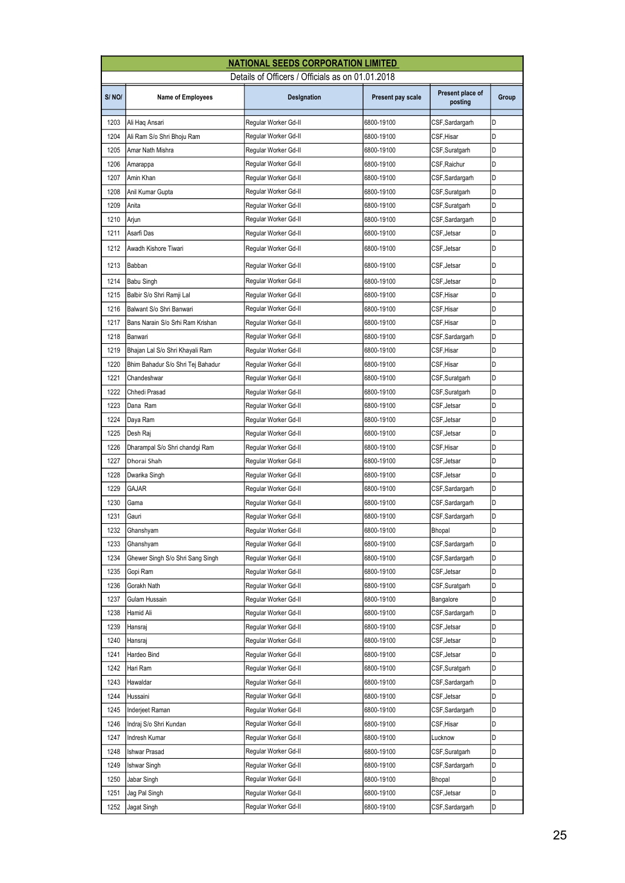| <b>NATIONAL SEEDS CORPORATION LIMITED</b>        |                                   |                      |                   |                             |       |  |  |
|--------------------------------------------------|-----------------------------------|----------------------|-------------------|-----------------------------|-------|--|--|
| Details of Officers / Officials as on 01.01.2018 |                                   |                      |                   |                             |       |  |  |
| S/NO/                                            | <b>Name of Employees</b>          | Designation          | Present pay scale | Present place of<br>posting | Group |  |  |
| 1203                                             | Ali Haq Ansari                    | Regular Worker Gd-II | 6800-19100        | CSF, Sardargarh             | D     |  |  |
| 1204                                             | Ali Ram S/o Shri Bhoju Ram        | Regular Worker Gd-II | 6800-19100        | CSF, Hisar                  | D     |  |  |
| 1205                                             | Amar Nath Mishra                  | Regular Worker Gd-II | 6800-19100        | CSF,Suratgarh               | D     |  |  |
| 1206                                             | Amarappa                          | Regular Worker Gd-II | 6800-19100        | CSF, Raichur                | D     |  |  |
| 1207                                             | Amin Khan                         | Regular Worker Gd-II | 6800-19100        | CSF,Sardargarh              | D     |  |  |
| 1208                                             | Anil Kumar Gupta                  | Regular Worker Gd-II | 6800-19100        | CSF,Suratgarh               | D     |  |  |
| 1209                                             | Anita                             | Regular Worker Gd-II | 6800-19100        | CSF, Suratgarh              | D     |  |  |
| 1210                                             | Arjun                             | Regular Worker Gd-II | 6800-19100        | CSF, Sardargarh             | D     |  |  |
| 1211                                             | Asarfi Das                        | Regular Worker Gd-II | 6800-19100        | CSF, Jetsar                 | D     |  |  |
| 1212                                             | Awadh Kishore Tiwari              | Regular Worker Gd-II | 6800-19100        | CSF, Jetsar                 | D     |  |  |
| 1213                                             | Babban                            | Regular Worker Gd-II | 6800-19100        | CSF, Jetsar                 | D     |  |  |
| 1214                                             | Babu Singh                        | Regular Worker Gd-II | 6800-19100        | CSF, Jetsar                 | D     |  |  |
| 1215                                             | Balbir S/o Shri Ramji Lal         | Regular Worker Gd-II | 6800-19100        | CSF,Hisar                   | D     |  |  |
| 1216                                             | Balwant S/o Shri Banwari          | Regular Worker Gd-II | 6800-19100        | CSF,Hisar                   | D     |  |  |
| 1217                                             | Bans Narain S/o Srhi Ram Krishan  | Regular Worker Gd-II | 6800-19100        | CSF, Hisar                  | D     |  |  |
| 1218                                             | Banwari                           | Regular Worker Gd-II | 6800-19100        | CSF, Sardargarh             | D     |  |  |
| 1219                                             | Bhajan Lal S/o Shri Khayali Ram   | Regular Worker Gd-II | 6800-19100        | CSF,Hisar                   | D     |  |  |
| 1220                                             | Bhim Bahadur S/o Shri Tej Bahadur | Regular Worker Gd-II | 6800-19100        | CSF,Hisar                   | D     |  |  |
| 1221                                             | Chandeshwar                       | Regular Worker Gd-II | 6800-19100        | CSF,Suratgarh               | D     |  |  |
| 1222                                             | Chhedi Prasad                     | Regular Worker Gd-II | 6800-19100        | CSF,Suratgarh               | D     |  |  |
| 1223                                             | Dana Ram                          | Regular Worker Gd-II | 6800-19100        | CSF, Jetsar                 | D     |  |  |
| 1224                                             | Daya Ram                          | Regular Worker Gd-II | 6800-19100        | CSF, Jetsar                 | D     |  |  |
| 1225                                             | Desh Raj                          | Regular Worker Gd-II | 6800-19100        | CSF, Jetsar                 | D     |  |  |
| 1226                                             | Dharampal S/o Shri chandgi Ram    | Regular Worker Gd-II | 6800-19100        | CSF,Hisar                   | D     |  |  |
| 1227                                             | Dhorai Shah                       | Regular Worker Gd-II | 6800-19100        | CSF, Jetsar                 | D     |  |  |
| 1228                                             | Dwarika Singh                     | Regular Worker Gd-II | 6800-19100        | CSF, Jetsar                 | D     |  |  |
| 1229                                             | GAJAR                             | Regular Worker Gd-II | 6800-19100        | CSF, Sardargarh             | D     |  |  |
| 1230                                             | Gama                              | Reqular Worker Gd-II | 6800-19100        | CSF,Sardargarh              | D     |  |  |
| 1231                                             | Gauri                             | Regular Worker Gd-II | 6800-19100        | CSF,Sardargarh              | D     |  |  |
| 1232                                             | Ghanshyam                         | Regular Worker Gd-II | 6800-19100        | Bhopal                      | D     |  |  |
| 1233                                             | Ghanshyam                         | Regular Worker Gd-II | 6800-19100        | CSF, Sardargarh             | D     |  |  |
| 1234                                             | Ghewer Singh S/o Shri Sang Singh  | Regular Worker Gd-II | 6800-19100        | CSF, Sardargarh             | D     |  |  |
| 1235                                             | Gopi Ram                          | Regular Worker Gd-II | 6800-19100        | CSF, Jetsar                 | D     |  |  |
| 1236                                             | Gorakh Nath                       | Regular Worker Gd-II | 6800-19100        | CSF,Suratgarh               | D     |  |  |
| 1237                                             | Gulam Hussain                     | Regular Worker Gd-II | 6800-19100        | Bangalore                   | D     |  |  |
| 1238                                             | Hamid Ali                         | Regular Worker Gd-II | 6800-19100        | CSF, Sardargarh             | D     |  |  |
| 1239                                             | Hansraj                           | Regular Worker Gd-II | 6800-19100        | CSF, Jetsar                 | D     |  |  |
| 1240                                             | Hansraj                           | Regular Worker Gd-II | 6800-19100        | CSF, Jetsar                 | D     |  |  |
| 1241                                             | Hardeo Bind                       | Regular Worker Gd-II | 6800-19100        | CSF, Jetsar                 | D     |  |  |
| 1242                                             | Hari Ram                          | Regular Worker Gd-II | 6800-19100        | CSF,Suratgarh               | D     |  |  |
| 1243                                             | Hawaldar                          | Regular Worker Gd-II | 6800-19100        | CSF, Sardargarh             | D     |  |  |
| 1244                                             | Hussaini                          | Regular Worker Gd-II | 6800-19100        | CSF, Jetsar                 | D     |  |  |
| 1245                                             | Inderjeet Raman                   | Regular Worker Gd-II | 6800-19100        | CSF, Sardargarh             | D     |  |  |
| 1246                                             | Indraj S/o Shri Kundan            | Regular Worker Gd-II | 6800-19100        | CSF,Hisar                   | D     |  |  |
| 1247                                             | Indresh Kumar                     | Regular Worker Gd-II | 6800-19100        | Lucknow                     | D     |  |  |
| 1248                                             | Ishwar Prasad                     | Regular Worker Gd-II | 6800-19100        | CSF,Suratgarh               | D     |  |  |
| 1249                                             | Ishwar Singh                      | Regular Worker Gd-II | 6800-19100        | CSF, Sardargarh             | D     |  |  |
| 1250                                             | Jabar Singh                       | Regular Worker Gd-II | 6800-19100        | Bhopal                      | D     |  |  |
| 1251                                             | Jag Pal Singh                     | Regular Worker Gd-II | 6800-19100        | CSF, Jetsar                 | D     |  |  |
| 1252                                             | Jagat Singh                       | Regular Worker Gd-II | 6800-19100        | CSF,Sardargarh              | D     |  |  |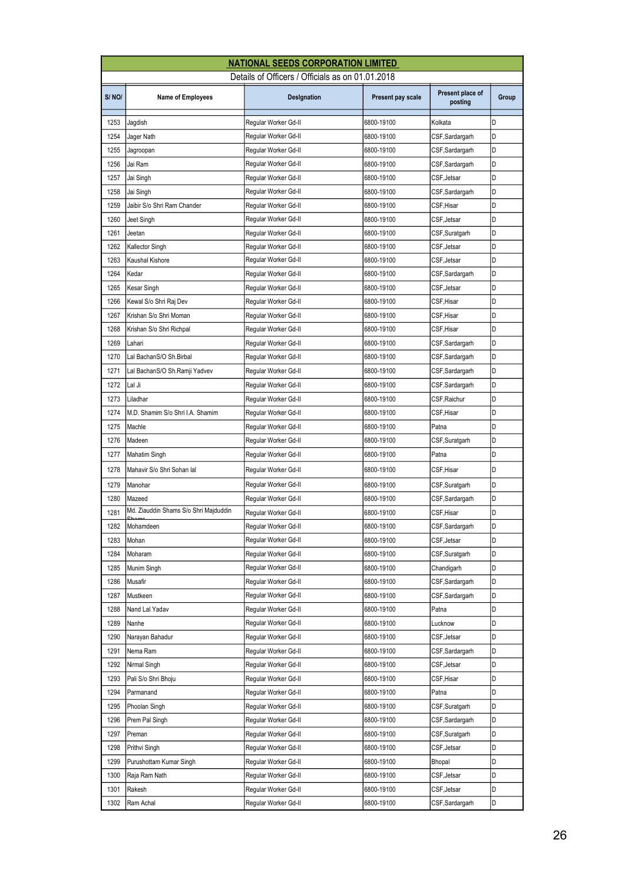| <b>NATIONAL SEEDS CORPORATION LIMITED</b>        |                                       |                      |                   |                             |       |  |
|--------------------------------------------------|---------------------------------------|----------------------|-------------------|-----------------------------|-------|--|
| Details of Officers / Officials as on 01.01.2018 |                                       |                      |                   |                             |       |  |
| S/NO/                                            | <b>Name of Employees</b>              | Designation          | Present pay scale | Present place of<br>posting | Group |  |
| 1253                                             | Jagdish                               | Regular Worker Gd-II | 6800-19100        | Kolkata                     | D     |  |
| 1254                                             | Jager Nath                            | Regular Worker Gd-II | 6800-19100        | CSF,Sardargarh              | D     |  |
| 1255                                             | Jagroopan                             | Regular Worker Gd-II | 6800-19100        | CSF,Sardargarh              | D     |  |
| 1256                                             | Jai Ram                               | Regular Worker Gd-II | 6800-19100        | CSF,Sardargarh              | D     |  |
| 1257                                             | Jai Singh                             | Regular Worker Gd-II | 6800-19100        | CSF, Jetsar                 | D     |  |
| 1258                                             | Jai Singh                             | Regular Worker Gd-II | 6800-19100        | CSF,Sardargarh              | D     |  |
| 1259                                             | Jaibir S/o Shri Ram Chander           | Reqular Worker Gd-II | 6800-19100        | CSF, Hisar                  | D     |  |
| 1260                                             | Jeet Singh                            | Regular Worker Gd-II | 6800-19100        | CSF,Jetsar                  | D     |  |
| 1261                                             | Jeetan                                | Regular Worker Gd-II | 6800-19100        | CSF,Suratgarh               | D     |  |
| 1262                                             | Kallector Singh                       | Regular Worker Gd-II | 6800-19100        | CSF,Jetsar                  | D     |  |
| 1263                                             | Kaushal Kishore                       | Reqular Worker Gd-II | 6800-19100        | CSF, Jetsar                 | D     |  |
| 1264                                             | Kedar                                 | Regular Worker Gd-II | 6800-19100        | CSF, Sardargarh             | D     |  |
| 1265                                             | Kesar Singh                           | Regular Worker Gd-II | 6800-19100        | CSF, Jetsar                 | D     |  |
| 1266                                             | Kewal S/o Shri Raj Dev                | Regular Worker Gd-II | 6800-19100        | CSF,Hisar                   | D     |  |
| 1267                                             | Krishan S/o Shri Moman                | Regular Worker Gd-II | 6800-19100        | CSF,Hisar                   | D     |  |
| 1268                                             | Krishan S/o Shri Richpal              | Regular Worker Gd-II | 6800-19100        | CSF, Hisar                  | D     |  |
| 1269                                             | Lahari                                | Regular Worker Gd-II | 6800-19100        | CSF,Sardargarh              | D     |  |
| 1270                                             | Lal BachanS/O Sh.Birbal               | Regular Worker Gd-II | 6800-19100        | CSF, Sardargarh             | D     |  |
| 1271                                             | Lal BachanS/O Sh.Ramji Yadvev         | Regular Worker Gd-II | 6800-19100        | CSF,Sardargarh              | D     |  |
| 1272                                             | Lal Ji                                | Regular Worker Gd-II | 6800-19100        | CSF,Sardargarh              | D     |  |
| 1273                                             | Liladhar                              | Regular Worker Gd-II | 6800-19100        | CSF, Raichur                | D     |  |
| 1274                                             | M.D. Shamim S/o Shri I.A. Shamim      | Regular Worker Gd-II | 6800-19100        | CSF,Hisar                   | D     |  |
| 1275                                             | Machle                                | Regular Worker Gd-II | 6800-19100        | Patna                       | D     |  |
| 1276                                             | Madeen                                | Regular Worker Gd-II | 6800-19100        | CSF, Suratgarh              | D     |  |
| 1277                                             | Mahatim Singh                         | Regular Worker Gd-II | 6800-19100        | Patna                       | D     |  |
| 1278                                             | Mahavir S/o Shri Sohan lal            | Regular Worker Gd-II | 6800-19100        | CSF, Hisar                  | D     |  |
| 1279                                             | Manohar                               | Regular Worker Gd-II | 6800-19100        | CSF, Suratgarh              | D     |  |
| 1280                                             | Mazeed                                | Regular Worker Gd-II | 6800-19100        | CSF,Sardargarh              | D     |  |
| 1281                                             | Md. Ziauddin Shams S/o Shri Majduddin | Regular Worker Gd-II | 6800-19100        | CSF, Hisar                  | D     |  |
| 1282                                             | Mohamdeen                             | Regular Worker Gd-II | 6800-19100        | CSF, Sardargarh             | D     |  |
| 1283                                             | Mohan                                 | Regular Worker Gd-II | 6800-19100        | CSF, Jetsar                 | D     |  |
| 1284                                             | Moharam                               | Regular Worker Gd-II | 6800-19100        | CSF, Suratgarh              | D     |  |
| 1285                                             | Munim Singh                           | Regular Worker Gd-II | 6800-19100        | Chandigarh                  | D     |  |
| 1286                                             | Musafir                               | Regular Worker Gd-II | 6800-19100        | CSF,Sardargarh              | D     |  |
| 1287                                             | Mustkeen                              | Regular Worker Gd-II | 6800-19100        | CSF,Sardargarh              | D     |  |
| 1288                                             | Nand Lal Yadav                        | Regular Worker Gd-II | 6800-19100        | Patna                       | D     |  |
| 1289                                             | Nanhe                                 | Regular Worker Gd-II | 6800-19100        | Lucknow                     | D     |  |
| 1290                                             | Narayan Bahadur                       | Regular Worker Gd-II | 6800-19100        | CSF,Jetsar                  | D     |  |
| 1291                                             | Nema Ram                              | Regular Worker Gd-II | 6800-19100        | CSF,Sardargarh              | D     |  |
| 1292                                             | Nirmal Singh                          | Regular Worker Gd-II | 6800-19100        | CSF,Jetsar                  | D     |  |
| 1293                                             | Pali S/o Shri Bhoju                   | Regular Worker Gd-II | 6800-19100        | CSF,Hisar                   | D     |  |
| 1294                                             | Parmanand                             | Regular Worker Gd-II | 6800-19100        | Patna                       | D     |  |
| 1295                                             | Phoolan Singh                         | Regular Worker Gd-II | 6800-19100        | CSF,Suratgarh               | D     |  |
| 1296                                             | Prem Pal Singh                        | Regular Worker Gd-II | 6800-19100        | CSF,Sardargarh              | D     |  |
| 1297                                             | Preman                                | Regular Worker Gd-II | 6800-19100        | CSF,Suratgarh               | D     |  |
| 1298                                             | Prithvi Singh                         | Regular Worker Gd-II | 6800-19100        | CSF,Jetsar                  | D     |  |
| 1299                                             | Purushottam Kumar Singh               | Regular Worker Gd-II | 6800-19100        | Bhopal                      | D     |  |
| 1300                                             | Raja Ram Nath                         | Regular Worker Gd-II | 6800-19100        | CSF,Jetsar                  | D     |  |
| 1301                                             | Rakesh                                | Regular Worker Gd-II | 6800-19100        | CSF, Jetsar                 | D     |  |
| 1302                                             | Ram Achal                             | Regular Worker Gd-II | 6800-19100        | CSF,Sardargarh              | D     |  |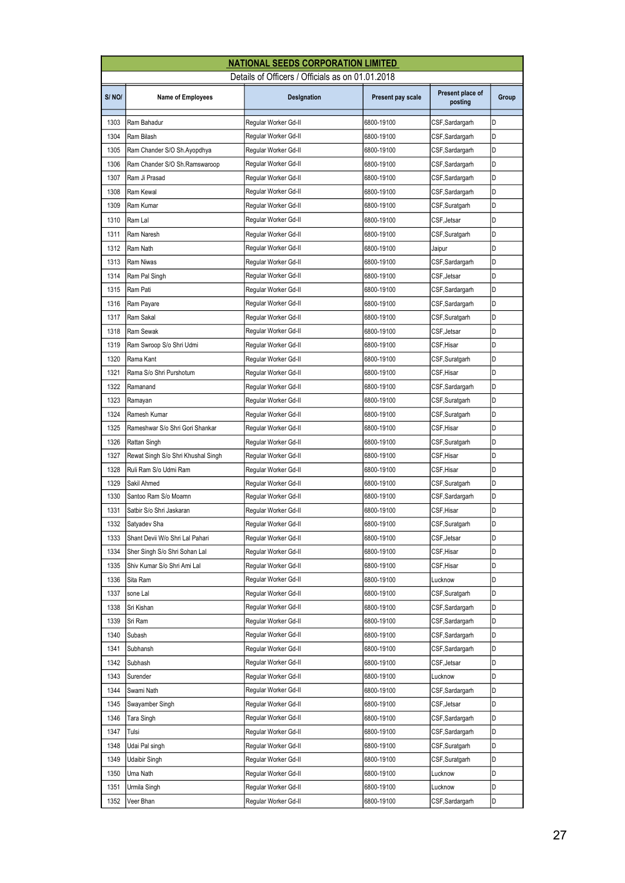|                                                  | <b>NATIONAL SEEDS CORPORATION LIMITED</b> |                      |                   |                             |       |  |
|--------------------------------------------------|-------------------------------------------|----------------------|-------------------|-----------------------------|-------|--|
| Details of Officers / Officials as on 01.01.2018 |                                           |                      |                   |                             |       |  |
| S/NO/                                            | <b>Name of Employees</b>                  | Designation          | Present pay scale | Present place of<br>posting | Group |  |
| 1303                                             | Ram Bahadur                               | Regular Worker Gd-II | 6800-19100        | CSF,Sardargarh              | D     |  |
| 1304                                             | Ram Bilash                                | Regular Worker Gd-II | 6800-19100        | CSF,Sardargarh              | D     |  |
| 1305                                             | Ram Chander S/O Sh.Ayopdhya               | Regular Worker Gd-II | 6800-19100        | CSF, Sardargarh             | D     |  |
| 1306                                             | Ram Chander S/O Sh.Ramswaroop             | Regular Worker Gd-II | 6800-19100        | CSF,Sardargarh              | D     |  |
| 1307                                             | Ram Ji Prasad                             | Regular Worker Gd-II | 6800-19100        | CSF,Sardargarh              | D     |  |
| 1308                                             | Ram Kewal                                 | Regular Worker Gd-II | 6800-19100        | CSF,Sardargarh              | D     |  |
| 1309                                             | Ram Kumar                                 | Regular Worker Gd-II | 6800-19100        | CSF, Suratgarh              | D     |  |
| 1310                                             | Ram Lal                                   | Regular Worker Gd-II | 6800-19100        | CSF, Jetsar                 | D     |  |
| 1311                                             | Ram Naresh                                | Regular Worker Gd-II | 6800-19100        | CSF,Suratgarh               | D     |  |
| 1312                                             | Ram Nath                                  | Regular Worker Gd-II | 6800-19100        | Jaipur                      | D     |  |
| 1313                                             | Ram Niwas                                 | Regular Worker Gd-II | 6800-19100        | CSF, Sardargarh             | D     |  |
| 1314                                             | Ram Pal Singh                             | Regular Worker Gd-II | 6800-19100        | CSF, Jetsar                 | D     |  |
| 1315                                             | Ram Pati                                  | Regular Worker Gd-II | 6800-19100        | CSF,Sardargarh              | D     |  |
| 1316                                             | Ram Payare                                | Regular Worker Gd-II | 6800-19100        | CSF, Sardargarh             | D     |  |
| 1317                                             | Ram Sakal                                 | Regular Worker Gd-II | 6800-19100        | CSF, Suratgarh              | D     |  |
| 1318                                             | Ram Sewak                                 | Regular Worker Gd-II | 6800-19100        | CSF,Jetsar                  | D     |  |
| 1319                                             | Ram Swroop S/o Shri Udmi                  | Regular Worker Gd-II | 6800-19100        | CSF,Hisar                   | D     |  |
| 1320                                             | Rama Kant                                 | Regular Worker Gd-II | 6800-19100        | CSF, Suratgarh              | D     |  |
| 1321                                             | Rama S/o Shri Purshotum                   | Regular Worker Gd-II | 6800-19100        | CSF,Hisar                   | D     |  |
| 1322                                             | Ramanand                                  | Regular Worker Gd-II | 6800-19100        | CSF,Sardargarh              | D     |  |
| 1323                                             | Ramayan                                   | Regular Worker Gd-II | 6800-19100        | CSF,Suratgarh               | D     |  |
| 1324                                             | Ramesh Kumar                              | Regular Worker Gd-II | 6800-19100        | CSF,Suratgarh               | D     |  |
| 1325                                             | Rameshwar S/o Shri Gori Shankar           | Regular Worker Gd-II | 6800-19100        | CSF,Hisar                   | D     |  |
| 1326                                             | Rattan Singh                              | Regular Worker Gd-II | 6800-19100        | CSF,Suratgarh               | D     |  |
| 1327                                             | Rewat Singh S/o Shri Khushal Singh        | Regular Worker Gd-II | 6800-19100        | CSF,Hisar                   | D     |  |
| 1328                                             | Ruli Ram S/o Udmi Ram                     | Regular Worker Gd-II | 6800-19100        | CSF, Hisar                  | D     |  |
| 1329                                             | Sakil Ahmed                               | Regular Worker Gd-II | 6800-19100        | CSF,Suratgarh               | D     |  |
| 1330                                             | Santoo Ram S/o Moamn                      | Regular Worker Gd-II | 6800-19100        | CSF,Sardargarh              | D     |  |
| 1331                                             | Satbir S/o Shri Jaskaran                  | Regular Worker Gd-II | 6800-19100        | CSF,Hisar                   | D     |  |
| 1332                                             | Satyadev Sha                              | Regular Worker Gd-II | 6800-19100        | CSF, Suratgarh              | D     |  |
| 1333                                             | Shant Devii W/o Shri Lal Pahari           | Regular Worker Gd-II | 6800-19100        | CSF,Jetsar                  | D     |  |
| 1334                                             | Sher Singh S/o Shri Sohan Lal             | Regular Worker Gd-II | 6800-19100        | CSF,Hisar                   | D     |  |
| 1335                                             | Shiv Kumar S/o Shri Ami Lal               | Regular Worker Gd-II | 6800-19100        | CSF,Hisar                   | D     |  |
| 1336                                             | Sita Ram                                  | Regular Worker Gd-II | 6800-19100        | Lucknow                     | D     |  |
| 1337                                             | sone Lal                                  | Regular Worker Gd-II | 6800-19100        | CSF,Suratgarh               | D     |  |
| 1338                                             | Sri Kishan                                | Regular Worker Gd-II | 6800-19100        | CSF,Sardargarh              | D     |  |
| 1339                                             | Sri Ram                                   | Regular Worker Gd-II | 6800-19100        | CSF,Sardargarh              | D     |  |
| 1340                                             | Subash                                    | Regular Worker Gd-II | 6800-19100        | CSF,Sardargarh              | D     |  |
| 1341                                             | Subhansh                                  | Regular Worker Gd-II | 6800-19100        | CSF,Sardargarh              | D     |  |
| 1342                                             | Subhash                                   | Regular Worker Gd-II | 6800-19100        | CSF,Jetsar                  | D     |  |
| 1343                                             | Surender                                  | Regular Worker Gd-II | 6800-19100        | Lucknow                     | D     |  |
| 1344                                             | Swami Nath                                | Regular Worker Gd-II | 6800-19100        | CSF,Sardargarh              | D     |  |
| 1345                                             | Swayamber Singh                           | Regular Worker Gd-II | 6800-19100        | CSF,Jetsar                  | D     |  |
| 1346                                             | Tara Singh                                | Regular Worker Gd-II | 6800-19100        | CSF,Sardargarh              | D     |  |
| 1347                                             | Tulsi                                     | Regular Worker Gd-II | 6800-19100        | CSF,Sardargarh              | D     |  |
| 1348                                             | Udai Pal singh                            | Regular Worker Gd-II | 6800-19100        | CSF,Suratgarh               | D     |  |
| 1349                                             | Udaibir Singh                             | Regular Worker Gd-II | 6800-19100        | CSF,Suratgarh               | D     |  |
| 1350                                             | Uma Nath                                  | Regular Worker Gd-II | 6800-19100        | Lucknow                     | D     |  |
| 1351                                             | Urmila Singh                              | Regular Worker Gd-II | 6800-19100        | Lucknow                     | D     |  |
| 1352                                             | Veer Bhan                                 | Regular Worker Gd-II | 6800-19100        | CSF,Sardargarh              | D     |  |